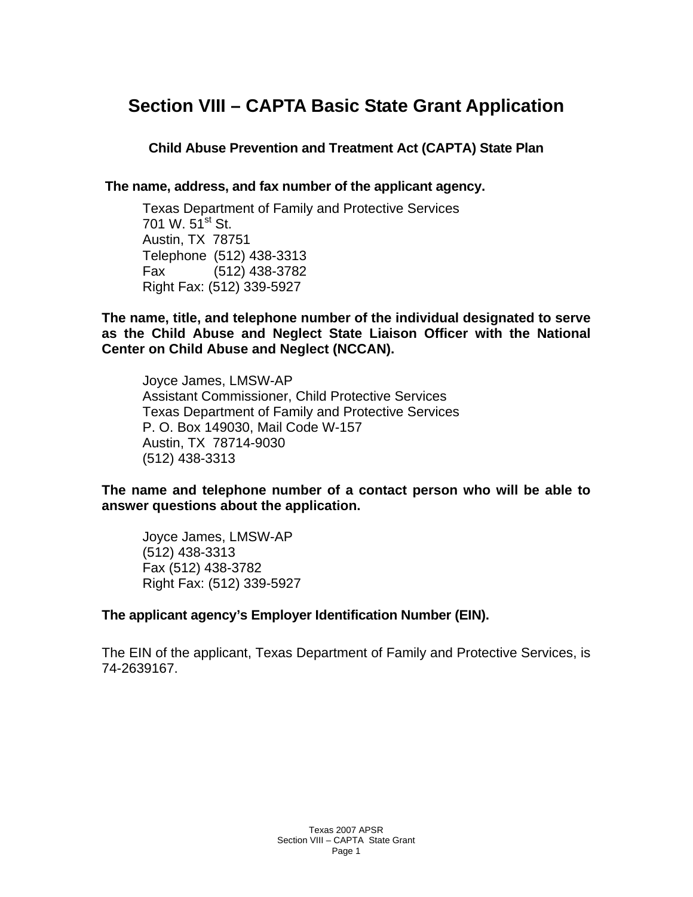# **Section VIII – CAPTA Basic State Grant Application**

**Child Abuse Prevention and Treatment Act (CAPTA) State Plan** 

**The name, address, and fax number of the applicant agency.** 

Texas Department of Family and Protective Services 701 W.  $51^{st}$  St. Austin, TX 78751 Telephone (512) 438-3313 Fax (512) 438-3782 Right Fax: (512) 339-5927

**The name, title, and telephone number of the individual designated to serve as the Child Abuse and Neglect State Liaison Officer with the National Center on Child Abuse and Neglect (NCCAN).** 

Joyce James, LMSW-AP Assistant Commissioner, Child Protective Services Texas Department of Family and Protective Services P. O. Box 149030, Mail Code W-157 Austin, TX 78714-9030 (512) 438-3313

**The name and telephone number of a contact person who will be able to answer questions about the application.** 

Joyce James, LMSW-AP (512) 438-3313 Fax (512) 438-3782 Right Fax: (512) 339-5927

### **The applicant agency's Employer Identification Number (EIN).**

The EIN of the applicant, Texas Department of Family and Protective Services, is 74-2639167.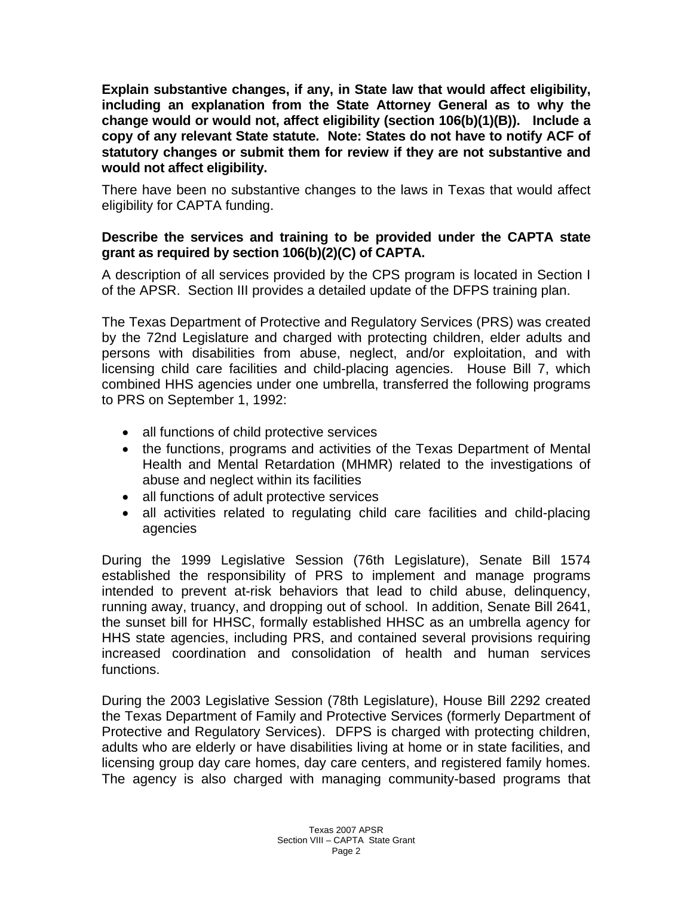**Explain substantive changes, if any, in State law that would affect eligibility, including an explanation from the State Attorney General as to why the change would or would not, affect eligibility (section 106(b)(1)(B)). Include a copy of any relevant State statute. Note: States do not have to notify ACF of statutory changes or submit them for review if they are not substantive and would not affect eligibility.** 

There have been no substantive changes to the laws in Texas that would affect eligibility for CAPTA funding.

### **Describe the services and training to be provided under the CAPTA state grant as required by section 106(b)(2)(C) of CAPTA.**

A description of all services provided by the CPS program is located in Section I of the APSR. Section III provides a detailed update of the DFPS training plan.

The Texas Department of Protective and Regulatory Services (PRS) was created by the 72nd Legislature and charged with protecting children, elder adults and persons with disabilities from abuse, neglect, and/or exploitation, and with licensing child care facilities and child-placing agencies. House Bill 7, which combined HHS agencies under one umbrella, transferred the following programs to PRS on September 1, 1992:

- all functions of child protective services
- the functions, programs and activities of the Texas Department of Mental Health and Mental Retardation (MHMR) related to the investigations of abuse and neglect within its facilities
- all functions of adult protective services
- all activities related to regulating child care facilities and child-placing agencies

During the 1999 Legislative Session (76th Legislature), Senate Bill 1574 established the responsibility of PRS to implement and manage programs intended to prevent at-risk behaviors that lead to child abuse, delinquency, running away, truancy, and dropping out of school. In addition, Senate Bill 2641, the sunset bill for HHSC, formally established HHSC as an umbrella agency for HHS state agencies, including PRS, and contained several provisions requiring increased coordination and consolidation of health and human services functions.

During the 2003 Legislative Session (78th Legislature), House Bill 2292 created the Texas Department of Family and Protective Services (formerly Department of Protective and Regulatory Services). DFPS is charged with protecting children, adults who are elderly or have disabilities living at home or in state facilities, and licensing group day care homes, day care centers, and registered family homes. The agency is also charged with managing community-based programs that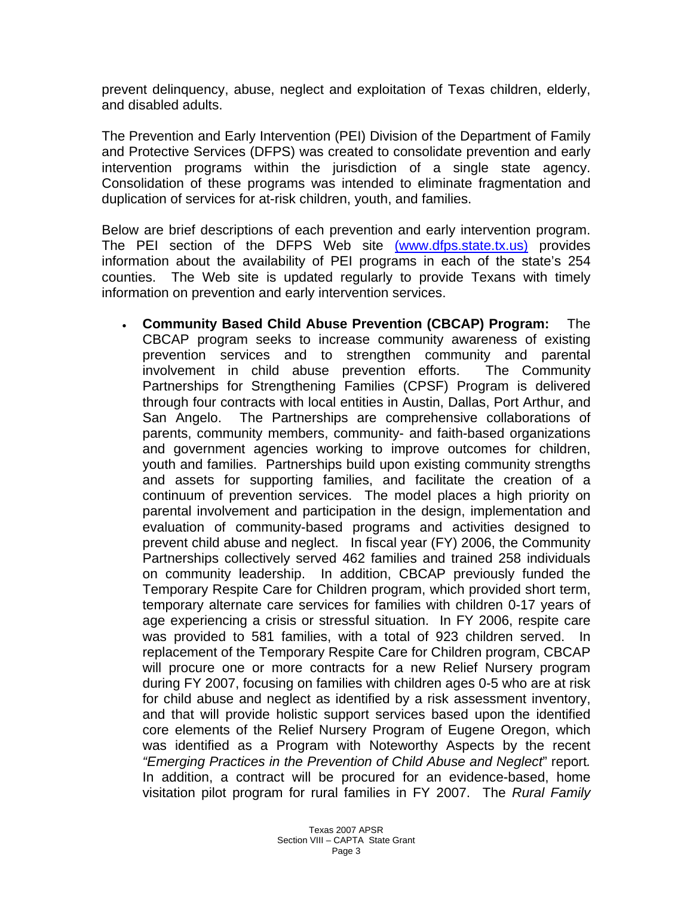prevent delinquency, abuse, neglect and exploitation of Texas children, elderly, and disabled adults.

The Prevention and Early Intervention (PEI) Division of the Department of Family and Protective Services (DFPS) was created to consolidate prevention and early intervention programs within the jurisdiction of a single state agency. Consolidation of these programs was intended to eliminate fragmentation and duplication of services for at-risk children, youth, and families.

Below are brief descriptions of each prevention and early intervention program. The PEI section of the DFPS Web site (www.dfps.state.tx.us) provides information about the availability of PEI programs in each of the state's 254 counties. The Web site is updated regularly to provide Texans with timely information on prevention and early intervention services.

• **Community Based Child Abuse Prevention (CBCAP) Program:** The CBCAP program seeks to increase community awareness of existing prevention services and to strengthen community and parental involvement in child abuse prevention efforts. The Community Partnerships for Strengthening Families (CPSF) Program is delivered through four contracts with local entities in Austin, Dallas, Port Arthur, and San Angelo. The Partnerships are comprehensive collaborations of parents, community members, community- and faith-based organizations and government agencies working to improve outcomes for children, youth and families. Partnerships build upon existing community strengths and assets for supporting families, and facilitate the creation of a continuum of prevention services. The model places a high priority on parental involvement and participation in the design, implementation and evaluation of community-based programs and activities designed to prevent child abuse and neglect. In fiscal year (FY) 2006, the Community Partnerships collectively served 462 families and trained 258 individuals on community leadership. In addition, CBCAP previously funded the Temporary Respite Care for Children program, which provided short term, temporary alternate care services for families with children 0-17 years of age experiencing a crisis or stressful situation. In FY 2006, respite care was provided to 581 families, with a total of 923 children served. In replacement of the Temporary Respite Care for Children program, CBCAP will procure one or more contracts for a new Relief Nursery program during FY 2007, focusing on families with children ages 0-5 who are at risk for child abuse and neglect as identified by a risk assessment inventory, and that will provide holistic support services based upon the identified core elements of the Relief Nursery Program of Eugene Oregon, which was identified as a Program with Noteworthy Aspects by the recent *"Emerging Practices in the Prevention of Child Abuse and Neglect*" report*.*  In addition, a contract will be procured for an evidence-based, home visitation pilot program for rural families in FY 2007. The *Rural Family*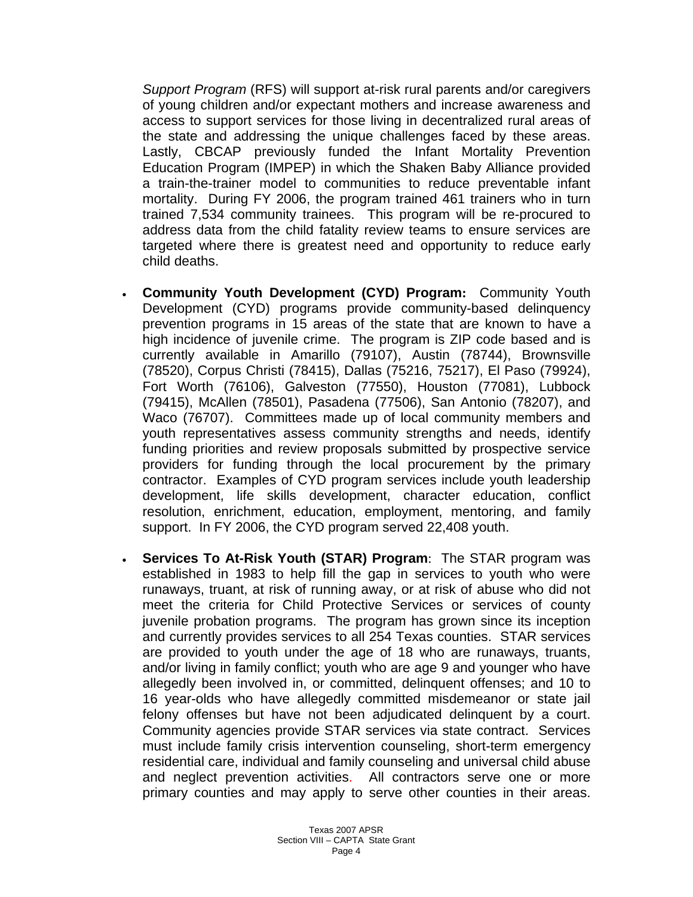*Support Program* (RFS) will support at-risk rural parents and/or caregivers of young children and/or expectant mothers and increase awareness and access to support services for those living in decentralized rural areas of the state and addressing the unique challenges faced by these areas. Lastly, CBCAP previously funded the Infant Mortality Prevention Education Program (IMPEP) in which the Shaken Baby Alliance provided a train-the-trainer model to communities to reduce preventable infant mortality. During FY 2006, the program trained 461 trainers who in turn trained 7,534 community trainees. This program will be re-procured to address data from the child fatality review teams to ensure services are targeted where there is greatest need and opportunity to reduce early child deaths.

- **Community Youth Development (CYD) Program:** Community Youth Development (CYD) programs provide community-based delinquency prevention programs in 15 areas of the state that are known to have a high incidence of juvenile crime. The program is ZIP code based and is currently available in Amarillo (79107), Austin (78744), Brownsville (78520), Corpus Christi (78415), Dallas (75216, 75217), El Paso (79924), Fort Worth (76106), Galveston (77550), Houston (77081), Lubbock (79415), McAllen (78501), Pasadena (77506), San Antonio (78207), and Waco (76707). Committees made up of local community members and youth representatives assess community strengths and needs, identify funding priorities and review proposals submitted by prospective service providers for funding through the local procurement by the primary contractor. Examples of CYD program services include youth leadership development, life skills development, character education, conflict resolution, enrichment, education, employment, mentoring, and family support. In FY 2006, the CYD program served 22,408 youth.
- **Services To At-Risk Youth (STAR) Program**: The STAR program was established in 1983 to help fill the gap in services to youth who were runaways, truant, at risk of running away, or at risk of abuse who did not meet the criteria for Child Protective Services or services of county juvenile probation programs. The program has grown since its inception and currently provides services to all 254 Texas counties. STAR services are provided to youth under the age of 18 who are runaways, truants, and/or living in family conflict; youth who are age 9 and younger who have allegedly been involved in, or committed, delinquent offenses; and 10 to 16 year-olds who have allegedly committed misdemeanor or state jail felony offenses but have not been adjudicated delinquent by a court. Community agencies provide STAR services via state contract. Services must include family crisis intervention counseling, short-term emergency residential care, individual and family counseling and universal child abuse and neglect prevention activities. All contractors serve one or more primary counties and may apply to serve other counties in their areas.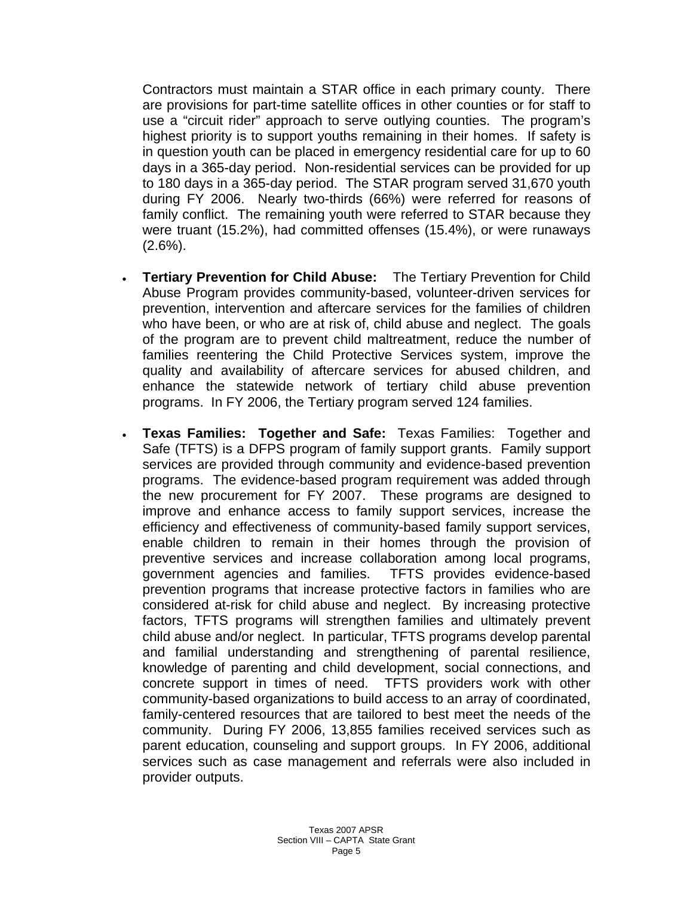Contractors must maintain a STAR office in each primary county. There are provisions for part-time satellite offices in other counties or for staff to use a "circuit rider" approach to serve outlying counties. The program's highest priority is to support youths remaining in their homes. If safety is in question youth can be placed in emergency residential care for up to 60 days in a 365-day period. Non-residential services can be provided for up to 180 days in a 365-day period. The STAR program served 31,670 youth during FY 2006. Nearly two-thirds (66%) were referred for reasons of family conflict. The remaining youth were referred to STAR because they were truant (15.2%), had committed offenses (15.4%), or were runaways  $(2.6\%)$ .

- **Tertiary Prevention for Child Abuse:** The Tertiary Prevention for Child Abuse Program provides community-based, volunteer-driven services for prevention, intervention and aftercare services for the families of children who have been, or who are at risk of, child abuse and neglect. The goals of the program are to prevent child maltreatment, reduce the number of families reentering the Child Protective Services system, improve the quality and availability of aftercare services for abused children, and enhance the statewide network of tertiary child abuse prevention programs. In FY 2006, the Tertiary program served 124 families.
- **Texas Families: Together and Safe:** Texas Families: Together and Safe (TFTS) is a DFPS program of family support grants. Family support services are provided through community and evidence-based prevention programs. The evidence-based program requirement was added through the new procurement for FY 2007. These programs are designed to improve and enhance access to family support services, increase the efficiency and effectiveness of community-based family support services, enable children to remain in their homes through the provision of preventive services and increase collaboration among local programs, government agencies and families. TFTS provides evidence-based prevention programs that increase protective factors in families who are considered at-risk for child abuse and neglect. By increasing protective factors, TFTS programs will strengthen families and ultimately prevent child abuse and/or neglect. In particular, TFTS programs develop parental and familial understanding and strengthening of parental resilience, knowledge of parenting and child development, social connections, and concrete support in times of need. TFTS providers work with other community-based organizations to build access to an array of coordinated, family-centered resources that are tailored to best meet the needs of the community. During FY 2006, 13,855 families received services such as parent education, counseling and support groups. In FY 2006, additional services such as case management and referrals were also included in provider outputs.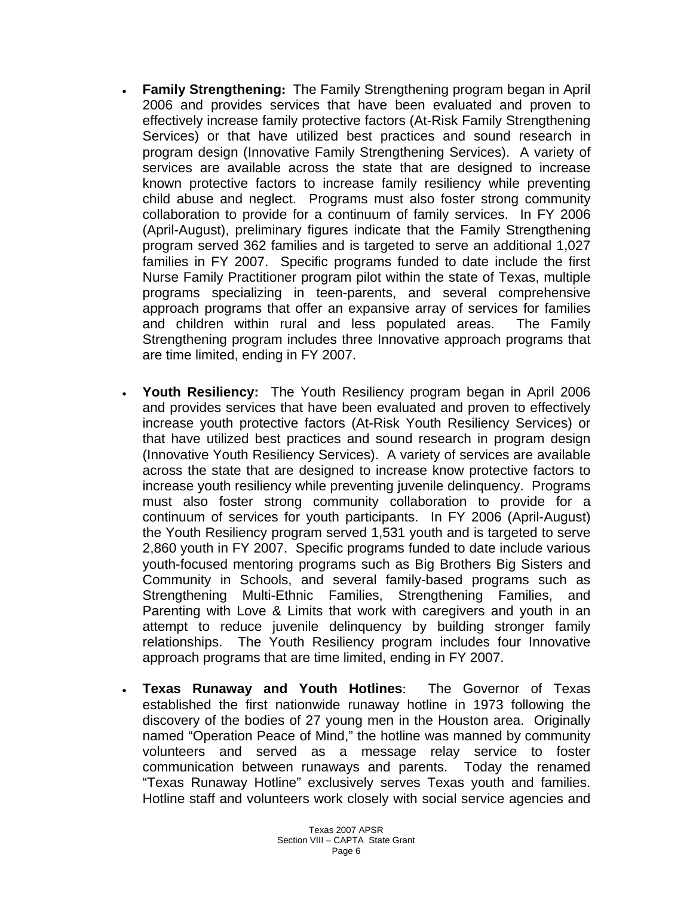- **Family Strengthening:** The Family Strengthening program began in April 2006 and provides services that have been evaluated and proven to effectively increase family protective factors (At-Risk Family Strengthening Services) or that have utilized best practices and sound research in program design (Innovative Family Strengthening Services). A variety of services are available across the state that are designed to increase known protective factors to increase family resiliency while preventing child abuse and neglect. Programs must also foster strong community collaboration to provide for a continuum of family services. In FY 2006 (April-August), preliminary figures indicate that the Family Strengthening program served 362 families and is targeted to serve an additional 1,027 families in FY 2007. Specific programs funded to date include the first Nurse Family Practitioner program pilot within the state of Texas, multiple programs specializing in teen-parents, and several comprehensive approach programs that offer an expansive array of services for families and children within rural and less populated areas. The Family Strengthening program includes three Innovative approach programs that are time limited, ending in FY 2007.
- **Youth Resiliency:** The Youth Resiliency program began in April 2006 and provides services that have been evaluated and proven to effectively increase youth protective factors (At-Risk Youth Resiliency Services) or that have utilized best practices and sound research in program design (Innovative Youth Resiliency Services). A variety of services are available across the state that are designed to increase know protective factors to increase youth resiliency while preventing juvenile delinquency. Programs must also foster strong community collaboration to provide for a continuum of services for youth participants. In FY 2006 (April-August) the Youth Resiliency program served 1,531 youth and is targeted to serve 2,860 youth in FY 2007. Specific programs funded to date include various youth-focused mentoring programs such as Big Brothers Big Sisters and Community in Schools, and several family-based programs such as Strengthening Multi-Ethnic Families, Strengthening Families, and Parenting with Love & Limits that work with caregivers and youth in an attempt to reduce juvenile delinquency by building stronger family relationships. The Youth Resiliency program includes four Innovative approach programs that are time limited, ending in FY 2007.
- **Texas Runaway and Youth Hotlines**: The Governor of Texas established the first nationwide runaway hotline in 1973 following the discovery of the bodies of 27 young men in the Houston area. Originally named "Operation Peace of Mind," the hotline was manned by community volunteers and served as a message relay service to foster communication between runaways and parents. Today the renamed "Texas Runaway Hotline" exclusively serves Texas youth and families. Hotline staff and volunteers work closely with social service agencies and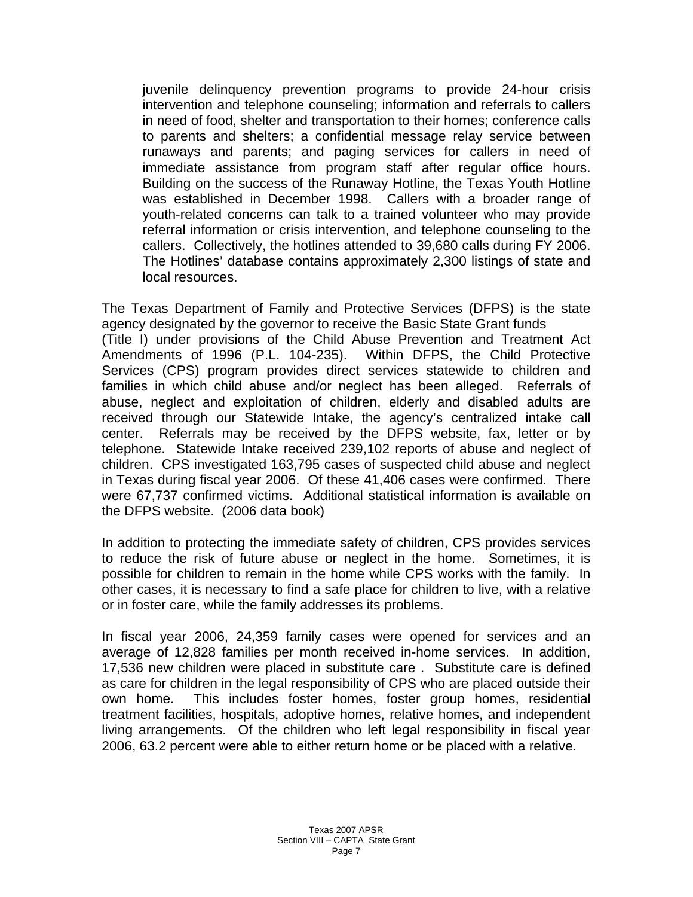juvenile delinquency prevention programs to provide 24-hour crisis intervention and telephone counseling; information and referrals to callers in need of food, shelter and transportation to their homes; conference calls to parents and shelters; a confidential message relay service between runaways and parents; and paging services for callers in need of immediate assistance from program staff after regular office hours. Building on the success of the Runaway Hotline, the Texas Youth Hotline was established in December 1998. Callers with a broader range of youth-related concerns can talk to a trained volunteer who may provide referral information or crisis intervention, and telephone counseling to the callers. Collectively, the hotlines attended to 39,680 calls during FY 2006. The Hotlines' database contains approximately 2,300 listings of state and local resources.

The Texas Department of Family and Protective Services (DFPS) is the state agency designated by the governor to receive the Basic State Grant funds (Title I) under provisions of the Child Abuse Prevention and Treatment Act Amendments of 1996 (P.L. 104-235). Within DFPS, the Child Protective Services (CPS) program provides direct services statewide to children and families in which child abuse and/or neglect has been alleged. Referrals of abuse, neglect and exploitation of children, elderly and disabled adults are received through our Statewide Intake, the agency's centralized intake call center. Referrals may be received by the DFPS website, fax, letter or by telephone. Statewide Intake received 239,102 reports of abuse and neglect of children. CPS investigated 163,795 cases of suspected child abuse and neglect in Texas during fiscal year 2006. Of these 41,406 cases were confirmed. There were 67,737 confirmed victims. Additional statistical information is available on the DFPS website. (2006 data book)

In addition to protecting the immediate safety of children, CPS provides services to reduce the risk of future abuse or neglect in the home. Sometimes, it is possible for children to remain in the home while CPS works with the family. In other cases, it is necessary to find a safe place for children to live, with a relative or in foster care, while the family addresses its problems.

In fiscal year 2006, 24,359 family cases were opened for services and an average of 12,828 families per month received in-home services. In addition, 17,536 new children were placed in substitute care . Substitute care is defined as care for children in the legal responsibility of CPS who are placed outside their own home. This includes foster homes, foster group homes, residential treatment facilities, hospitals, adoptive homes, relative homes, and independent living arrangements. Of the children who left legal responsibility in fiscal year 2006, 63.2 percent were able to either return home or be placed with a relative.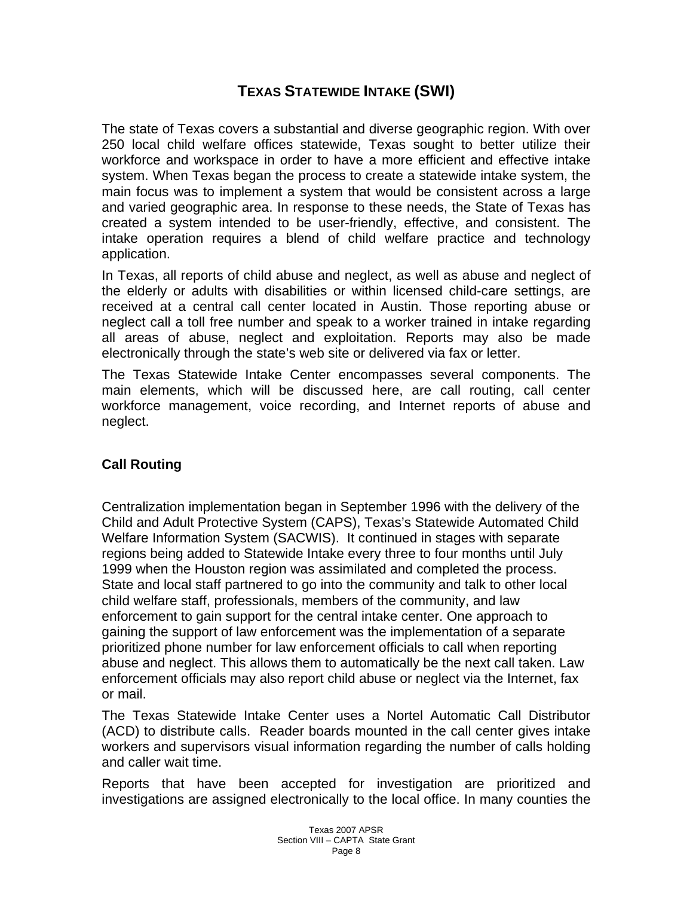## **TEXAS STATEWIDE INTAKE (SWI)**

The state of Texas covers a substantial and diverse geographic region. With over 250 local child welfare offices statewide, Texas sought to better utilize their workforce and workspace in order to have a more efficient and effective intake system. When Texas began the process to create a statewide intake system, the main focus was to implement a system that would be consistent across a large and varied geographic area. In response to these needs, the State of Texas has created a system intended to be user-friendly, effective, and consistent. The intake operation requires a blend of child welfare practice and technology application.

In Texas, all reports of child abuse and neglect, as well as abuse and neglect of the elderly or adults with disabilities or within licensed child-care settings, are received at a central call center located in Austin. Those reporting abuse or neglect call a toll free number and speak to a worker trained in intake regarding all areas of abuse, neglect and exploitation. Reports may also be made electronically through the state's web site or delivered via fax or letter.

The Texas Statewide Intake Center encompasses several components. The main elements, which will be discussed here, are call routing, call center workforce management, voice recording, and Internet reports of abuse and neglect.

### **Call Routing**

Centralization implementation began in September 1996 with the delivery of the Child and Adult Protective System (CAPS), Texas's Statewide Automated Child Welfare Information System (SACWIS). It continued in stages with separate regions being added to Statewide Intake every three to four months until July 1999 when the Houston region was assimilated and completed the process. State and local staff partnered to go into the community and talk to other local child welfare staff, professionals, members of the community, and law enforcement to gain support for the central intake center. One approach to gaining the support of law enforcement was the implementation of a separate prioritized phone number for law enforcement officials to call when reporting abuse and neglect. This allows them to automatically be the next call taken. Law enforcement officials may also report child abuse or neglect via the Internet, fax or mail.

The Texas Statewide Intake Center uses a Nortel Automatic Call Distributor (ACD) to distribute calls. Reader boards mounted in the call center gives intake workers and supervisors visual information regarding the number of calls holding and caller wait time.

Reports that have been accepted for investigation are prioritized and investigations are assigned electronically to the local office. In many counties the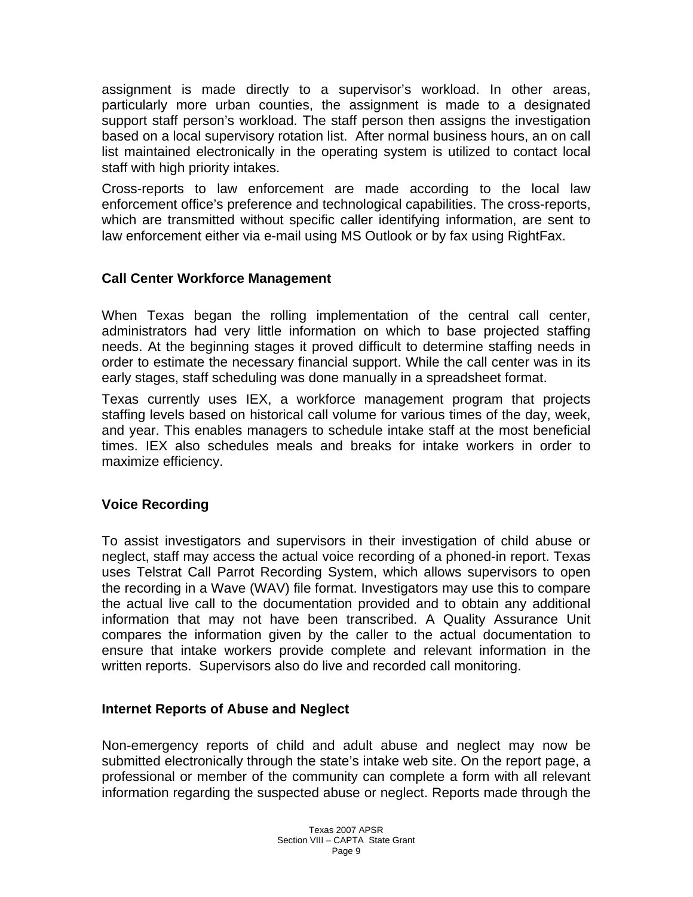assignment is made directly to a supervisor's workload. In other areas, particularly more urban counties, the assignment is made to a designated support staff person's workload. The staff person then assigns the investigation based on a local supervisory rotation list. After normal business hours, an on call list maintained electronically in the operating system is utilized to contact local staff with high priority intakes.

Cross-reports to law enforcement are made according to the local law enforcement office's preference and technological capabilities. The cross-reports, which are transmitted without specific caller identifying information, are sent to law enforcement either via e-mail using MS Outlook or by fax using RightFax.

#### **Call Center Workforce Management**

When Texas began the rolling implementation of the central call center, administrators had very little information on which to base projected staffing needs. At the beginning stages it proved difficult to determine staffing needs in order to estimate the necessary financial support. While the call center was in its early stages, staff scheduling was done manually in a spreadsheet format.

Texas currently uses IEX, a workforce management program that projects staffing levels based on historical call volume for various times of the day, week, and year. This enables managers to schedule intake staff at the most beneficial times. IEX also schedules meals and breaks for intake workers in order to maximize efficiency.

### **Voice Recording**

To assist investigators and supervisors in their investigation of child abuse or neglect, staff may access the actual voice recording of a phoned-in report. Texas uses Telstrat Call Parrot Recording System, which allows supervisors to open the recording in a Wave (WAV) file format. Investigators may use this to compare the actual live call to the documentation provided and to obtain any additional information that may not have been transcribed. A Quality Assurance Unit compares the information given by the caller to the actual documentation to ensure that intake workers provide complete and relevant information in the written reports. Supervisors also do live and recorded call monitoring.

#### **Internet Reports of Abuse and Neglect**

Non-emergency reports of child and adult abuse and neglect may now be submitted electronically through the state's intake web site. On the report page, a professional or member of the community can complete a form with all relevant information regarding the suspected abuse or neglect. Reports made through the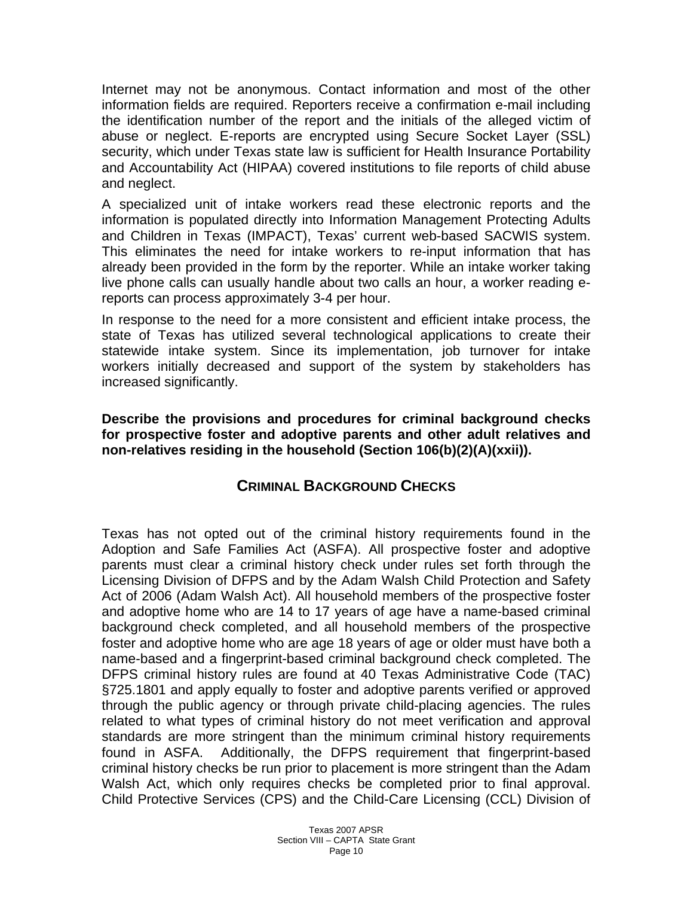Internet may not be anonymous. Contact information and most of the other information fields are required. Reporters receive a confirmation e-mail including the identification number of the report and the initials of the alleged victim of abuse or neglect. E-reports are encrypted using Secure Socket Layer (SSL) security, which under Texas state law is sufficient for Health Insurance Portability and Accountability Act (HIPAA) covered institutions to file reports of child abuse and neglect.

A specialized unit of intake workers read these electronic reports and the information is populated directly into Information Management Protecting Adults and Children in Texas (IMPACT), Texas' current web-based SACWIS system. This eliminates the need for intake workers to re-input information that has already been provided in the form by the reporter. While an intake worker taking live phone calls can usually handle about two calls an hour, a worker reading ereports can process approximately 3-4 per hour.

In response to the need for a more consistent and efficient intake process, the state of Texas has utilized several technological applications to create their statewide intake system. Since its implementation, job turnover for intake workers initially decreased and support of the system by stakeholders has increased significantly.

**Describe the provisions and procedures for criminal background checks for prospective foster and adoptive parents and other adult relatives and non-relatives residing in the household (Section 106(b)(2)(A)(xxii)).** 

### **CRIMINAL BACKGROUND CHECKS**

Texas has not opted out of the criminal history requirements found in the Adoption and Safe Families Act (ASFA). All prospective foster and adoptive parents must clear a criminal history check under rules set forth through the Licensing Division of DFPS and by the Adam Walsh Child Protection and Safety Act of 2006 (Adam Walsh Act). All household members of the prospective foster and adoptive home who are 14 to 17 years of age have a name-based criminal background check completed, and all household members of the prospective foster and adoptive home who are age 18 years of age or older must have both a name-based and a fingerprint-based criminal background check completed. The DFPS criminal history rules are found at 40 Texas Administrative Code (TAC) §725.1801 and apply equally to foster and adoptive parents verified or approved through the public agency or through private child-placing agencies. The rules related to what types of criminal history do not meet verification and approval standards are more stringent than the minimum criminal history requirements found in ASFA. Additionally, the DFPS requirement that fingerprint-based criminal history checks be run prior to placement is more stringent than the Adam Walsh Act, which only requires checks be completed prior to final approval. Child Protective Services (CPS) and the Child-Care Licensing (CCL) Division of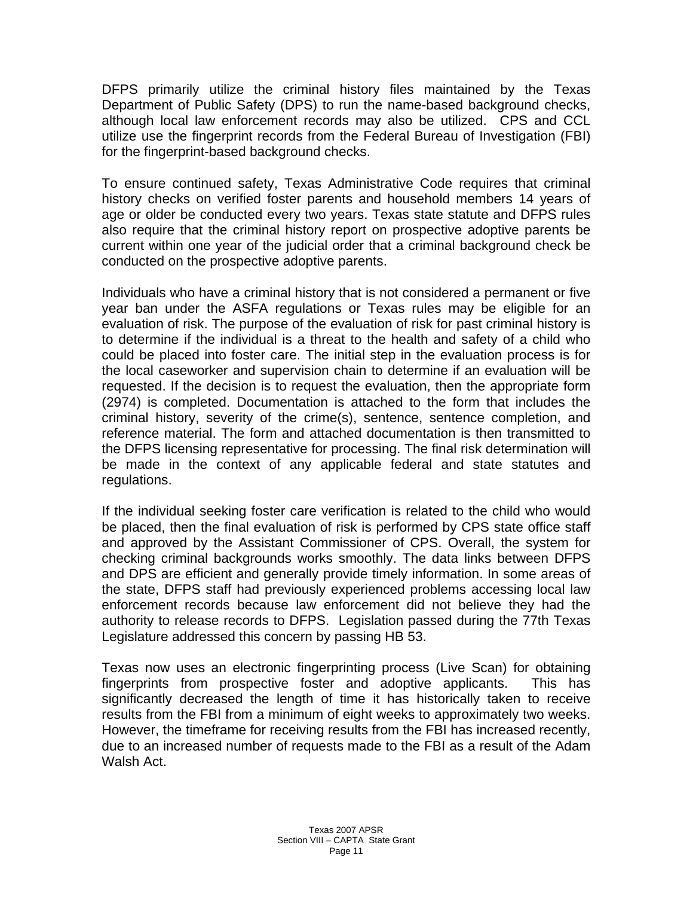DFPS primarily utilize the criminal history files maintained by the Texas Department of Public Safety (DPS) to run the name-based background checks, although local law enforcement records may also be utilized. CPS and CCL utilize use the fingerprint records from the Federal Bureau of Investigation (FBI) for the fingerprint-based background checks.

To ensure continued safety, Texas Administrative Code requires that criminal history checks on verified foster parents and household members 14 years of age or older be conducted every two years. Texas state statute and DFPS rules also require that the criminal history report on prospective adoptive parents be current within one year of the judicial order that a criminal background check be conducted on the prospective adoptive parents.

Individuals who have a criminal history that is not considered a permanent or five year ban under the ASFA regulations or Texas rules may be eligible for an evaluation of risk. The purpose of the evaluation of risk for past criminal history is to determine if the individual is a threat to the health and safety of a child who could be placed into foster care. The initial step in the evaluation process is for the local caseworker and supervision chain to determine if an evaluation will be requested. If the decision is to request the evaluation, then the appropriate form (2974) is completed. Documentation is attached to the form that includes the criminal history, severity of the crime(s), sentence, sentence completion, and reference material. The form and attached documentation is then transmitted to the DFPS licensing representative for processing. The final risk determination will be made in the context of any applicable federal and state statutes and regulations.

If the individual seeking foster care verification is related to the child who would be placed, then the final evaluation of risk is performed by CPS state office staff and approved by the Assistant Commissioner of CPS. Overall, the system for checking criminal backgrounds works smoothly. The data links between DFPS and DPS are efficient and generally provide timely information. In some areas of the state, DFPS staff had previously experienced problems accessing local law enforcement records because law enforcement did not believe they had the authority to release records to DFPS. Legislation passed during the 77th Texas Legislature addressed this concern by passing HB 53.

Texas now uses an electronic fingerprinting process (Live Scan) for obtaining fingerprints from prospective foster and adoptive applicants. This has significantly decreased the length of time it has historically taken to receive results from the FBI from a minimum of eight weeks to approximately two weeks. However, the timeframe for receiving results from the FBI has increased recently, due to an increased number of requests made to the FBI as a result of the Adam Walsh Act.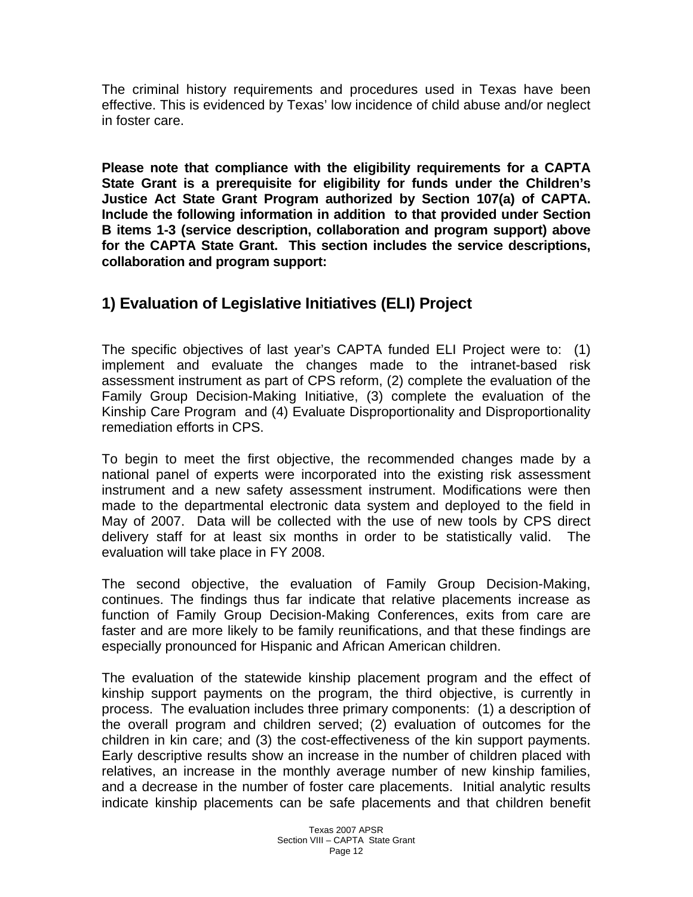The criminal history requirements and procedures used in Texas have been effective. This is evidenced by Texas' low incidence of child abuse and/or neglect in foster care.

**Please note that compliance with the eligibility requirements for a CAPTA State Grant is a prerequisite for eligibility for funds under the Children's Justice Act State Grant Program authorized by Section 107(a) of CAPTA. Include the following information in addition to that provided under Section B items 1-3 (service description, collaboration and program support) above for the CAPTA State Grant. This section includes the service descriptions, collaboration and program support:** 

## **1) Evaluation of Legislative Initiatives (ELI) Project**

The specific objectives of last year's CAPTA funded ELI Project were to: (1) implement and evaluate the changes made to the intranet-based risk assessment instrument as part of CPS reform, (2) complete the evaluation of the Family Group Decision-Making Initiative, (3) complete the evaluation of the Kinship Care Program and (4) Evaluate Disproportionality and Disproportionality remediation efforts in CPS.

To begin to meet the first objective, the recommended changes made by a national panel of experts were incorporated into the existing risk assessment instrument and a new safety assessment instrument. Modifications were then made to the departmental electronic data system and deployed to the field in May of 2007. Data will be collected with the use of new tools by CPS direct delivery staff for at least six months in order to be statistically valid. The evaluation will take place in FY 2008.

The second objective, the evaluation of Family Group Decision-Making, continues. The findings thus far indicate that relative placements increase as function of Family Group Decision-Making Conferences, exits from care are faster and are more likely to be family reunifications, and that these findings are especially pronounced for Hispanic and African American children.

The evaluation of the statewide kinship placement program and the effect of kinship support payments on the program, the third objective, is currently in process. The evaluation includes three primary components: (1) a description of the overall program and children served; (2) evaluation of outcomes for the children in kin care; and (3) the cost-effectiveness of the kin support payments. Early descriptive results show an increase in the number of children placed with relatives, an increase in the monthly average number of new kinship families, and a decrease in the number of foster care placements. Initial analytic results indicate kinship placements can be safe placements and that children benefit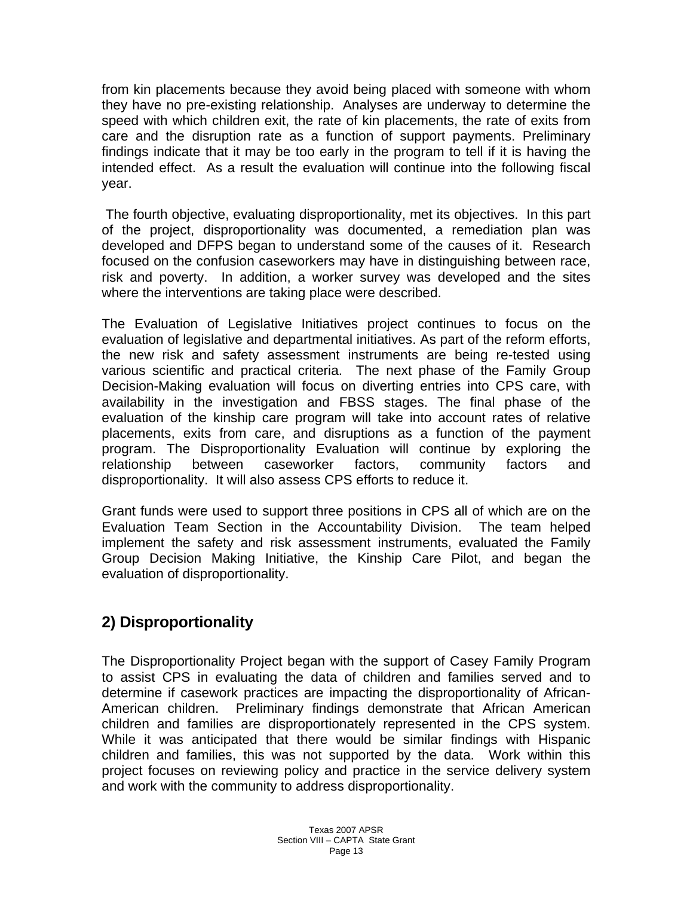from kin placements because they avoid being placed with someone with whom they have no pre-existing relationship. Analyses are underway to determine the speed with which children exit, the rate of kin placements, the rate of exits from care and the disruption rate as a function of support payments. Preliminary findings indicate that it may be too early in the program to tell if it is having the intended effect. As a result the evaluation will continue into the following fiscal year.

 The fourth objective, evaluating disproportionality, met its objectives. In this part of the project, disproportionality was documented, a remediation plan was developed and DFPS began to understand some of the causes of it. Research focused on the confusion caseworkers may have in distinguishing between race, risk and poverty. In addition, a worker survey was developed and the sites where the interventions are taking place were described.

The Evaluation of Legislative Initiatives project continues to focus on the evaluation of legislative and departmental initiatives. As part of the reform efforts, the new risk and safety assessment instruments are being re-tested using various scientific and practical criteria. The next phase of the Family Group Decision-Making evaluation will focus on diverting entries into CPS care, with availability in the investigation and FBSS stages. The final phase of the evaluation of the kinship care program will take into account rates of relative placements, exits from care, and disruptions as a function of the payment program. The Disproportionality Evaluation will continue by exploring the relationship between caseworker factors, community factors and disproportionality. It will also assess CPS efforts to reduce it.

Grant funds were used to support three positions in CPS all of which are on the Evaluation Team Section in the Accountability Division. The team helped implement the safety and risk assessment instruments, evaluated the Family Group Decision Making Initiative, the Kinship Care Pilot, and began the evaluation of disproportionality.

# **2) Disproportionality**

The Disproportionality Project began with the support of Casey Family Program to assist CPS in evaluating the data of children and families served and to determine if casework practices are impacting the disproportionality of African-American children. Preliminary findings demonstrate that African American children and families are disproportionately represented in the CPS system. While it was anticipated that there would be similar findings with Hispanic children and families, this was not supported by the data. Work within this project focuses on reviewing policy and practice in the service delivery system and work with the community to address disproportionality.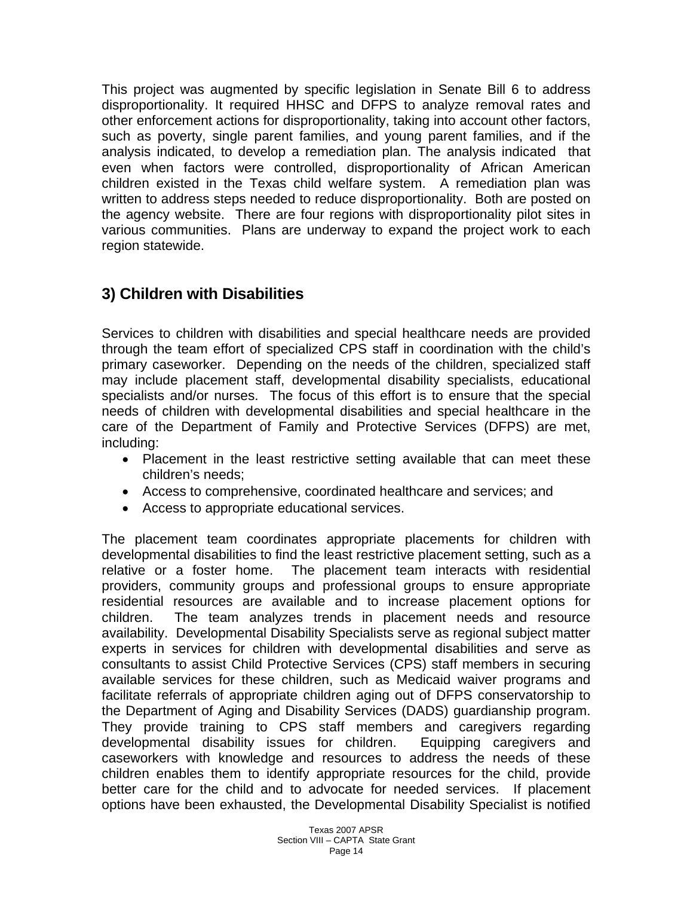This project was augmented by specific legislation in Senate Bill 6 to address disproportionality. It required HHSC and DFPS to analyze removal rates and other enforcement actions for disproportionality, taking into account other factors, such as poverty, single parent families, and young parent families, and if the analysis indicated, to develop a remediation plan. The analysis indicated that even when factors were controlled, disproportionality of African American children existed in the Texas child welfare system. A remediation plan was written to address steps needed to reduce disproportionality. Both are posted on the agency website. There are four regions with disproportionality pilot sites in various communities. Plans are underway to expand the project work to each region statewide.

# **3) Children with Disabilities**

Services to children with disabilities and special healthcare needs are provided through the team effort of specialized CPS staff in coordination with the child's primary caseworker. Depending on the needs of the children, specialized staff may include placement staff, developmental disability specialists, educational specialists and/or nurses. The focus of this effort is to ensure that the special needs of children with developmental disabilities and special healthcare in the care of the Department of Family and Protective Services (DFPS) are met, including:

- Placement in the least restrictive setting available that can meet these children's needs;
- Access to comprehensive, coordinated healthcare and services; and
- Access to appropriate educational services.

The placement team coordinates appropriate placements for children with developmental disabilities to find the least restrictive placement setting, such as a relative or a foster home. The placement team interacts with residential providers, community groups and professional groups to ensure appropriate residential resources are available and to increase placement options for children. The team analyzes trends in placement needs and resource availability. Developmental Disability Specialists serve as regional subject matter experts in services for children with developmental disabilities and serve as consultants to assist Child Protective Services (CPS) staff members in securing available services for these children, such as Medicaid waiver programs and facilitate referrals of appropriate children aging out of DFPS conservatorship to the Department of Aging and Disability Services (DADS) guardianship program. They provide training to CPS staff members and caregivers regarding developmental disability issues for children. Equipping caregivers and caseworkers with knowledge and resources to address the needs of these children enables them to identify appropriate resources for the child, provide better care for the child and to advocate for needed services. If placement options have been exhausted, the Developmental Disability Specialist is notified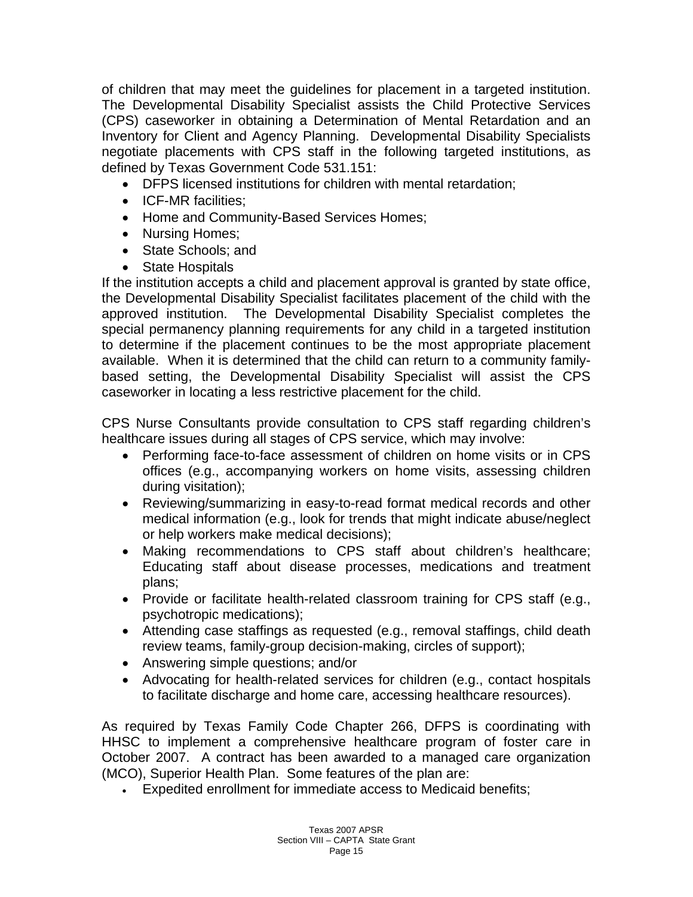of children that may meet the guidelines for placement in a targeted institution. The Developmental Disability Specialist assists the Child Protective Services (CPS) caseworker in obtaining a Determination of Mental Retardation and an Inventory for Client and Agency Planning. Developmental Disability Specialists negotiate placements with CPS staff in the following targeted institutions, as defined by Texas Government Code 531.151:

- DFPS licensed institutions for children with mental retardation;
- ICF-MR facilities:
- Home and Community-Based Services Homes;
- Nursing Homes;
- State Schools: and
- State Hospitals

If the institution accepts a child and placement approval is granted by state office, the Developmental Disability Specialist facilitates placement of the child with the approved institution. The Developmental Disability Specialist completes the special permanency planning requirements for any child in a targeted institution to determine if the placement continues to be the most appropriate placement available. When it is determined that the child can return to a community familybased setting, the Developmental Disability Specialist will assist the CPS caseworker in locating a less restrictive placement for the child.

CPS Nurse Consultants provide consultation to CPS staff regarding children's healthcare issues during all stages of CPS service, which may involve:

- Performing face-to-face assessment of children on home visits or in CPS offices (e.g., accompanying workers on home visits, assessing children during visitation);
- Reviewing/summarizing in easy-to-read format medical records and other medical information (e.g., look for trends that might indicate abuse/neglect or help workers make medical decisions);
- Making recommendations to CPS staff about children's healthcare; Educating staff about disease processes, medications and treatment plans;
- Provide or facilitate health-related classroom training for CPS staff (e.g., psychotropic medications);
- Attending case staffings as requested (e.g., removal staffings, child death review teams, family-group decision-making, circles of support);
- Answering simple questions; and/or
- Advocating for health-related services for children (e.g., contact hospitals to facilitate discharge and home care, accessing healthcare resources).

As required by Texas Family Code Chapter 266, DFPS is coordinating with HHSC to implement a comprehensive healthcare program of foster care in October 2007. A contract has been awarded to a managed care organization (MCO), Superior Health Plan. Some features of the plan are:

• Expedited enrollment for immediate access to Medicaid benefits;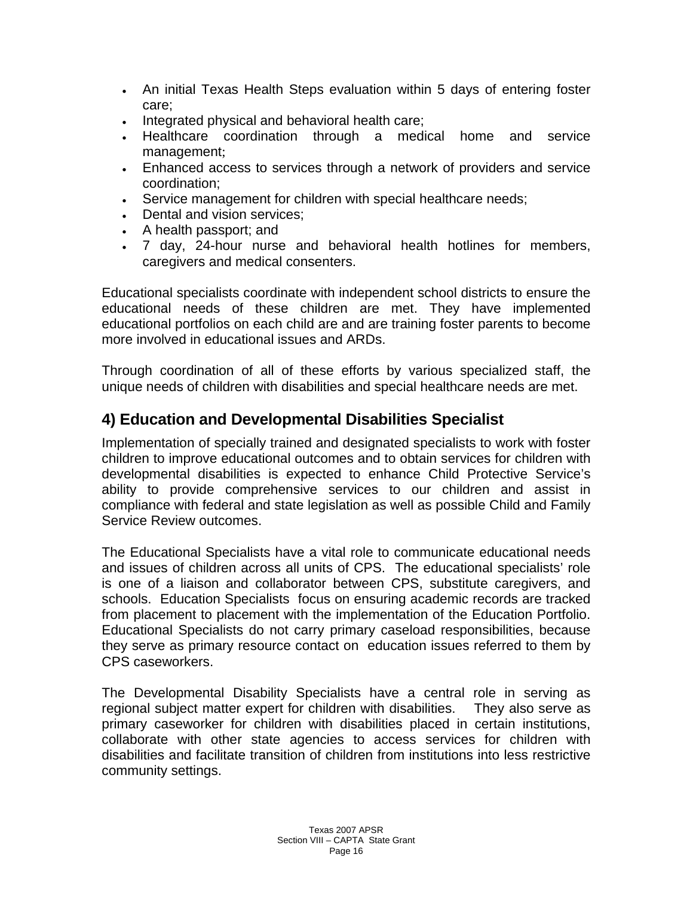- An initial Texas Health Steps evaluation within 5 days of entering foster care;
- Integrated physical and behavioral health care;
- Healthcare coordination through a medical home and service management;
- Enhanced access to services through a network of providers and service coordination;
- Service management for children with special healthcare needs;
- Dental and vision services;
- A health passport; and
- 7 day, 24-hour nurse and behavioral health hotlines for members, caregivers and medical consenters.

Educational specialists coordinate with independent school districts to ensure the educational needs of these children are met. They have implemented educational portfolios on each child are and are training foster parents to become more involved in educational issues and ARDs.

Through coordination of all of these efforts by various specialized staff, the unique needs of children with disabilities and special healthcare needs are met.

## **4) Education and Developmental Disabilities Specialist**

Implementation of specially trained and designated specialists to work with foster children to improve educational outcomes and to obtain services for children with developmental disabilities is expected to enhance Child Protective Service's ability to provide comprehensive services to our children and assist in compliance with federal and state legislation as well as possible Child and Family Service Review outcomes.

The Educational Specialists have a vital role to communicate educational needs and issues of children across all units of CPS. The educational specialists' role is one of a liaison and collaborator between CPS, substitute caregivers, and schools. Education Specialists focus on ensuring academic records are tracked from placement to placement with the implementation of the Education Portfolio. Educational Specialists do not carry primary caseload responsibilities, because they serve as primary resource contact on education issues referred to them by CPS caseworkers.

The Developmental Disability Specialists have a central role in serving as regional subject matter expert for children with disabilities. They also serve as primary caseworker for children with disabilities placed in certain institutions, collaborate with other state agencies to access services for children with disabilities and facilitate transition of children from institutions into less restrictive community settings.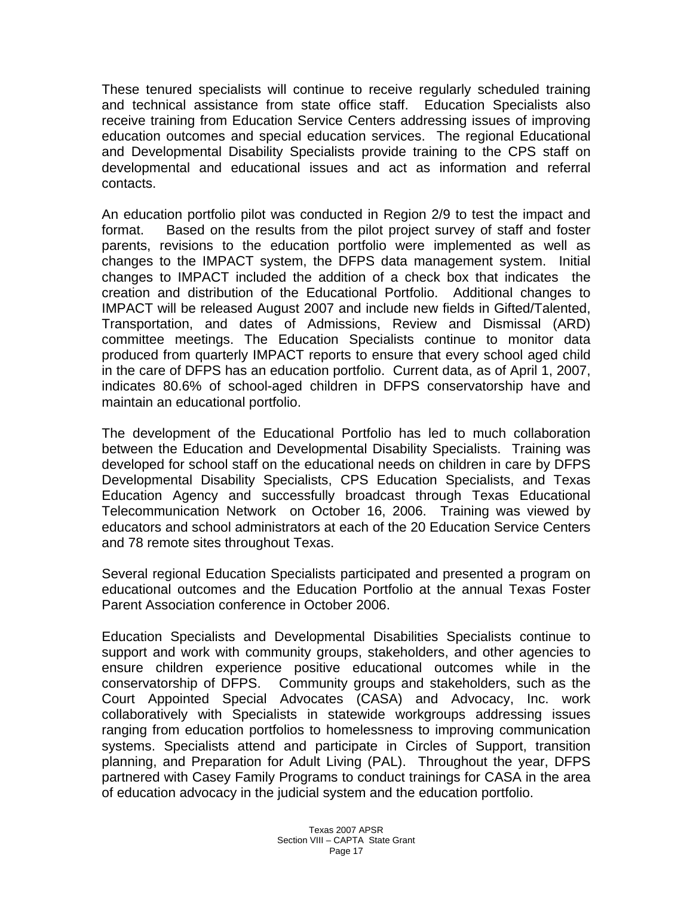These tenured specialists will continue to receive regularly scheduled training and technical assistance from state office staff. Education Specialists also receive training from Education Service Centers addressing issues of improving education outcomes and special education services. The regional Educational and Developmental Disability Specialists provide training to the CPS staff on developmental and educational issues and act as information and referral contacts.

An education portfolio pilot was conducted in Region 2/9 to test the impact and format. Based on the results from the pilot project survey of staff and foster parents, revisions to the education portfolio were implemented as well as changes to the IMPACT system, the DFPS data management system. Initial changes to IMPACT included the addition of a check box that indicates the creation and distribution of the Educational Portfolio. Additional changes to IMPACT will be released August 2007 and include new fields in Gifted/Talented, Transportation, and dates of Admissions, Review and Dismissal (ARD) committee meetings. The Education Specialists continue to monitor data produced from quarterly IMPACT reports to ensure that every school aged child in the care of DFPS has an education portfolio. Current data, as of April 1, 2007, indicates 80.6% of school-aged children in DFPS conservatorship have and maintain an educational portfolio.

The development of the Educational Portfolio has led to much collaboration between the Education and Developmental Disability Specialists. Training was developed for school staff on the educational needs on children in care by DFPS Developmental Disability Specialists, CPS Education Specialists, and Texas Education Agency and successfully broadcast through Texas Educational Telecommunication Network on October 16, 2006. Training was viewed by educators and school administrators at each of the 20 Education Service Centers and 78 remote sites throughout Texas.

Several regional Education Specialists participated and presented a program on educational outcomes and the Education Portfolio at the annual Texas Foster Parent Association conference in October 2006.

Education Specialists and Developmental Disabilities Specialists continue to support and work with community groups, stakeholders, and other agencies to ensure children experience positive educational outcomes while in the conservatorship of DFPS. Community groups and stakeholders, such as the Court Appointed Special Advocates (CASA) and Advocacy, Inc. work collaboratively with Specialists in statewide workgroups addressing issues ranging from education portfolios to homelessness to improving communication systems. Specialists attend and participate in Circles of Support, transition planning, and Preparation for Adult Living (PAL). Throughout the year, DFPS partnered with Casey Family Programs to conduct trainings for CASA in the area of education advocacy in the judicial system and the education portfolio.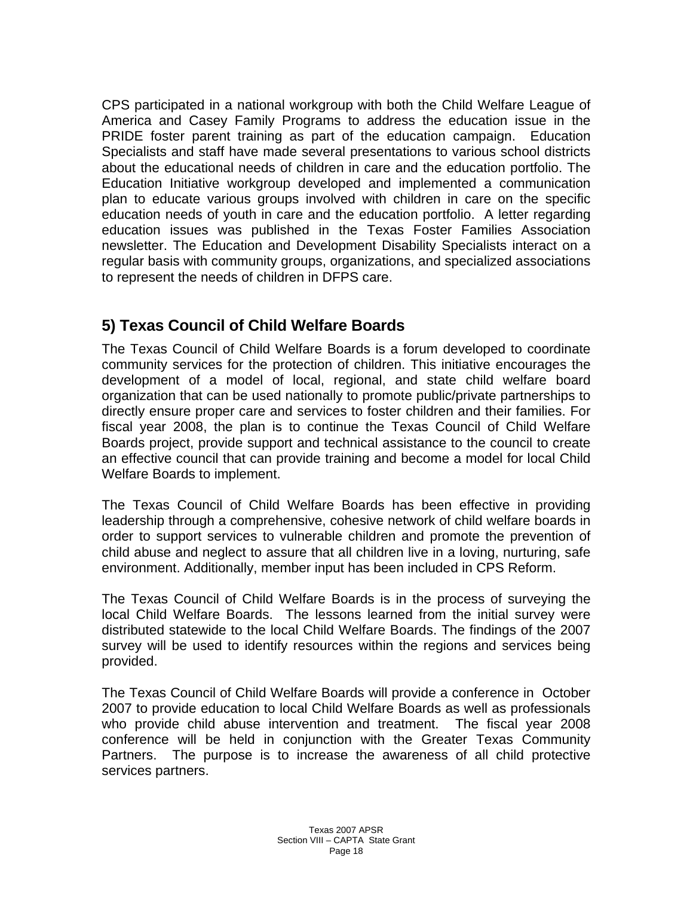CPS participated in a national workgroup with both the Child Welfare League of America and Casey Family Programs to address the education issue in the PRIDE foster parent training as part of the education campaign. Education Specialists and staff have made several presentations to various school districts about the educational needs of children in care and the education portfolio. The Education Initiative workgroup developed and implemented a communication plan to educate various groups involved with children in care on the specific education needs of youth in care and the education portfolio. A letter regarding education issues was published in the Texas Foster Families Association newsletter. The Education and Development Disability Specialists interact on a regular basis with community groups, organizations, and specialized associations to represent the needs of children in DFPS care.

## **5) Texas Council of Child Welfare Boards**

The Texas Council of Child Welfare Boards is a forum developed to coordinate community services for the protection of children. This initiative encourages the development of a model of local, regional, and state child welfare board organization that can be used nationally to promote public/private partnerships to directly ensure proper care and services to foster children and their families. For fiscal year 2008, the plan is to continue the Texas Council of Child Welfare Boards project, provide support and technical assistance to the council to create an effective council that can provide training and become a model for local Child Welfare Boards to implement.

The Texas Council of Child Welfare Boards has been effective in providing leadership through a comprehensive, cohesive network of child welfare boards in order to support services to vulnerable children and promote the prevention of child abuse and neglect to assure that all children live in a loving, nurturing, safe environment. Additionally, member input has been included in CPS Reform.

The Texas Council of Child Welfare Boards is in the process of surveying the local Child Welfare Boards. The lessons learned from the initial survey were distributed statewide to the local Child Welfare Boards. The findings of the 2007 survey will be used to identify resources within the regions and services being provided.

The Texas Council of Child Welfare Boards will provide a conference in October 2007 to provide education to local Child Welfare Boards as well as professionals who provide child abuse intervention and treatment. The fiscal year 2008 conference will be held in conjunction with the Greater Texas Community Partners. The purpose is to increase the awareness of all child protective services partners.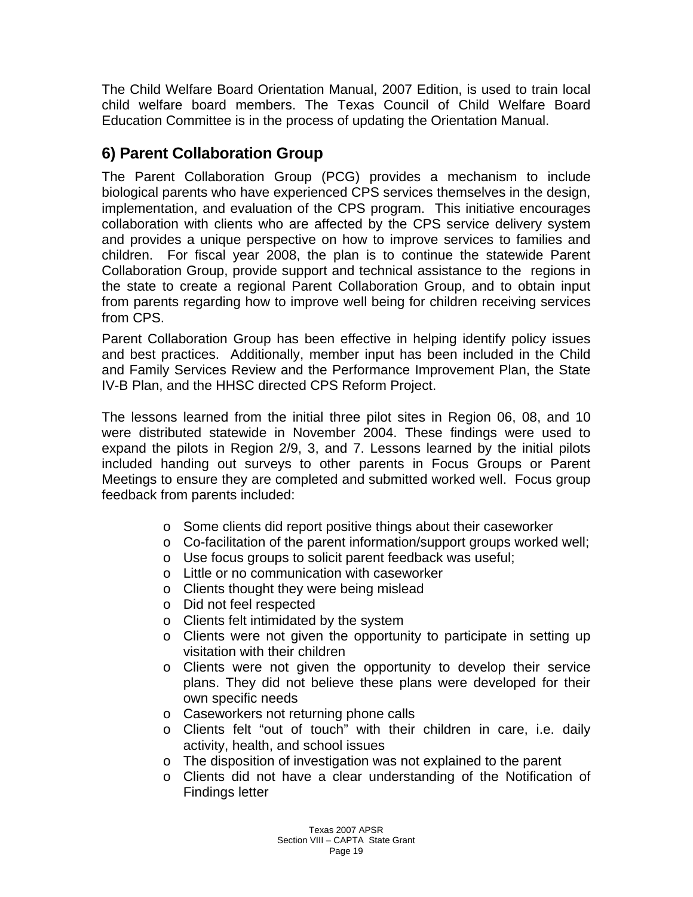The Child Welfare Board Orientation Manual, 2007 Edition, is used to train local child welfare board members. The Texas Council of Child Welfare Board Education Committee is in the process of updating the Orientation Manual.

# **6) Parent Collaboration Group**

The Parent Collaboration Group (PCG) provides a mechanism to include biological parents who have experienced CPS services themselves in the design, implementation, and evaluation of the CPS program. This initiative encourages collaboration with clients who are affected by the CPS service delivery system and provides a unique perspective on how to improve services to families and children. For fiscal year 2008, the plan is to continue the statewide Parent Collaboration Group, provide support and technical assistance to the regions in the state to create a regional Parent Collaboration Group, and to obtain input from parents regarding how to improve well being for children receiving services from CPS.

Parent Collaboration Group has been effective in helping identify policy issues and best practices. Additionally, member input has been included in the Child and Family Services Review and the Performance Improvement Plan, the State IV-B Plan, and the HHSC directed CPS Reform Project.

The lessons learned from the initial three pilot sites in Region 06, 08, and 10 were distributed statewide in November 2004. These findings were used to expand the pilots in Region 2/9, 3, and 7. Lessons learned by the initial pilots included handing out surveys to other parents in Focus Groups or Parent Meetings to ensure they are completed and submitted worked well. Focus group feedback from parents included:

- o Some clients did report positive things about their caseworker
- o Co-facilitation of the parent information/support groups worked well;
- o Use focus groups to solicit parent feedback was useful;
- o Little or no communication with caseworker
- o Clients thought they were being mislead
- o Did not feel respected
- o Clients felt intimidated by the system
- o Clients were not given the opportunity to participate in setting up visitation with their children
- o Clients were not given the opportunity to develop their service plans. They did not believe these plans were developed for their own specific needs
- o Caseworkers not returning phone calls
- o Clients felt "out of touch" with their children in care, i.e. daily activity, health, and school issues
- o The disposition of investigation was not explained to the parent
- o Clients did not have a clear understanding of the Notification of Findings letter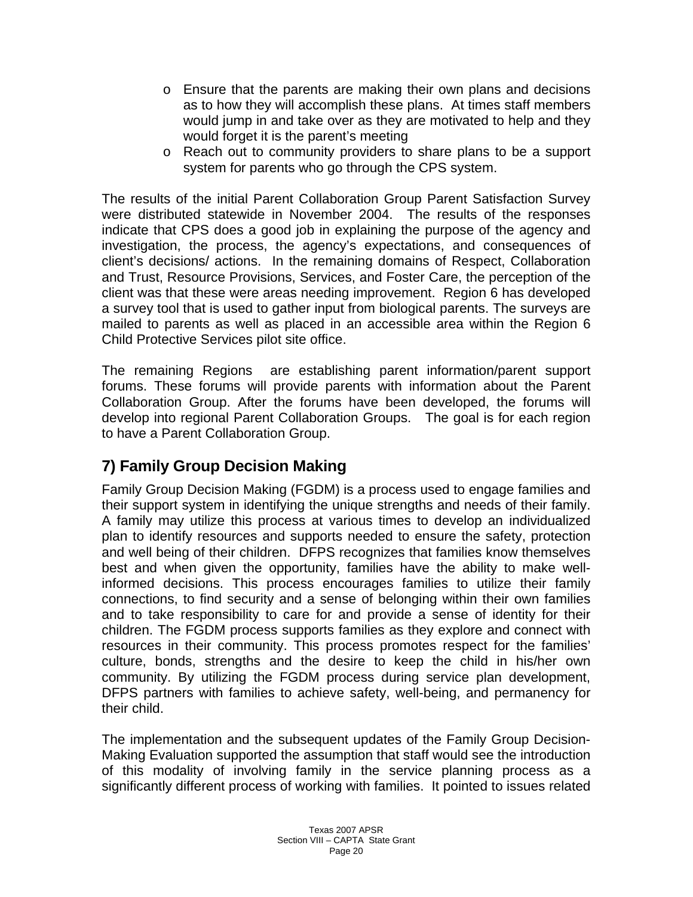- o Ensure that the parents are making their own plans and decisions as to how they will accomplish these plans. At times staff members would jump in and take over as they are motivated to help and they would forget it is the parent's meeting
- o Reach out to community providers to share plans to be a support system for parents who go through the CPS system.

The results of the initial Parent Collaboration Group Parent Satisfaction Survey were distributed statewide in November 2004. The results of the responses indicate that CPS does a good job in explaining the purpose of the agency and investigation, the process, the agency's expectations, and consequences of client's decisions/ actions. In the remaining domains of Respect, Collaboration and Trust, Resource Provisions, Services, and Foster Care, the perception of the client was that these were areas needing improvement. Region 6 has developed a survey tool that is used to gather input from biological parents. The surveys are mailed to parents as well as placed in an accessible area within the Region 6 Child Protective Services pilot site office.

The remaining Regions are establishing parent information/parent support forums. These forums will provide parents with information about the Parent Collaboration Group. After the forums have been developed, the forums will develop into regional Parent Collaboration Groups. The goal is for each region to have a Parent Collaboration Group.

# **7) Family Group Decision Making**

Family Group Decision Making (FGDM) is a process used to engage families and their support system in identifying the unique strengths and needs of their family. A family may utilize this process at various times to develop an individualized plan to identify resources and supports needed to ensure the safety, protection and well being of their children. DFPS recognizes that families know themselves best and when given the opportunity, families have the ability to make wellinformed decisions. This process encourages families to utilize their family connections, to find security and a sense of belonging within their own families and to take responsibility to care for and provide a sense of identity for their children. The FGDM process supports families as they explore and connect with resources in their community. This process promotes respect for the families' culture, bonds, strengths and the desire to keep the child in his/her own community. By utilizing the FGDM process during service plan development, DFPS partners with families to achieve safety, well-being, and permanency for their child.

The implementation and the subsequent updates of the Family Group Decision-Making Evaluation supported the assumption that staff would see the introduction of this modality of involving family in the service planning process as a significantly different process of working with families. It pointed to issues related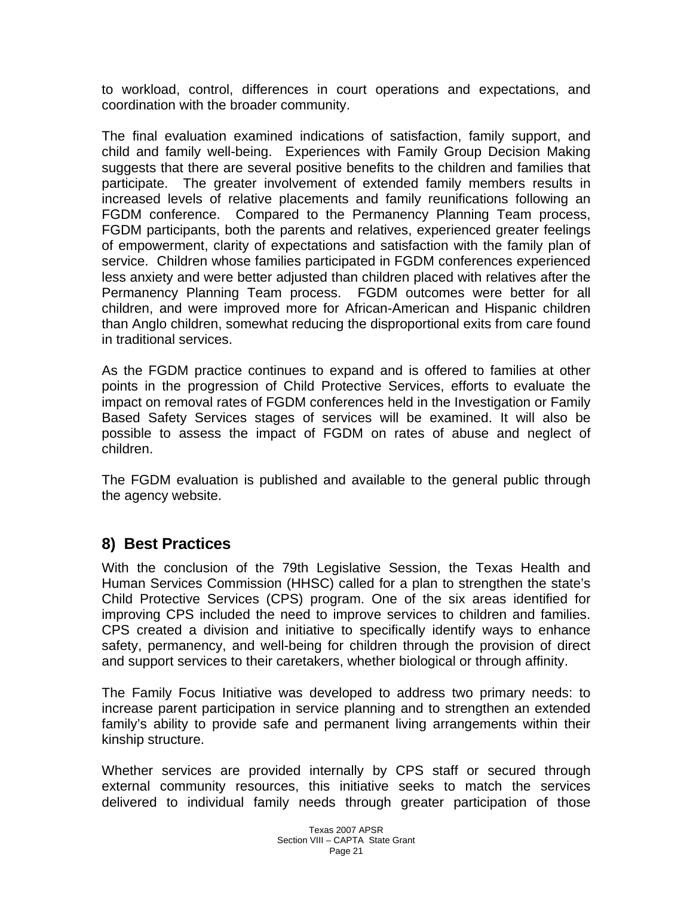to workload, control, differences in court operations and expectations, and coordination with the broader community.

The final evaluation examined indications of satisfaction, family support, and child and family well-being. Experiences with Family Group Decision Making suggests that there are several positive benefits to the children and families that participate. The greater involvement of extended family members results in increased levels of relative placements and family reunifications following an FGDM conference. Compared to the Permanency Planning Team process, FGDM participants, both the parents and relatives, experienced greater feelings of empowerment, clarity of expectations and satisfaction with the family plan of service. Children whose families participated in FGDM conferences experienced less anxiety and were better adjusted than children placed with relatives after the Permanency Planning Team process. FGDM outcomes were better for all children, and were improved more for African-American and Hispanic children than Anglo children, somewhat reducing the disproportional exits from care found in traditional services.

As the FGDM practice continues to expand and is offered to families at other points in the progression of Child Protective Services, efforts to evaluate the impact on removal rates of FGDM conferences held in the Investigation or Family Based Safety Services stages of services will be examined. It will also be possible to assess the impact of FGDM on rates of abuse and neglect of children.

The FGDM evaluation is published and available to the general public through the agency website.

## **8) Best Practices**

With the conclusion of the 79th Legislative Session, the Texas Health and Human Services Commission (HHSC) called for a plan to strengthen the state's Child Protective Services (CPS) program. One of the six areas identified for improving CPS included the need to improve services to children and families. CPS created a division and initiative to specifically identify ways to enhance safety, permanency, and well-being for children through the provision of direct and support services to their caretakers, whether biological or through affinity.

The Family Focus Initiative was developed to address two primary needs: to increase parent participation in service planning and to strengthen an extended family's ability to provide safe and permanent living arrangements within their kinship structure.

Whether services are provided internally by CPS staff or secured through external community resources, this initiative seeks to match the services delivered to individual family needs through greater participation of those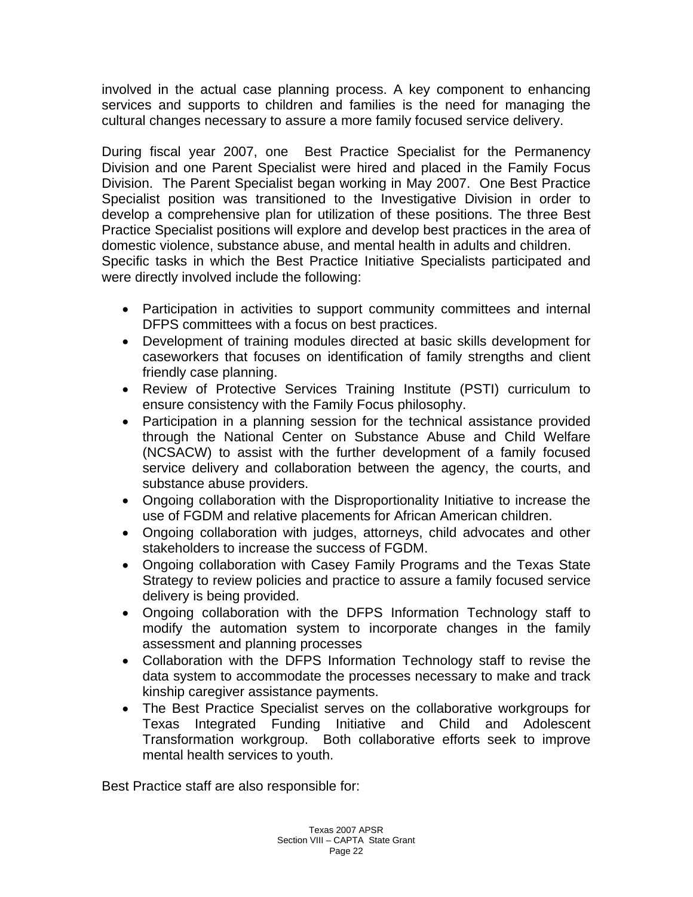involved in the actual case planning process. A key component to enhancing services and supports to children and families is the need for managing the cultural changes necessary to assure a more family focused service delivery.

During fiscal year 2007, one Best Practice Specialist for the Permanency Division and one Parent Specialist were hired and placed in the Family Focus Division. The Parent Specialist began working in May 2007. One Best Practice Specialist position was transitioned to the Investigative Division in order to develop a comprehensive plan for utilization of these positions. The three Best Practice Specialist positions will explore and develop best practices in the area of domestic violence, substance abuse, and mental health in adults and children. Specific tasks in which the Best Practice Initiative Specialists participated and

were directly involved include the following:

- Participation in activities to support community committees and internal DFPS committees with a focus on best practices.
- Development of training modules directed at basic skills development for caseworkers that focuses on identification of family strengths and client friendly case planning.
- Review of Protective Services Training Institute (PSTI) curriculum to ensure consistency with the Family Focus philosophy.
- Participation in a planning session for the technical assistance provided through the National Center on Substance Abuse and Child Welfare (NCSACW) to assist with the further development of a family focused service delivery and collaboration between the agency, the courts, and substance abuse providers.
- Ongoing collaboration with the Disproportionality Initiative to increase the use of FGDM and relative placements for African American children.
- Ongoing collaboration with judges, attorneys, child advocates and other stakeholders to increase the success of FGDM.
- Ongoing collaboration with Casey Family Programs and the Texas State Strategy to review policies and practice to assure a family focused service delivery is being provided.
- Ongoing collaboration with the DFPS Information Technology staff to modify the automation system to incorporate changes in the family assessment and planning processes
- Collaboration with the DFPS Information Technology staff to revise the data system to accommodate the processes necessary to make and track kinship caregiver assistance payments.
- The Best Practice Specialist serves on the collaborative workgroups for Texas Integrated Funding Initiative and Child and Adolescent Transformation workgroup. Both collaborative efforts seek to improve mental health services to youth.

Best Practice staff are also responsible for: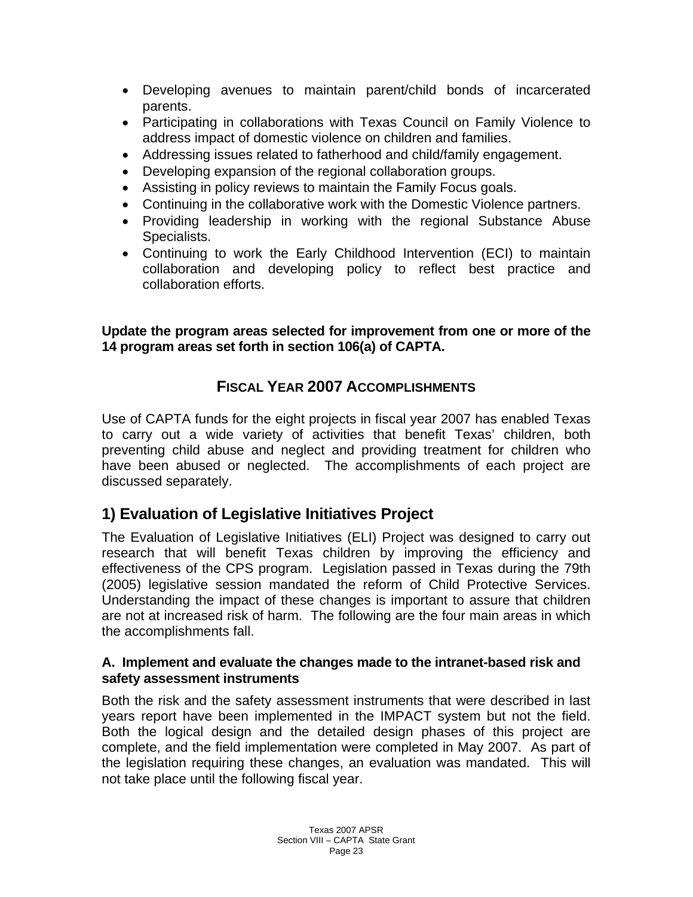- Developing avenues to maintain parent/child bonds of incarcerated parents.
- Participating in collaborations with Texas Council on Family Violence to address impact of domestic violence on children and families.
- Addressing issues related to fatherhood and child/family engagement.
- Developing expansion of the regional collaboration groups.
- Assisting in policy reviews to maintain the Family Focus goals.
- Continuing in the collaborative work with the Domestic Violence partners.
- Providing leadership in working with the regional Substance Abuse Specialists.
- Continuing to work the Early Childhood Intervention (ECI) to maintain collaboration and developing policy to reflect best practice and collaboration efforts.

**Update the program areas selected for improvement from one or more of the 14 program areas set forth in section 106(a) of CAPTA.** 

## **FISCAL YEAR 2007 ACCOMPLISHMENTS**

Use of CAPTA funds for the eight projects in fiscal year 2007 has enabled Texas to carry out a wide variety of activities that benefit Texas' children, both preventing child abuse and neglect and providing treatment for children who have been abused or neglected. The accomplishments of each project are discussed separately.

## **1) Evaluation of Legislative Initiatives Project**

The Evaluation of Legislative Initiatives (ELI) Project was designed to carry out research that will benefit Texas children by improving the efficiency and effectiveness of the CPS program. Legislation passed in Texas during the 79th (2005) legislative session mandated the reform of Child Protective Services. Understanding the impact of these changes is important to assure that children are not at increased risk of harm. The following are the four main areas in which the accomplishments fall.

#### **A. Implement and evaluate the changes made to the intranet-based risk and safety assessment instruments**

Both the risk and the safety assessment instruments that were described in last years report have been implemented in the IMPACT system but not the field. Both the logical design and the detailed design phases of this project are complete, and the field implementation were completed in May 2007. As part of the legislation requiring these changes, an evaluation was mandated. This will not take place until the following fiscal year.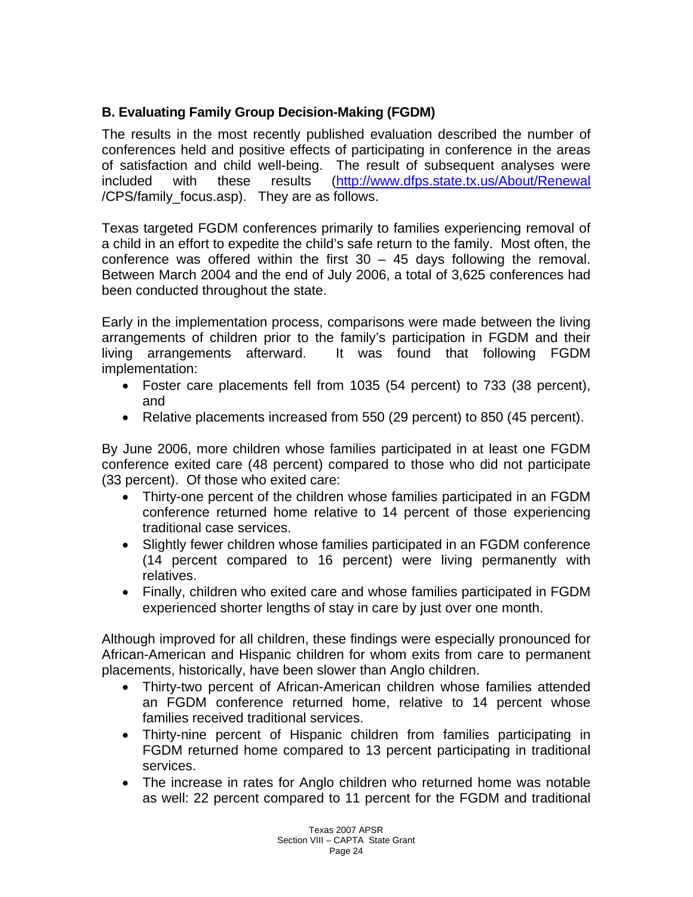### **B. Evaluating Family Group Decision-Making (FGDM)**

The results in the most recently published evaluation described the number of conferences held and positive effects of participating in conference in the areas of satisfaction and child well-being. The result of subsequent analyses were included with these results [\(http://www.dfps.state.tx.us/About/Renewal](http://www.dfps.state.tx.us/About/Renewal) /CPS/family\_focus.asp). They are as follows.

Texas targeted FGDM conferences primarily to families experiencing removal of a child in an effort to expedite the child's safe return to the family. Most often, the conference was offered within the first  $30 - 45$  days following the removal. Between March 2004 and the end of July 2006, a total of 3,625 conferences had been conducted throughout the state.

Early in the implementation process, comparisons were made between the living arrangements of children prior to the family's participation in FGDM and their living arrangements afterward. It was found that following FGDM implementation:

- Foster care placements fell from 1035 (54 percent) to 733 (38 percent), and
- Relative placements increased from 550 (29 percent) to 850 (45 percent).

By June 2006, more children whose families participated in at least one FGDM conference exited care (48 percent) compared to those who did not participate (33 percent). Of those who exited care:

- Thirty-one percent of the children whose families participated in an FGDM conference returned home relative to 14 percent of those experiencing traditional case services.
- Slightly fewer children whose families participated in an FGDM conference (14 percent compared to 16 percent) were living permanently with relatives.
- Finally, children who exited care and whose families participated in FGDM experienced shorter lengths of stay in care by just over one month.

Although improved for all children, these findings were especially pronounced for African-American and Hispanic children for whom exits from care to permanent placements, historically, have been slower than Anglo children.

- Thirty-two percent of African-American children whose families attended an FGDM conference returned home, relative to 14 percent whose families received traditional services.
- Thirty-nine percent of Hispanic children from families participating in FGDM returned home compared to 13 percent participating in traditional services.
- The increase in rates for Anglo children who returned home was notable as well: 22 percent compared to 11 percent for the FGDM and traditional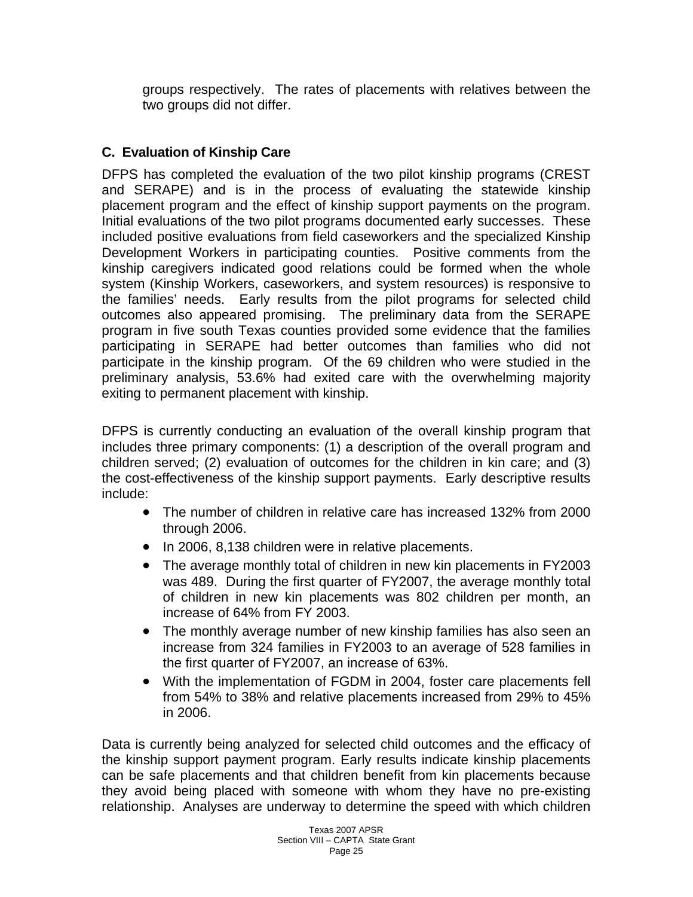groups respectively. The rates of placements with relatives between the two groups did not differ.

### **C. Evaluation of Kinship Care**

DFPS has completed the evaluation of the two pilot kinship programs (CREST and SERAPE) and is in the process of evaluating the statewide kinship placement program and the effect of kinship support payments on the program. Initial evaluations of the two pilot programs documented early successes. These included positive evaluations from field caseworkers and the specialized Kinship Development Workers in participating counties. Positive comments from the kinship caregivers indicated good relations could be formed when the whole system (Kinship Workers, caseworkers, and system resources) is responsive to the families' needs. Early results from the pilot programs for selected child outcomes also appeared promising. The preliminary data from the SERAPE program in five south Texas counties provided some evidence that the families participating in SERAPE had better outcomes than families who did not participate in the kinship program. Of the 69 children who were studied in the preliminary analysis, 53.6% had exited care with the overwhelming majority exiting to permanent placement with kinship.

DFPS is currently conducting an evaluation of the overall kinship program that includes three primary components: (1) a description of the overall program and children served; (2) evaluation of outcomes for the children in kin care; and (3) the cost-effectiveness of the kinship support payments. Early descriptive results include:

- The number of children in relative care has increased 132% from 2000 through 2006.
- In 2006, 8,138 children were in relative placements.
- The average monthly total of children in new kin placements in FY2003 was 489. During the first quarter of FY2007, the average monthly total of children in new kin placements was 802 children per month, an increase of 64% from FY 2003.
- The monthly average number of new kinship families has also seen an increase from 324 families in FY2003 to an average of 528 families in the first quarter of FY2007, an increase of 63%.
- With the implementation of FGDM in 2004, foster care placements fell from 54% to 38% and relative placements increased from 29% to 45% in 2006.

Data is currently being analyzed for selected child outcomes and the efficacy of the kinship support payment program. Early results indicate kinship placements can be safe placements and that children benefit from kin placements because they avoid being placed with someone with whom they have no pre-existing relationship. Analyses are underway to determine the speed with which children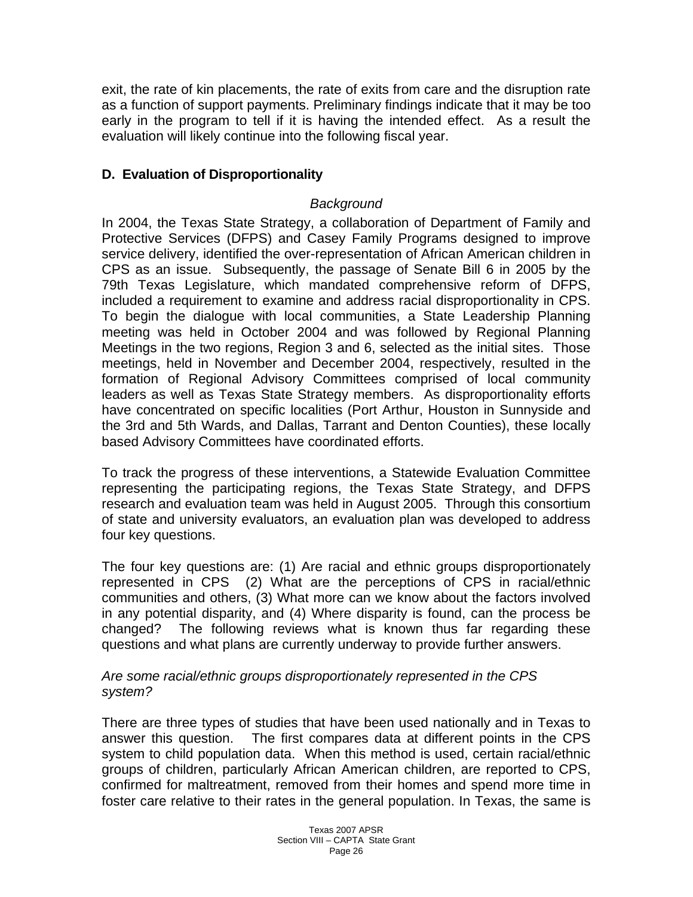exit, the rate of kin placements, the rate of exits from care and the disruption rate as a function of support payments. Preliminary findings indicate that it may be too early in the program to tell if it is having the intended effect. As a result the evaluation will likely continue into the following fiscal year.

### **D. Evaluation of Disproportionality**

#### *Background*

In 2004, the Texas State Strategy, a collaboration of Department of Family and Protective Services (DFPS) and Casey Family Programs designed to improve service delivery, identified the over-representation of African American children in CPS as an issue. Subsequently, the passage of Senate Bill 6 in 2005 by the 79th Texas Legislature, which mandated comprehensive reform of DFPS, included a requirement to examine and address racial disproportionality in CPS. To begin the dialogue with local communities, a State Leadership Planning meeting was held in October 2004 and was followed by Regional Planning Meetings in the two regions, Region 3 and 6, selected as the initial sites. Those meetings, held in November and December 2004, respectively, resulted in the formation of Regional Advisory Committees comprised of local community leaders as well as Texas State Strategy members. As disproportionality efforts have concentrated on specific localities (Port Arthur, Houston in Sunnyside and the 3rd and 5th Wards, and Dallas, Tarrant and Denton Counties), these locally based Advisory Committees have coordinated efforts.

To track the progress of these interventions, a Statewide Evaluation Committee representing the participating regions, the Texas State Strategy, and DFPS research and evaluation team was held in August 2005. Through this consortium of state and university evaluators, an evaluation plan was developed to address four key questions.

The four key questions are: (1) Are racial and ethnic groups disproportionately represented in CPS (2) What are the perceptions of CPS in racial/ethnic communities and others, (3) What more can we know about the factors involved in any potential disparity, and (4) Where disparity is found, can the process be changed? The following reviews what is known thus far regarding these questions and what plans are currently underway to provide further answers.

#### *Are some racial/ethnic groups disproportionately represented in the CPS system?*

There are three types of studies that have been used nationally and in Texas to answer this question. The first compares data at different points in the CPS system to child population data. When this method is used, certain racial/ethnic groups of children, particularly African American children, are reported to CPS, confirmed for maltreatment, removed from their homes and spend more time in foster care relative to their rates in the general population. In Texas, the same is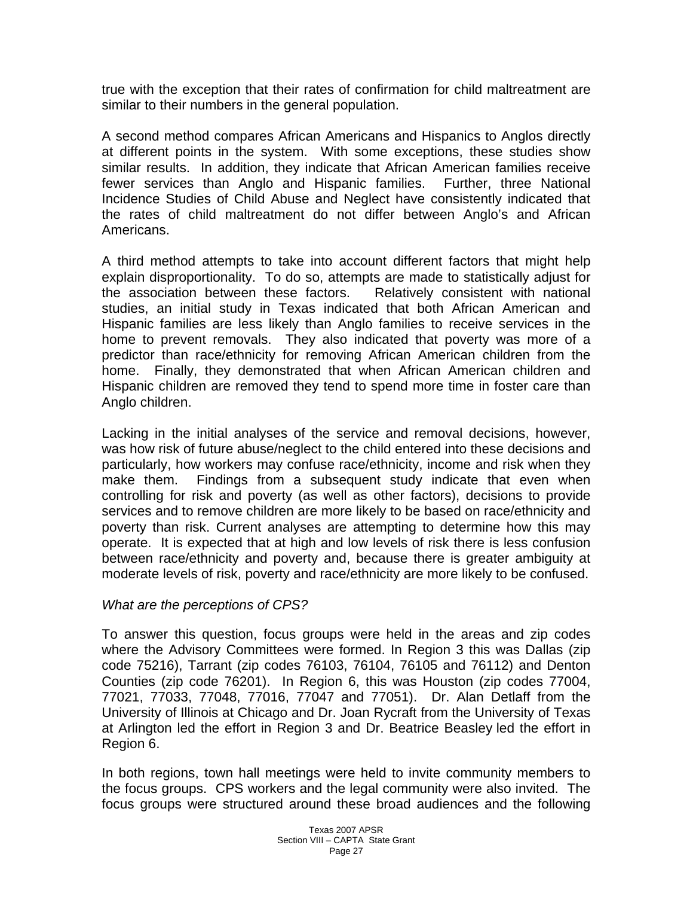true with the exception that their rates of confirmation for child maltreatment are similar to their numbers in the general population.

A second method compares African Americans and Hispanics to Anglos directly at different points in the system. With some exceptions, these studies show similar results. In addition, they indicate that African American families receive fewer services than Anglo and Hispanic families. Further, three National Incidence Studies of Child Abuse and Neglect have consistently indicated that the rates of child maltreatment do not differ between Anglo's and African Americans.

A third method attempts to take into account different factors that might help explain disproportionality. To do so, attempts are made to statistically adjust for the association between these factors. Relatively consistent with national studies, an initial study in Texas indicated that both African American and Hispanic families are less likely than Anglo families to receive services in the home to prevent removals. They also indicated that poverty was more of a predictor than race/ethnicity for removing African American children from the home. Finally, they demonstrated that when African American children and Hispanic children are removed they tend to spend more time in foster care than Anglo children.

Lacking in the initial analyses of the service and removal decisions, however, was how risk of future abuse/neglect to the child entered into these decisions and particularly, how workers may confuse race/ethnicity, income and risk when they make them. Findings from a subsequent study indicate that even when controlling for risk and poverty (as well as other factors), decisions to provide services and to remove children are more likely to be based on race/ethnicity and poverty than risk. Current analyses are attempting to determine how this may operate. It is expected that at high and low levels of risk there is less confusion between race/ethnicity and poverty and, because there is greater ambiguity at moderate levels of risk, poverty and race/ethnicity are more likely to be confused.

#### *What are the perceptions of CPS?*

To answer this question, focus groups were held in the areas and zip codes where the Advisory Committees were formed. In Region 3 this was Dallas (zip code 75216), Tarrant (zip codes 76103, 76104, 76105 and 76112) and Denton Counties (zip code 76201). In Region 6, this was Houston (zip codes 77004, 77021, 77033, 77048, 77016, 77047 and 77051). Dr. Alan Detlaff from the University of Illinois at Chicago and Dr. Joan Rycraft from the University of Texas at Arlington led the effort in Region 3 and Dr. Beatrice Beasley led the effort in Region 6.

In both regions, town hall meetings were held to invite community members to the focus groups. CPS workers and the legal community were also invited. The focus groups were structured around these broad audiences and the following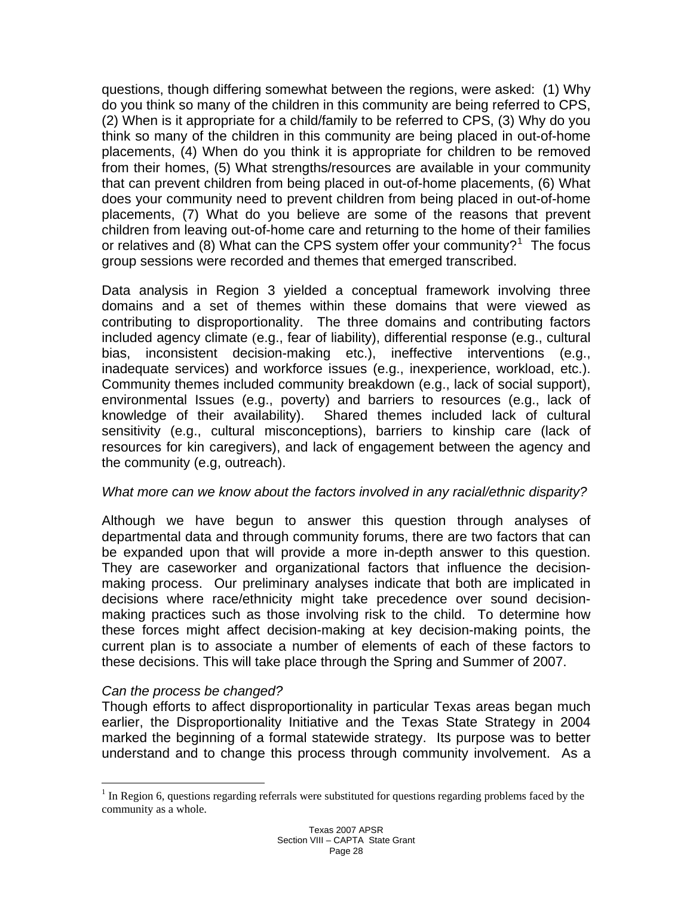questions, though differing somewhat between the regions, were asked: (1) Why do you think so many of the children in this community are being referred to CPS, (2) When is it appropriate for a child/family to be referred to CPS, (3) Why do you think so many of the children in this community are being placed in out-of-home placements, (4) When do you think it is appropriate for children to be removed from their homes, (5) What strengths/resources are available in your community that can prevent children from being placed in out-of-home placements, (6) What does your community need to prevent children from being placed in out-of-home placements, (7) What do you believe are some of the reasons that prevent children from leaving out-of-home care and returning to the home of their families or relatives and (8) What can the CPS system offer your community?<sup>[1](#page-27-0)</sup> The focus group sessions were recorded and themes that emerged transcribed.

Data analysis in Region 3 yielded a conceptual framework involving three domains and a set of themes within these domains that were viewed as contributing to disproportionality. The three domains and contributing factors included agency climate (e.g., fear of liability), differential response (e.g., cultural bias, inconsistent decision-making etc.), ineffective interventions (e.g., inadequate services) and workforce issues (e.g., inexperience, workload, etc.). Community themes included community breakdown (e.g., lack of social support), environmental Issues (e.g., poverty) and barriers to resources (e.g., lack of knowledge of their availability). Shared themes included lack of cultural sensitivity (e.g., cultural misconceptions), barriers to kinship care (lack of resources for kin caregivers), and lack of engagement between the agency and the community (e.g, outreach).

#### *What more can we know about the factors involved in any racial/ethnic disparity?*

Although we have begun to answer this question through analyses of departmental data and through community forums, there are two factors that can be expanded upon that will provide a more in-depth answer to this question. They are caseworker and organizational factors that influence the decisionmaking process. Our preliminary analyses indicate that both are implicated in decisions where race/ethnicity might take precedence over sound decisionmaking practices such as those involving risk to the child. To determine how these forces might affect decision-making at key decision-making points, the current plan is to associate a number of elements of each of these factors to these decisions. This will take place through the Spring and Summer of 2007.

#### *Can the process be changed?*

 $\overline{a}$ 

Though efforts to affect disproportionality in particular Texas areas began much earlier, the Disproportionality Initiative and the Texas State Strategy in 2004 marked the beginning of a formal statewide strategy. Its purpose was to better understand and to change this process through community involvement. As a

<span id="page-27-0"></span> $1$  In Region 6, questions regarding referrals were substituted for questions regarding problems faced by the community as a whole.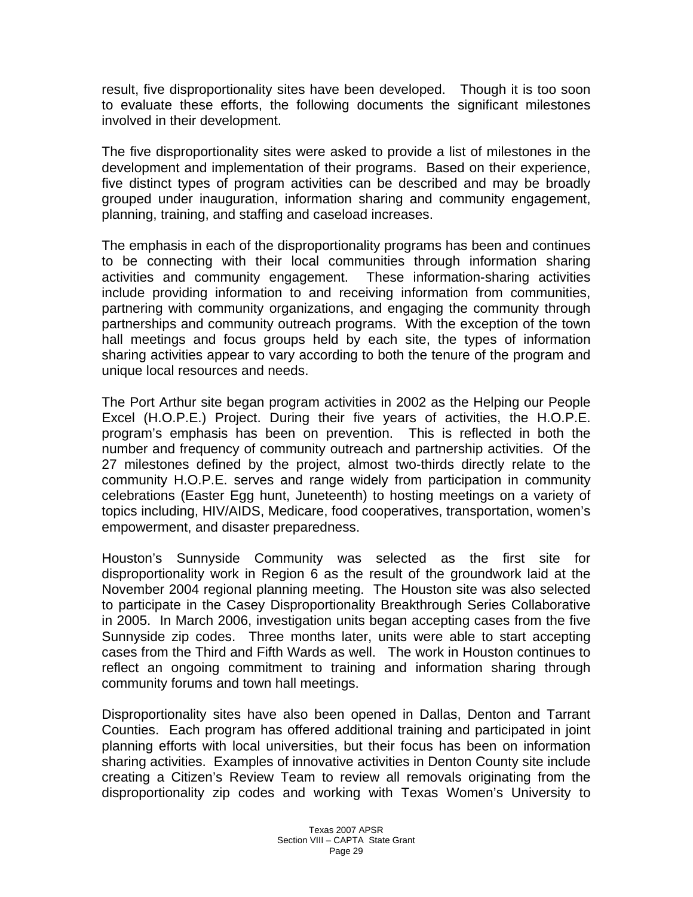result, five disproportionality sites have been developed. Though it is too soon to evaluate these efforts, the following documents the significant milestones involved in their development.

The five disproportionality sites were asked to provide a list of milestones in the development and implementation of their programs. Based on their experience, five distinct types of program activities can be described and may be broadly grouped under inauguration, information sharing and community engagement, planning, training, and staffing and caseload increases.

The emphasis in each of the disproportionality programs has been and continues to be connecting with their local communities through information sharing activities and community engagement. These information-sharing activities include providing information to and receiving information from communities, partnering with community organizations, and engaging the community through partnerships and community outreach programs. With the exception of the town hall meetings and focus groups held by each site, the types of information sharing activities appear to vary according to both the tenure of the program and unique local resources and needs.

The Port Arthur site began program activities in 2002 as the Helping our People Excel (H.O.P.E.) Project. During their five years of activities, the H.O.P.E. program's emphasis has been on prevention. This is reflected in both the number and frequency of community outreach and partnership activities. Of the 27 milestones defined by the project, almost two-thirds directly relate to the community H.O.P.E. serves and range widely from participation in community celebrations (Easter Egg hunt, Juneteenth) to hosting meetings on a variety of topics including, HIV/AIDS, Medicare, food cooperatives, transportation, women's empowerment, and disaster preparedness.

Houston's Sunnyside Community was selected as the first site for disproportionality work in Region 6 as the result of the groundwork laid at the November 2004 regional planning meeting. The Houston site was also selected to participate in the Casey Disproportionality Breakthrough Series Collaborative in 2005. In March 2006, investigation units began accepting cases from the five Sunnyside zip codes. Three months later, units were able to start accepting cases from the Third and Fifth Wards as well. The work in Houston continues to reflect an ongoing commitment to training and information sharing through community forums and town hall meetings.

Disproportionality sites have also been opened in Dallas, Denton and Tarrant Counties. Each program has offered additional training and participated in joint planning efforts with local universities, but their focus has been on information sharing activities. Examples of innovative activities in Denton County site include creating a Citizen's Review Team to review all removals originating from the disproportionality zip codes and working with Texas Women's University to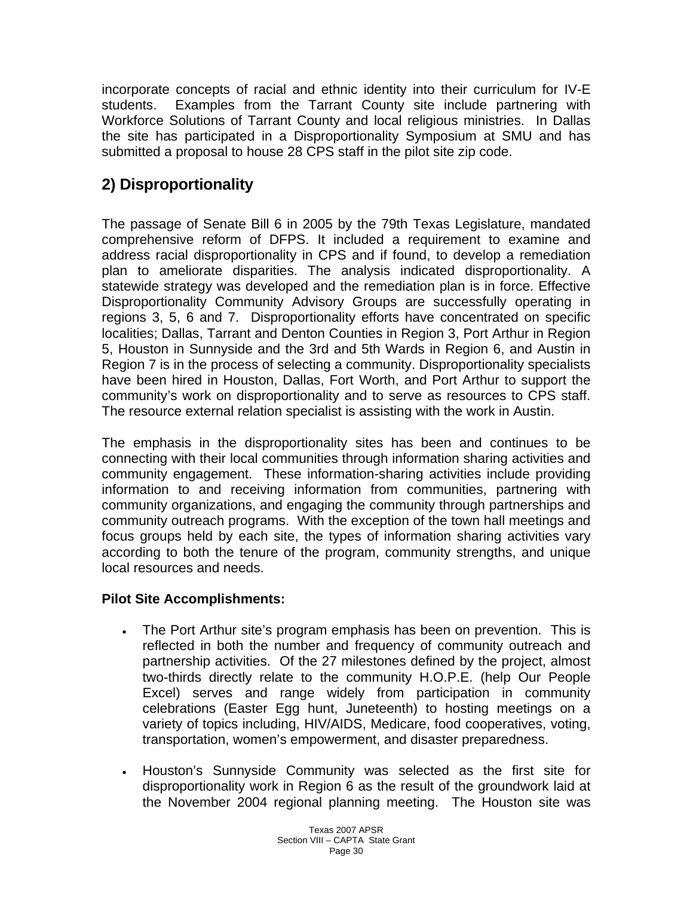incorporate concepts of racial and ethnic identity into their curriculum for IV-E students. Examples from the Tarrant County site include partnering with Workforce Solutions of Tarrant County and local religious ministries. In Dallas the site has participated in a Disproportionality Symposium at SMU and has submitted a proposal to house 28 CPS staff in the pilot site zip code.

# **2) Disproportionality**

The passage of Senate Bill 6 in 2005 by the 79th Texas Legislature, mandated comprehensive reform of DFPS. It included a requirement to examine and address racial disproportionality in CPS and if found, to develop a remediation plan to ameliorate disparities. The analysis indicated disproportionality. A statewide strategy was developed and the remediation plan is in force. Effective Disproportionality Community Advisory Groups are successfully operating in regions 3, 5, 6 and 7. Disproportionality efforts have concentrated on specific localities; Dallas, Tarrant and Denton Counties in Region 3, Port Arthur in Region 5, Houston in Sunnyside and the 3rd and 5th Wards in Region 6, and Austin in Region 7 is in the process of selecting a community. Disproportionality specialists have been hired in Houston, Dallas, Fort Worth, and Port Arthur to support the community's work on disproportionality and to serve as resources to CPS staff. The resource external relation specialist is assisting with the work in Austin.

The emphasis in the disproportionality sites has been and continues to be connecting with their local communities through information sharing activities and community engagement. These information-sharing activities include providing information to and receiving information from communities, partnering with community organizations, and engaging the community through partnerships and community outreach programs. With the exception of the town hall meetings and focus groups held by each site, the types of information sharing activities vary according to both the tenure of the program, community strengths, and unique local resources and needs.

### **Pilot Site Accomplishments:**

- The Port Arthur site's program emphasis has been on prevention. This is reflected in both the number and frequency of community outreach and partnership activities. Of the 27 milestones defined by the project, almost two-thirds directly relate to the community H.O.P.E. (help Our People Excel) serves and range widely from participation in community celebrations (Easter Egg hunt, Juneteenth) to hosting meetings on a variety of topics including, HIV/AIDS, Medicare, food cooperatives, voting, transportation, women's empowerment, and disaster preparedness.
- Houston's Sunnyside Community was selected as the first site for disproportionality work in Region 6 as the result of the groundwork laid at the November 2004 regional planning meeting. The Houston site was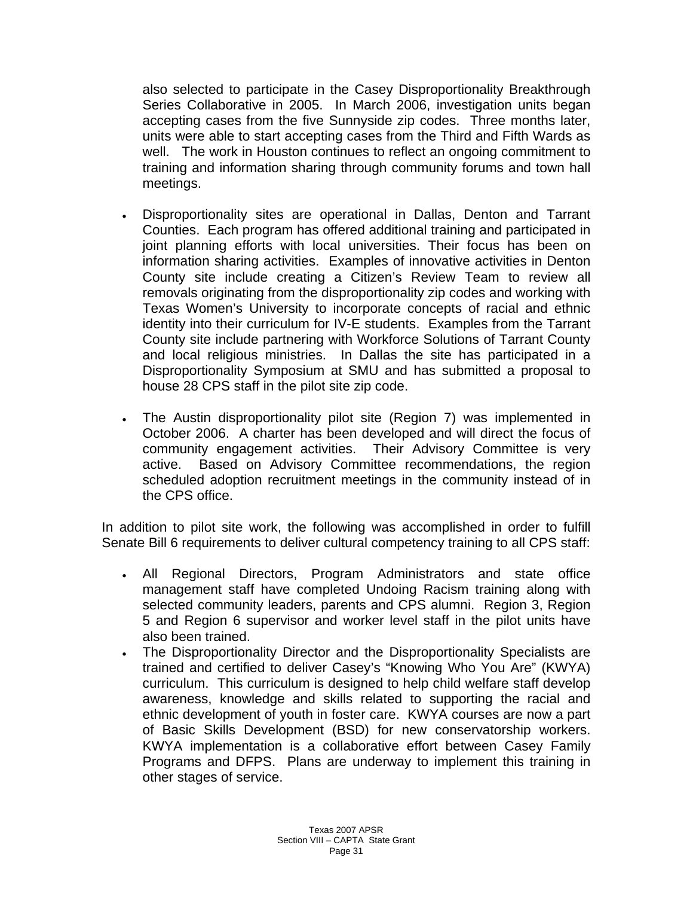also selected to participate in the Casey Disproportionality Breakthrough Series Collaborative in 2005. In March 2006, investigation units began accepting cases from the five Sunnyside zip codes. Three months later, units were able to start accepting cases from the Third and Fifth Wards as well. The work in Houston continues to reflect an ongoing commitment to training and information sharing through community forums and town hall meetings.

- Disproportionality sites are operational in Dallas, Denton and Tarrant Counties. Each program has offered additional training and participated in joint planning efforts with local universities. Their focus has been on information sharing activities. Examples of innovative activities in Denton County site include creating a Citizen's Review Team to review all removals originating from the disproportionality zip codes and working with Texas Women's University to incorporate concepts of racial and ethnic identity into their curriculum for IV-E students. Examples from the Tarrant County site include partnering with Workforce Solutions of Tarrant County and local religious ministries. In Dallas the site has participated in a Disproportionality Symposium at SMU and has submitted a proposal to house 28 CPS staff in the pilot site zip code.
- The Austin disproportionality pilot site (Region 7) was implemented in October 2006. A charter has been developed and will direct the focus of community engagement activities. Their Advisory Committee is very active. Based on Advisory Committee recommendations, the region scheduled adoption recruitment meetings in the community instead of in the CPS office.

In addition to pilot site work, the following was accomplished in order to fulfill Senate Bill 6 requirements to deliver cultural competency training to all CPS staff:

- All Regional Directors, Program Administrators and state office management staff have completed Undoing Racism training along with selected community leaders, parents and CPS alumni. Region 3, Region 5 and Region 6 supervisor and worker level staff in the pilot units have also been trained.
- The Disproportionality Director and the Disproportionality Specialists are trained and certified to deliver Casey's "Knowing Who You Are" (KWYA) curriculum. This curriculum is designed to help child welfare staff develop awareness, knowledge and skills related to supporting the racial and ethnic development of youth in foster care. KWYA courses are now a part of Basic Skills Development (BSD) for new conservatorship workers. KWYA implementation is a collaborative effort between Casey Family Programs and DFPS. Plans are underway to implement this training in other stages of service.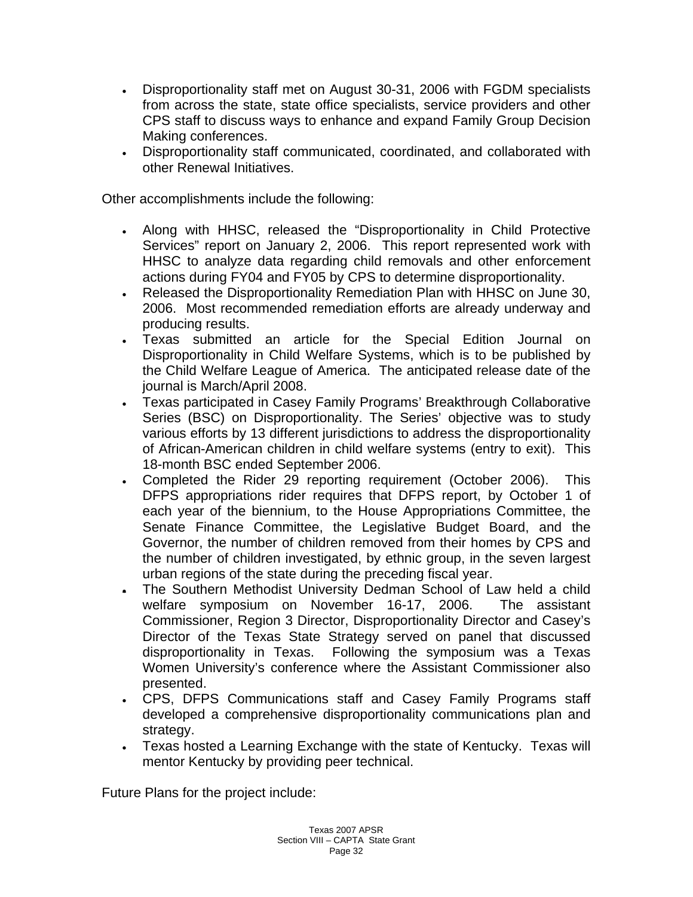- Disproportionality staff met on August 30-31, 2006 with FGDM specialists from across the state, state office specialists, service providers and other CPS staff to discuss ways to enhance and expand Family Group Decision Making conferences.
- Disproportionality staff communicated, coordinated, and collaborated with other Renewal Initiatives.

Other accomplishments include the following:

- Along with HHSC, released the "Disproportionality in Child Protective Services" report on January 2, 2006. This report represented work with HHSC to analyze data regarding child removals and other enforcement actions during FY04 and FY05 by CPS to determine disproportionality.
- Released the Disproportionality Remediation Plan with HHSC on June 30, 2006. Most recommended remediation efforts are already underway and producing results.
- Texas submitted an article for the Special Edition Journal on Disproportionality in Child Welfare Systems, which is to be published by the Child Welfare League of America. The anticipated release date of the journal is March/April 2008.
- Texas participated in Casey Family Programs' Breakthrough Collaborative Series (BSC) on Disproportionality. The Series' objective was to study various efforts by 13 different jurisdictions to address the disproportionality of African-American children in child welfare systems (entry to exit). This 18-month BSC ended September 2006.
- Completed the Rider 29 reporting requirement (October 2006). This DFPS appropriations rider requires that DFPS report, by October 1 of each year of the biennium, to the House Appropriations Committee, the Senate Finance Committee, the Legislative Budget Board, and the Governor, the number of children removed from their homes by CPS and the number of children investigated, by ethnic group, in the seven largest urban regions of the state during the preceding fiscal year.
- The Southern Methodist University Dedman School of Law held a child welfare symposium on November 16-17, 2006. The assistant Commissioner, Region 3 Director, Disproportionality Director and Casey's Director of the Texas State Strategy served on panel that discussed disproportionality in Texas. Following the symposium was a Texas Women University's conference where the Assistant Commissioner also presented.
- CPS, DFPS Communications staff and Casey Family Programs staff developed a comprehensive disproportionality communications plan and strategy.
- Texas hosted a Learning Exchange with the state of Kentucky. Texas will mentor Kentucky by providing peer technical.

Future Plans for the project include: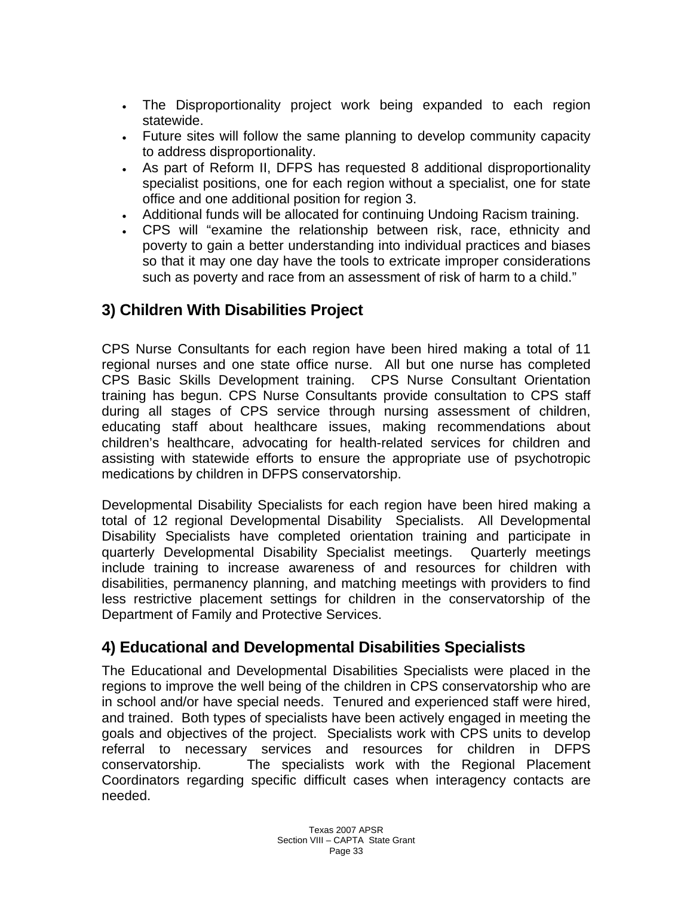- The Disproportionality project work being expanded to each region statewide.
- Future sites will follow the same planning to develop community capacity to address disproportionality.
- As part of Reform II, DFPS has requested 8 additional disproportionality specialist positions, one for each region without a specialist, one for state office and one additional position for region 3.
- Additional funds will be allocated for continuing Undoing Racism training.
- CPS will "examine the relationship between risk, race, ethnicity and poverty to gain a better understanding into individual practices and biases so that it may one day have the tools to extricate improper considerations such as poverty and race from an assessment of risk of harm to a child."

# **3) Children With Disabilities Project**

CPS Nurse Consultants for each region have been hired making a total of 11 regional nurses and one state office nurse. All but one nurse has completed CPS Basic Skills Development training. CPS Nurse Consultant Orientation training has begun. CPS Nurse Consultants provide consultation to CPS staff during all stages of CPS service through nursing assessment of children, educating staff about healthcare issues, making recommendations about children's healthcare, advocating for health-related services for children and assisting with statewide efforts to ensure the appropriate use of psychotropic medications by children in DFPS conservatorship.

Developmental Disability Specialists for each region have been hired making a total of 12 regional Developmental Disability Specialists. All Developmental Disability Specialists have completed orientation training and participate in quarterly Developmental Disability Specialist meetings. Quarterly meetings include training to increase awareness of and resources for children with disabilities, permanency planning, and matching meetings with providers to find less restrictive placement settings for children in the conservatorship of the Department of Family and Protective Services.

## **4) Educational and Developmental Disabilities Specialists**

The Educational and Developmental Disabilities Specialists were placed in the regions to improve the well being of the children in CPS conservatorship who are in school and/or have special needs. Tenured and experienced staff were hired, and trained. Both types of specialists have been actively engaged in meeting the goals and objectives of the project. Specialists work with CPS units to develop referral to necessary services and resources for children in DFPS conservatorship. The specialists work with the Regional Placement Coordinators regarding specific difficult cases when interagency contacts are needed.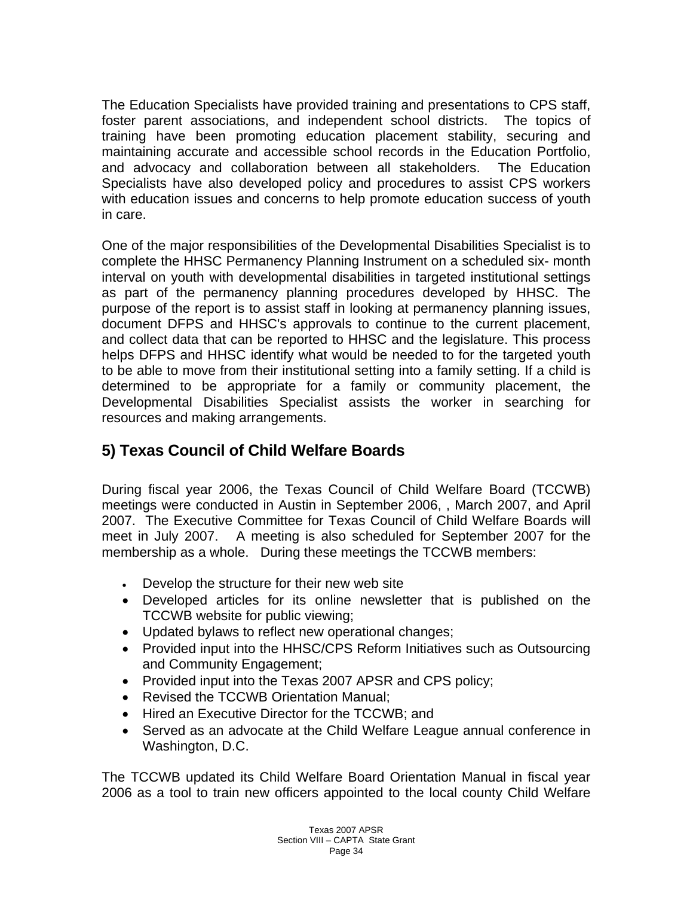The Education Specialists have provided training and presentations to CPS staff, foster parent associations, and independent school districts. The topics of training have been promoting education placement stability, securing and maintaining accurate and accessible school records in the Education Portfolio, and advocacy and collaboration between all stakeholders. The Education Specialists have also developed policy and procedures to assist CPS workers with education issues and concerns to help promote education success of youth in care.

One of the major responsibilities of the Developmental Disabilities Specialist is to complete the HHSC Permanency Planning Instrument on a scheduled six- month interval on youth with developmental disabilities in targeted institutional settings as part of the permanency planning procedures developed by HHSC. The purpose of the report is to assist staff in looking at permanency planning issues, document DFPS and HHSC's approvals to continue to the current placement, and collect data that can be reported to HHSC and the legislature. This process helps DFPS and HHSC identify what would be needed to for the targeted youth to be able to move from their institutional setting into a family setting. If a child is determined to be appropriate for a family or community placement, the Developmental Disabilities Specialist assists the worker in searching for resources and making arrangements.

# **5) Texas Council of Child Welfare Boards**

During fiscal year 2006, the Texas Council of Child Welfare Board (TCCWB) meetings were conducted in Austin in September 2006, , March 2007, and April 2007. The Executive Committee for Texas Council of Child Welfare Boards will meet in July 2007. A meeting is also scheduled for September 2007 for the membership as a whole. During these meetings the TCCWB members:

- Develop the structure for their new web site
- Developed articles for its online newsletter that is published on the TCCWB website for public viewing;
- Updated bylaws to reflect new operational changes;
- Provided input into the HHSC/CPS Reform Initiatives such as Outsourcing and Community Engagement;
- Provided input into the Texas 2007 APSR and CPS policy;
- Revised the TCCWB Orientation Manual;
- Hired an Executive Director for the TCCWB; and
- Served as an advocate at the Child Welfare League annual conference in Washington, D.C.

The TCCWB updated its Child Welfare Board Orientation Manual in fiscal year 2006 as a tool to train new officers appointed to the local county Child Welfare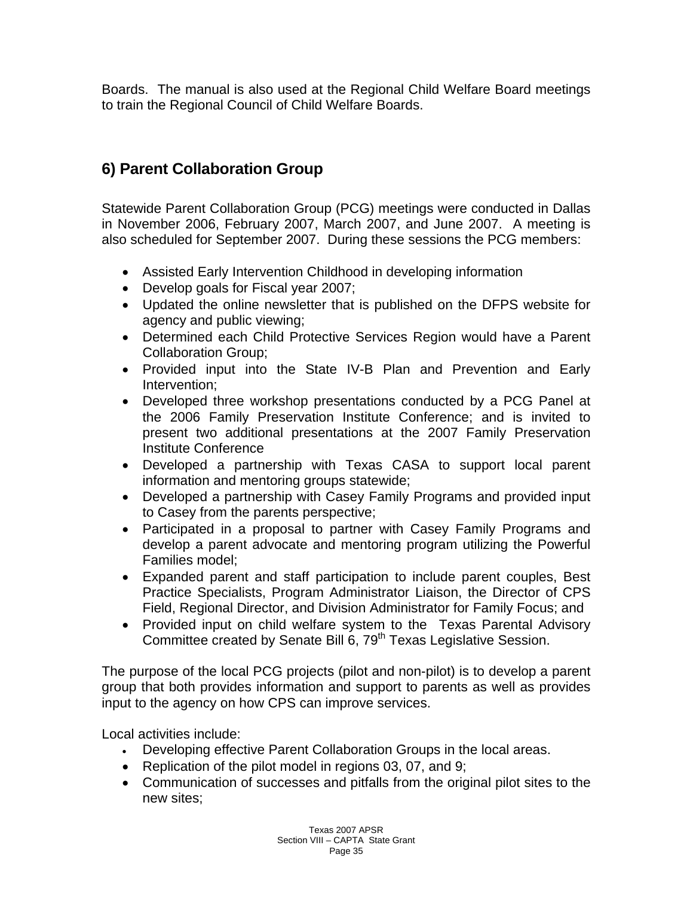Boards. The manual is also used at the Regional Child Welfare Board meetings to train the Regional Council of Child Welfare Boards.

# **6) Parent Collaboration Group**

Statewide Parent Collaboration Group (PCG) meetings were conducted in Dallas in November 2006, February 2007, March 2007, and June 2007. A meeting is also scheduled for September 2007. During these sessions the PCG members:

- Assisted Early Intervention Childhood in developing information
- Develop goals for Fiscal year 2007;
- Updated the online newsletter that is published on the DFPS website for agency and public viewing;
- Determined each Child Protective Services Region would have a Parent Collaboration Group;
- Provided input into the State IV-B Plan and Prevention and Early Intervention;
- Developed three workshop presentations conducted by a PCG Panel at the 2006 Family Preservation Institute Conference; and is invited to present two additional presentations at the 2007 Family Preservation Institute Conference
- Developed a partnership with Texas CASA to support local parent information and mentoring groups statewide;
- Developed a partnership with Casey Family Programs and provided input to Casey from the parents perspective;
- Participated in a proposal to partner with Casey Family Programs and develop a parent advocate and mentoring program utilizing the Powerful Families model;
- Expanded parent and staff participation to include parent couples, Best Practice Specialists, Program Administrator Liaison, the Director of CPS Field, Regional Director, and Division Administrator for Family Focus; and
- Provided input on child welfare system to the Texas Parental Advisory Committee created by Senate Bill 6, 79<sup>th</sup> Texas Legislative Session.

The purpose of the local PCG projects (pilot and non-pilot) is to develop a parent group that both provides information and support to parents as well as provides input to the agency on how CPS can improve services.

Local activities include:

- Developing effective Parent Collaboration Groups in the local areas.
- Replication of the pilot model in regions 03, 07, and 9;
- Communication of successes and pitfalls from the original pilot sites to the new sites;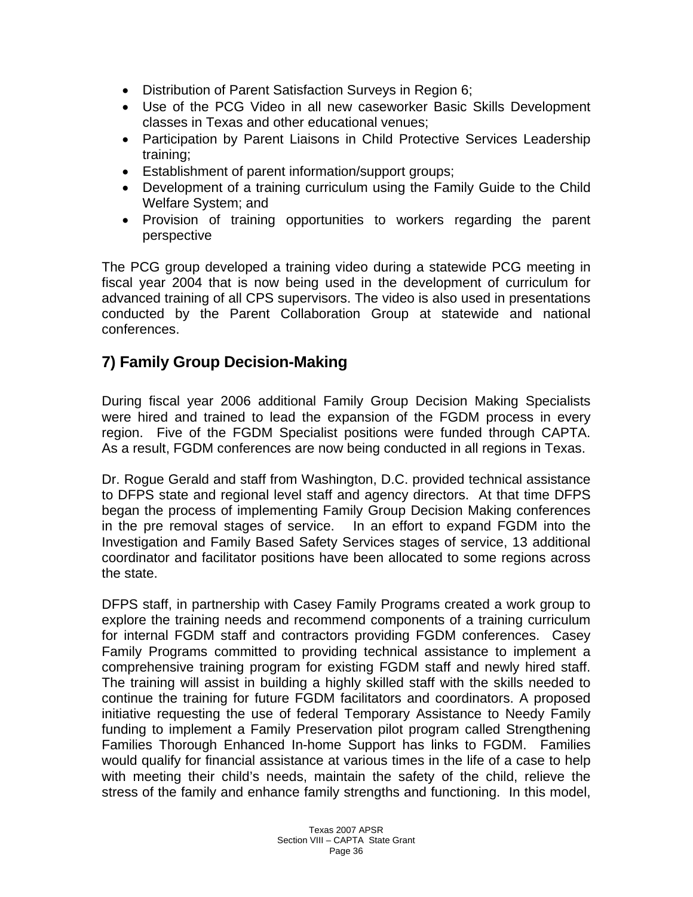- Distribution of Parent Satisfaction Surveys in Region 6;
- Use of the PCG Video in all new caseworker Basic Skills Development classes in Texas and other educational venues;
- Participation by Parent Liaisons in Child Protective Services Leadership training;
- Establishment of parent information/support groups;
- Development of a training curriculum using the Family Guide to the Child Welfare System; and
- Provision of training opportunities to workers regarding the parent perspective

The PCG group developed a training video during a statewide PCG meeting in fiscal year 2004 that is now being used in the development of curriculum for advanced training of all CPS supervisors. The video is also used in presentations conducted by the Parent Collaboration Group at statewide and national conferences.

## **7) Family Group Decision-Making**

During fiscal year 2006 additional Family Group Decision Making Specialists were hired and trained to lead the expansion of the FGDM process in every region. Five of the FGDM Specialist positions were funded through CAPTA. As a result, FGDM conferences are now being conducted in all regions in Texas.

Dr. Rogue Gerald and staff from Washington, D.C. provided technical assistance to DFPS state and regional level staff and agency directors. At that time DFPS began the process of implementing Family Group Decision Making conferences in the pre removal stages of service. In an effort to expand FGDM into the Investigation and Family Based Safety Services stages of service, 13 additional coordinator and facilitator positions have been allocated to some regions across the state.

DFPS staff, in partnership with Casey Family Programs created a work group to explore the training needs and recommend components of a training curriculum for internal FGDM staff and contractors providing FGDM conferences. Casey Family Programs committed to providing technical assistance to implement a comprehensive training program for existing FGDM staff and newly hired staff. The training will assist in building a highly skilled staff with the skills needed to continue the training for future FGDM facilitators and coordinators. A proposed initiative requesting the use of federal Temporary Assistance to Needy Family funding to implement a Family Preservation pilot program called Strengthening Families Thorough Enhanced In-home Support has links to FGDM. Families would qualify for financial assistance at various times in the life of a case to help with meeting their child's needs, maintain the safety of the child, relieve the stress of the family and enhance family strengths and functioning. In this model,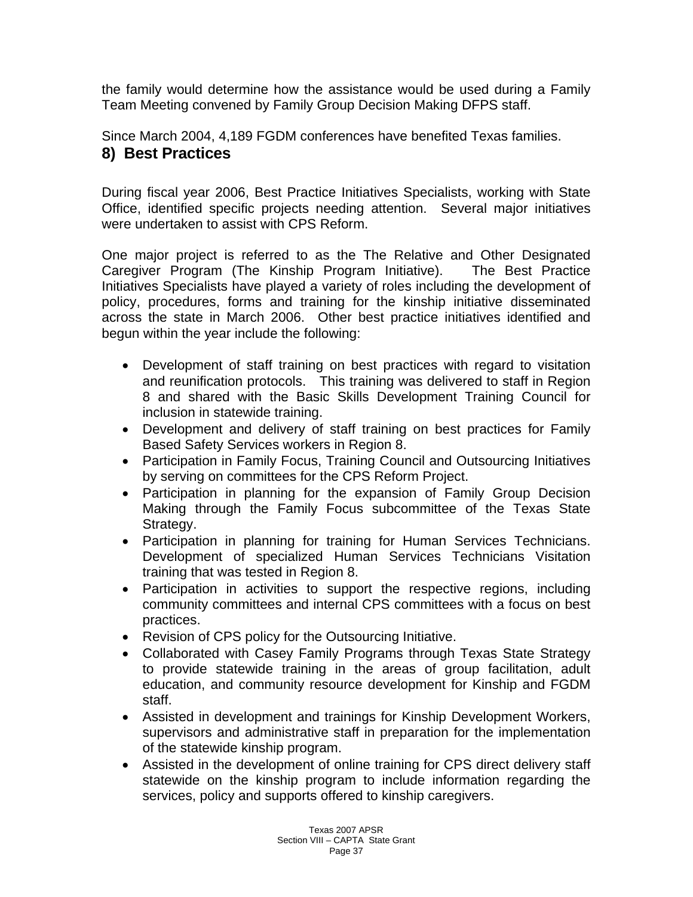the family would determine how the assistance would be used during a Family Team Meeting convened by Family Group Decision Making DFPS staff.

Since March 2004, 4,189 FGDM conferences have benefited Texas families. **8) Best Practices** 

During fiscal year 2006, Best Practice Initiatives Specialists, working with State Office, identified specific projects needing attention. Several major initiatives were undertaken to assist with CPS Reform.

One major project is referred to as the The Relative and Other Designated Caregiver Program (The Kinship Program Initiative). The Best Practice Initiatives Specialists have played a variety of roles including the development of policy, procedures, forms and training for the kinship initiative disseminated across the state in March 2006. Other best practice initiatives identified and begun within the year include the following:

- Development of staff training on best practices with regard to visitation and reunification protocols. This training was delivered to staff in Region 8 and shared with the Basic Skills Development Training Council for inclusion in statewide training.
- Development and delivery of staff training on best practices for Family Based Safety Services workers in Region 8.
- Participation in Family Focus, Training Council and Outsourcing Initiatives by serving on committees for the CPS Reform Project.
- Participation in planning for the expansion of Family Group Decision Making through the Family Focus subcommittee of the Texas State Strategy.
- Participation in planning for training for Human Services Technicians. Development of specialized Human Services Technicians Visitation training that was tested in Region 8.
- Participation in activities to support the respective regions, including community committees and internal CPS committees with a focus on best practices.
- Revision of CPS policy for the Outsourcing Initiative.
- Collaborated with Casey Family Programs through Texas State Strategy to provide statewide training in the areas of group facilitation, adult education, and community resource development for Kinship and FGDM staff.
- Assisted in development and trainings for Kinship Development Workers, supervisors and administrative staff in preparation for the implementation of the statewide kinship program.
- Assisted in the development of online training for CPS direct delivery staff statewide on the kinship program to include information regarding the services, policy and supports offered to kinship caregivers.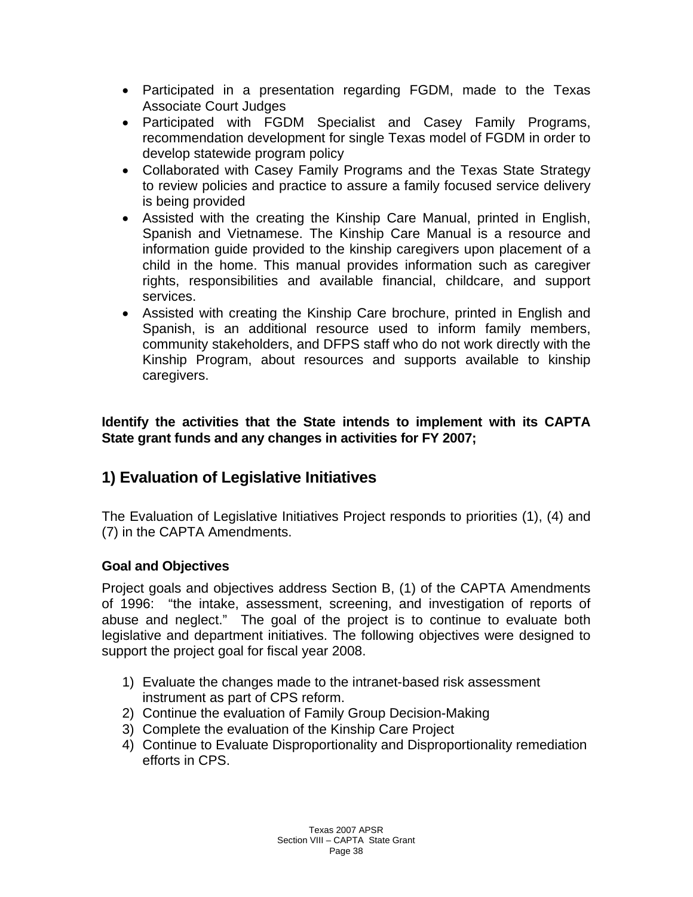- Participated in a presentation regarding FGDM, made to the Texas Associate Court Judges
- Participated with FGDM Specialist and Casey Family Programs, recommendation development for single Texas model of FGDM in order to develop statewide program policy
- Collaborated with Casey Family Programs and the Texas State Strategy to review policies and practice to assure a family focused service delivery is being provided
- Assisted with the creating the Kinship Care Manual, printed in English, Spanish and Vietnamese. The Kinship Care Manual is a resource and information guide provided to the kinship caregivers upon placement of a child in the home. This manual provides information such as caregiver rights, responsibilities and available financial, childcare, and support services.
- Assisted with creating the Kinship Care brochure, printed in English and Spanish, is an additional resource used to inform family members, community stakeholders, and DFPS staff who do not work directly with the Kinship Program, about resources and supports available to kinship caregivers.

**Identify the activities that the State intends to implement with its CAPTA State grant funds and any changes in activities for FY 2007;** 

# **1) Evaluation of Legislative Initiatives**

The Evaluation of Legislative Initiatives Project responds to priorities (1), (4) and (7) in the CAPTA Amendments.

# **Goal and Objectives**

Project goals and objectives address Section B, (1) of the CAPTA Amendments of 1996: "the intake, assessment, screening, and investigation of reports of abuse and neglect." The goal of the project is to continue to evaluate both legislative and department initiatives. The following objectives were designed to support the project goal for fiscal year 2008.

- 1) Evaluate the changes made to the intranet-based risk assessment instrument as part of CPS reform.
- 2) Continue the evaluation of Family Group Decision-Making
- 3) Complete the evaluation of the Kinship Care Project
- 4) Continue to Evaluate Disproportionality and Disproportionality remediation efforts in CPS.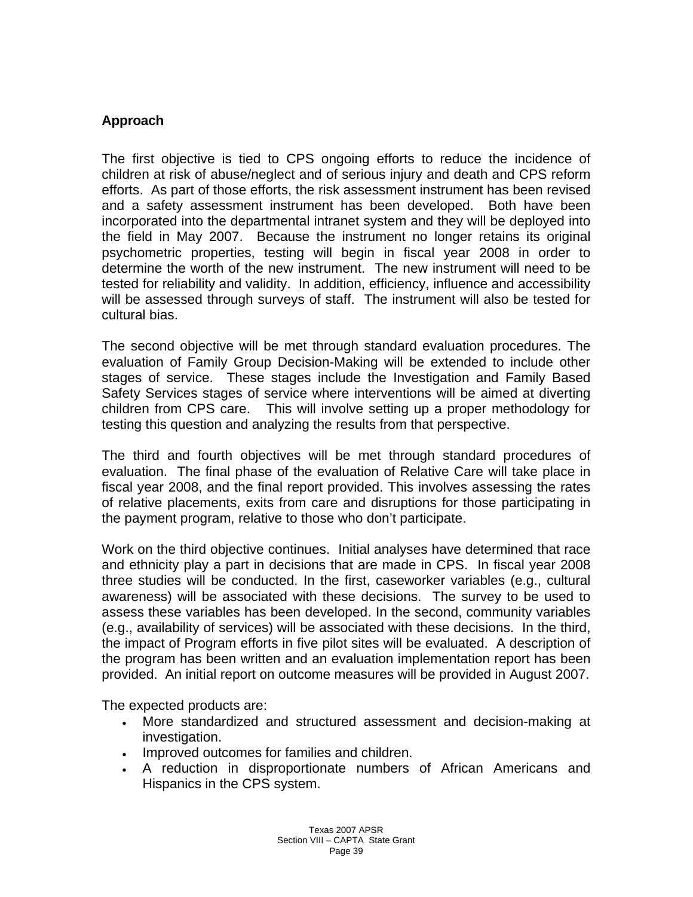#### **Approach**

The first objective is tied to CPS ongoing efforts to reduce the incidence of children at risk of abuse/neglect and of serious injury and death and CPS reform efforts. As part of those efforts, the risk assessment instrument has been revised and a safety assessment instrument has been developed. Both have been incorporated into the departmental intranet system and they will be deployed into the field in May 2007. Because the instrument no longer retains its original psychometric properties, testing will begin in fiscal year 2008 in order to determine the worth of the new instrument. The new instrument will need to be tested for reliability and validity. In addition, efficiency, influence and accessibility will be assessed through surveys of staff. The instrument will also be tested for cultural bias.

The second objective will be met through standard evaluation procedures. The evaluation of Family Group Decision-Making will be extended to include other stages of service. These stages include the Investigation and Family Based Safety Services stages of service where interventions will be aimed at diverting children from CPS care. This will involve setting up a proper methodology for testing this question and analyzing the results from that perspective.

The third and fourth objectives will be met through standard procedures of evaluation. The final phase of the evaluation of Relative Care will take place in fiscal year 2008, and the final report provided. This involves assessing the rates of relative placements, exits from care and disruptions for those participating in the payment program, relative to those who don't participate.

Work on the third objective continues. Initial analyses have determined that race and ethnicity play a part in decisions that are made in CPS. In fiscal year 2008 three studies will be conducted. In the first, caseworker variables (e.g., cultural awareness) will be associated with these decisions. The survey to be used to assess these variables has been developed. In the second, community variables (e.g., availability of services) will be associated with these decisions. In the third, the impact of Program efforts in five pilot sites will be evaluated. A description of the program has been written and an evaluation implementation report has been provided. An initial report on outcome measures will be provided in August 2007.

The expected products are:

- More standardized and structured assessment and decision-making at investigation.
- Improved outcomes for families and children.
- A reduction in disproportionate numbers of African Americans and Hispanics in the CPS system.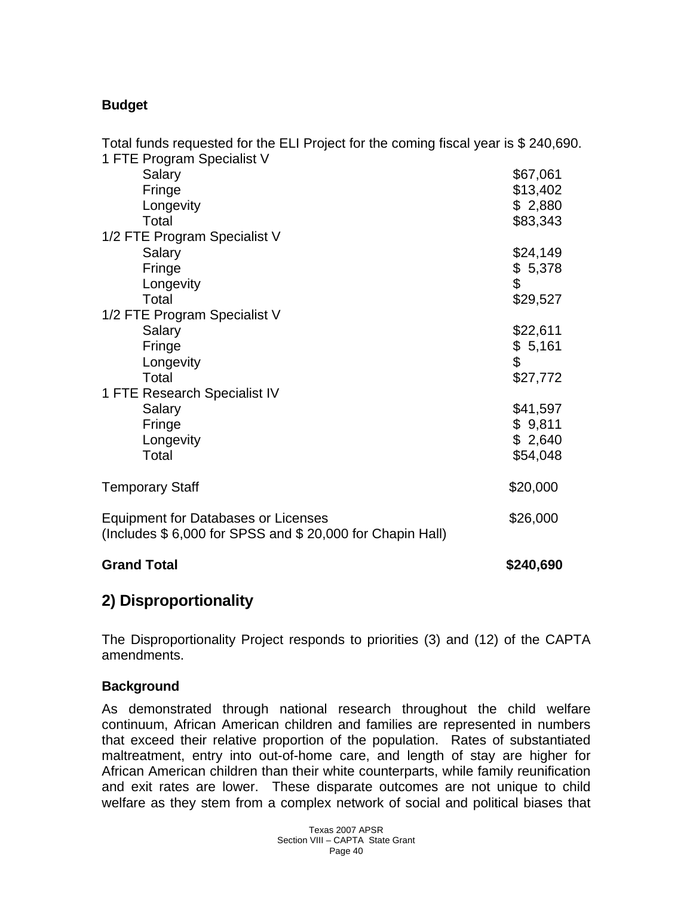# **Budget**

| Total funds requested for the ELI Project for the coming fiscal year is \$ 240,690.             |           |
|-------------------------------------------------------------------------------------------------|-----------|
| 1 FTE Program Specialist V                                                                      |           |
| Salary                                                                                          | \$67,061  |
| Fringe                                                                                          | \$13,402  |
| Longevity                                                                                       | \$2,880   |
| Total                                                                                           | \$83,343  |
| 1/2 FTE Program Specialist V                                                                    |           |
| Salary                                                                                          | \$24,149  |
| Fringe                                                                                          | \$5,378   |
| Longevity                                                                                       | \$        |
| Total                                                                                           | \$29,527  |
| 1/2 FTE Program Specialist V                                                                    |           |
| Salary                                                                                          | \$22,611  |
| Fringe                                                                                          | \$5,161   |
| Longevity                                                                                       | \$        |
| Total                                                                                           | \$27,772  |
| 1 FTE Research Specialist IV                                                                    |           |
| Salary                                                                                          | \$41,597  |
| Fringe                                                                                          | \$9,811   |
| Longevity                                                                                       | \$2,640   |
| Total                                                                                           | \$54,048  |
| <b>Temporary Staff</b>                                                                          | \$20,000  |
| Equipment for Databases or Licenses<br>(Includes \$6,000 for SPSS and \$20,000 for Chapin Hall) | \$26,000  |
| <b>Grand Total</b>                                                                              | \$240,690 |

# **2) Disproportionality**

The Disproportionality Project responds to priorities (3) and (12) of the CAPTA amendments.

#### **Background**

As demonstrated through national research throughout the child welfare continuum, African American children and families are represented in numbers that exceed their relative proportion of the population. Rates of substantiated maltreatment, entry into out-of-home care, and length of stay are higher for African American children than their white counterparts, while family reunification and exit rates are lower. These disparate outcomes are not unique to child welfare as they stem from a complex network of social and political biases that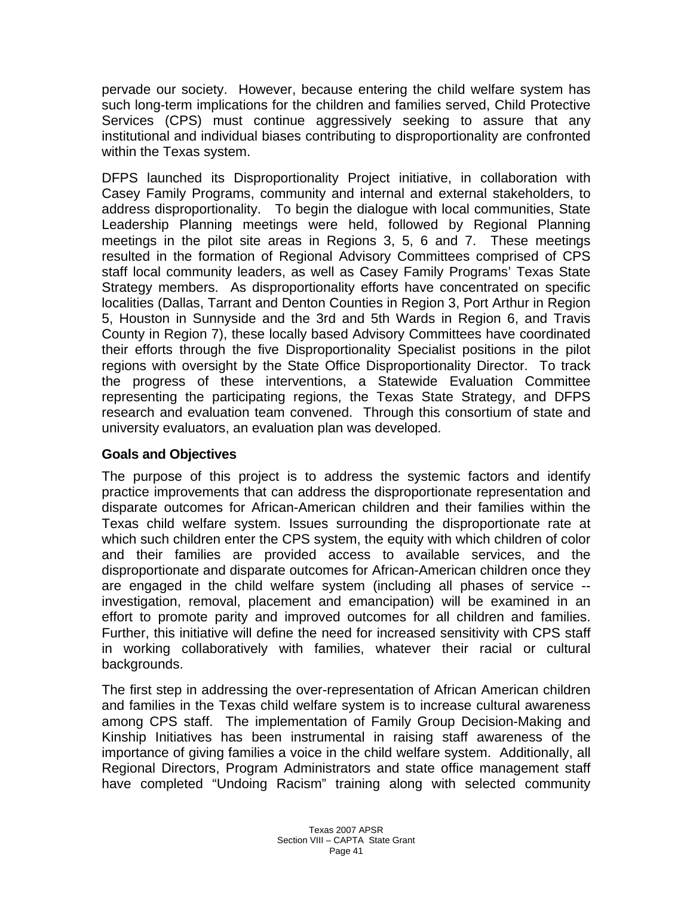pervade our society. However, because entering the child welfare system has such long-term implications for the children and families served, Child Protective Services (CPS) must continue aggressively seeking to assure that any institutional and individual biases contributing to disproportionality are confronted within the Texas system.

DFPS launched its Disproportionality Project initiative, in collaboration with Casey Family Programs, community and internal and external stakeholders, to address disproportionality. To begin the dialogue with local communities, State Leadership Planning meetings were held, followed by Regional Planning meetings in the pilot site areas in Regions 3, 5, 6 and 7. These meetings resulted in the formation of Regional Advisory Committees comprised of CPS staff local community leaders, as well as Casey Family Programs' Texas State Strategy members. As disproportionality efforts have concentrated on specific localities (Dallas, Tarrant and Denton Counties in Region 3, Port Arthur in Region 5, Houston in Sunnyside and the 3rd and 5th Wards in Region 6, and Travis County in Region 7), these locally based Advisory Committees have coordinated their efforts through the five Disproportionality Specialist positions in the pilot regions with oversight by the State Office Disproportionality Director. To track the progress of these interventions, a Statewide Evaluation Committee representing the participating regions, the Texas State Strategy, and DFPS research and evaluation team convened. Through this consortium of state and university evaluators, an evaluation plan was developed.

#### **Goals and Objectives**

The purpose of this project is to address the systemic factors and identify practice improvements that can address the disproportionate representation and disparate outcomes for African-American children and their families within the Texas child welfare system. Issues surrounding the disproportionate rate at which such children enter the CPS system, the equity with which children of color and their families are provided access to available services, and the disproportionate and disparate outcomes for African-American children once they are engaged in the child welfare system (including all phases of service - investigation, removal, placement and emancipation) will be examined in an effort to promote parity and improved outcomes for all children and families. Further, this initiative will define the need for increased sensitivity with CPS staff in working collaboratively with families, whatever their racial or cultural backgrounds.

The first step in addressing the over-representation of African American children and families in the Texas child welfare system is to increase cultural awareness among CPS staff. The implementation of Family Group Decision-Making and Kinship Initiatives has been instrumental in raising staff awareness of the importance of giving families a voice in the child welfare system. Additionally, all Regional Directors, Program Administrators and state office management staff have completed "Undoing Racism" training along with selected community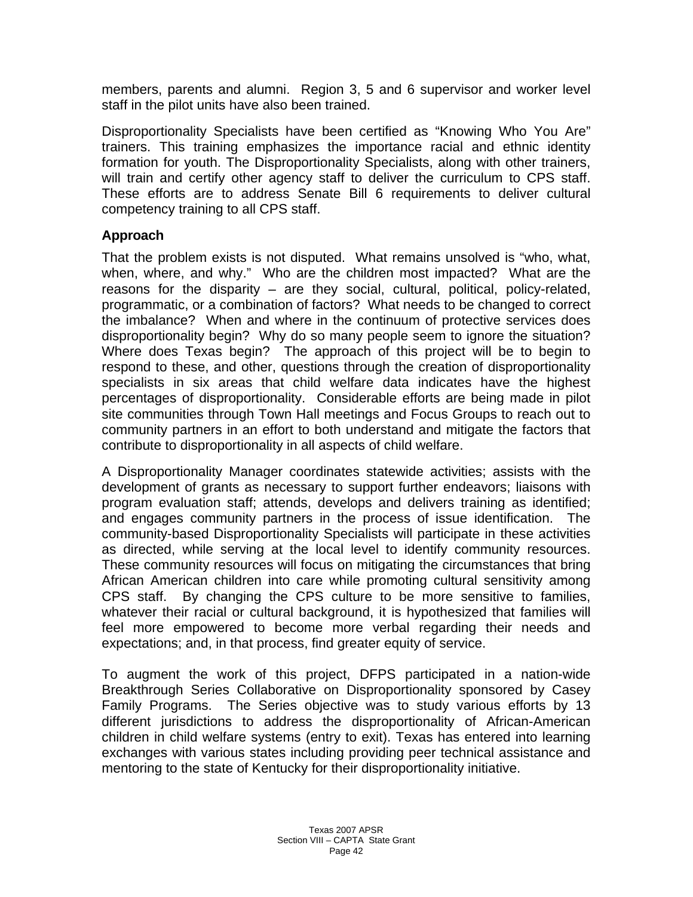members, parents and alumni. Region 3, 5 and 6 supervisor and worker level staff in the pilot units have also been trained.

Disproportionality Specialists have been certified as "Knowing Who You Are" trainers. This training emphasizes the importance racial and ethnic identity formation for youth. The Disproportionality Specialists, along with other trainers, will train and certify other agency staff to deliver the curriculum to CPS staff. These efforts are to address Senate Bill 6 requirements to deliver cultural competency training to all CPS staff.

#### **Approach**

That the problem exists is not disputed. What remains unsolved is "who, what, when, where, and why." Who are the children most impacted? What are the reasons for the disparity – are they social, cultural, political, policy-related, programmatic, or a combination of factors? What needs to be changed to correct the imbalance? When and where in the continuum of protective services does disproportionality begin? Why do so many people seem to ignore the situation? Where does Texas begin? The approach of this project will be to begin to respond to these, and other, questions through the creation of disproportionality specialists in six areas that child welfare data indicates have the highest percentages of disproportionality. Considerable efforts are being made in pilot site communities through Town Hall meetings and Focus Groups to reach out to community partners in an effort to both understand and mitigate the factors that contribute to disproportionality in all aspects of child welfare.

A Disproportionality Manager coordinates statewide activities; assists with the development of grants as necessary to support further endeavors; liaisons with program evaluation staff; attends, develops and delivers training as identified; and engages community partners in the process of issue identification. The community-based Disproportionality Specialists will participate in these activities as directed, while serving at the local level to identify community resources. These community resources will focus on mitigating the circumstances that bring African American children into care while promoting cultural sensitivity among CPS staff. By changing the CPS culture to be more sensitive to families, whatever their racial or cultural background, it is hypothesized that families will feel more empowered to become more verbal regarding their needs and expectations; and, in that process, find greater equity of service.

To augment the work of this project, DFPS participated in a nation-wide Breakthrough Series Collaborative on Disproportionality sponsored by Casey Family Programs. The Series objective was to study various efforts by 13 different jurisdictions to address the disproportionality of African-American children in child welfare systems (entry to exit). Texas has entered into learning exchanges with various states including providing peer technical assistance and mentoring to the state of Kentucky for their disproportionality initiative.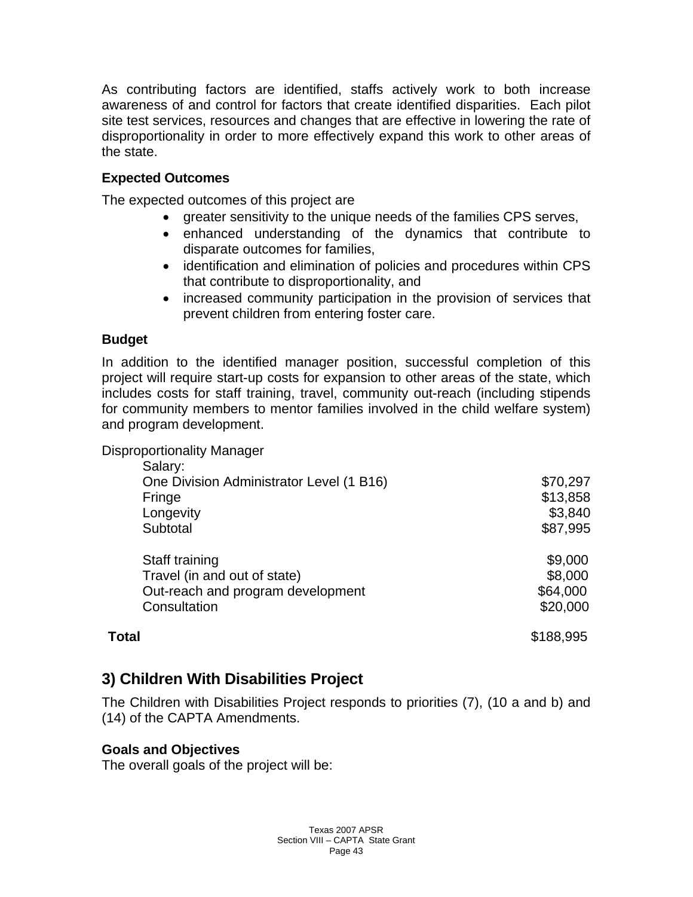As contributing factors are identified, staffs actively work to both increase awareness of and control for factors that create identified disparities. Each pilot site test services, resources and changes that are effective in lowering the rate of disproportionality in order to more effectively expand this work to other areas of the state.

# **Expected Outcomes**

The expected outcomes of this project are

- greater sensitivity to the unique needs of the families CPS serves,
- enhanced understanding of the dynamics that contribute to disparate outcomes for families,
- identification and elimination of policies and procedures within CPS that contribute to disproportionality, and
- increased community participation in the provision of services that prevent children from entering foster care.

# **Budget**

In addition to the identified manager position, successful completion of this project will require start-up costs for expansion to other areas of the state, which includes costs for staff training, travel, community out-reach (including stipends for community members to mentor families involved in the child welfare system) and program development.

Disproportionality Manager

| Salary:                                  |           |
|------------------------------------------|-----------|
| One Division Administrator Level (1 B16) | \$70,297  |
| Fringe                                   | \$13,858  |
| Longevity                                | \$3,840   |
| Subtotal                                 | \$87,995  |
| Staff training                           | \$9,000   |
| Travel (in and out of state)             | \$8,000   |
| Out-reach and program development        | \$64,000  |
| Consultation                             | \$20,000  |
| <b>Total</b>                             | \$188,995 |

# **3) Children With Disabilities Project**

The Children with Disabilities Project responds to priorities (7), (10 a and b) and (14) of the CAPTA Amendments.

# **Goals and Objectives**

The overall goals of the project will be: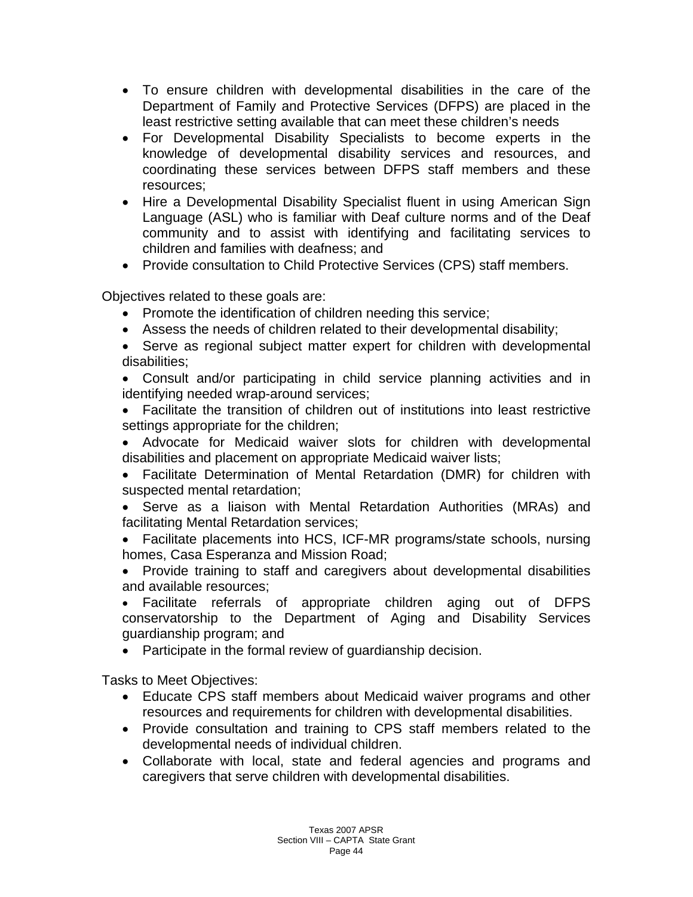- To ensure children with developmental disabilities in the care of the Department of Family and Protective Services (DFPS) are placed in the least restrictive setting available that can meet these children's needs
- For Developmental Disability Specialists to become experts in the knowledge of developmental disability services and resources, and coordinating these services between DFPS staff members and these resources;
- Hire a Developmental Disability Specialist fluent in using American Sign Language (ASL) who is familiar with Deaf culture norms and of the Deaf community and to assist with identifying and facilitating services to children and families with deafness; and
- Provide consultation to Child Protective Services (CPS) staff members.

Objectives related to these goals are:

- Promote the identification of children needing this service;
- Assess the needs of children related to their developmental disability;
- Serve as regional subject matter expert for children with developmental disabilities;

• Consult and/or participating in child service planning activities and in identifying needed wrap-around services;

- Facilitate the transition of children out of institutions into least restrictive settings appropriate for the children;
- Advocate for Medicaid waiver slots for children with developmental disabilities and placement on appropriate Medicaid waiver lists;
- Facilitate Determination of Mental Retardation (DMR) for children with suspected mental retardation;

• Serve as a liaison with Mental Retardation Authorities (MRAs) and facilitating Mental Retardation services;

• Facilitate placements into HCS, ICF-MR programs/state schools, nursing homes, Casa Esperanza and Mission Road;

• Provide training to staff and caregivers about developmental disabilities and available resources;

• Facilitate referrals of appropriate children aging out of DFPS conservatorship to the Department of Aging and Disability Services guardianship program; and

• Participate in the formal review of guardianship decision.

Tasks to Meet Objectives:

- Educate CPS staff members about Medicaid waiver programs and other resources and requirements for children with developmental disabilities.
- Provide consultation and training to CPS staff members related to the developmental needs of individual children.
- Collaborate with local, state and federal agencies and programs and caregivers that serve children with developmental disabilities.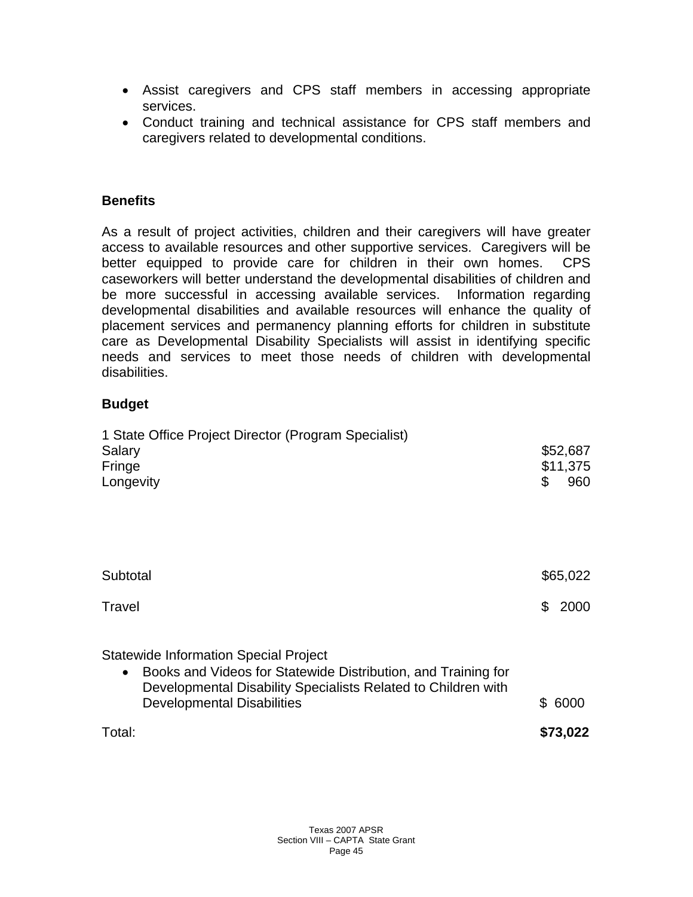- Assist caregivers and CPS staff members in accessing appropriate services.
- Conduct training and technical assistance for CPS staff members and caregivers related to developmental conditions.

#### **Benefits**

As a result of project activities, children and their caregivers will have greater access to available resources and other supportive services. Caregivers will be better equipped to provide care for children in their own homes. CPS caseworkers will better understand the developmental disabilities of children and be more successful in accessing available services. Information regarding developmental disabilities and available resources will enhance the quality of placement services and permanency planning efforts for children in substitute care as Developmental Disability Specialists will assist in identifying specific needs and services to meet those needs of children with developmental disabilities.

#### **Budget**

| 1 State Office Project Director (Program Specialist)<br>Salary<br>Fringe<br>Longevity                                                                                                                                            | \$ | \$52,687<br>\$11,375<br>960 |
|----------------------------------------------------------------------------------------------------------------------------------------------------------------------------------------------------------------------------------|----|-----------------------------|
| Subtotal                                                                                                                                                                                                                         |    | \$65,022                    |
| Travel                                                                                                                                                                                                                           | \$ | 2000                        |
| <b>Statewide Information Special Project</b><br>Books and Videos for Statewide Distribution, and Training for<br>$\bullet$<br>Developmental Disability Specialists Related to Children with<br><b>Developmental Disabilities</b> | \$ | 6000                        |
| Total:                                                                                                                                                                                                                           |    | \$73,022                    |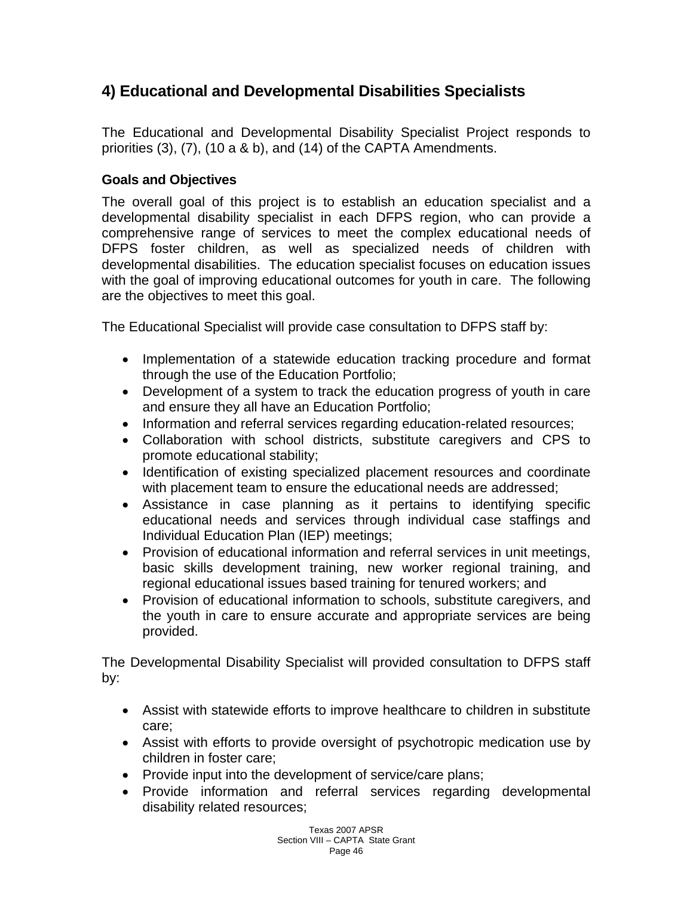# **4) Educational and Developmental Disabilities Specialists**

The Educational and Developmental Disability Specialist Project responds to priorities (3), (7), (10 a & b), and (14) of the CAPTA Amendments.

# **Goals and Objectives**

The overall goal of this project is to establish an education specialist and a developmental disability specialist in each DFPS region, who can provide a comprehensive range of services to meet the complex educational needs of DFPS foster children, as well as specialized needs of children with developmental disabilities. The education specialist focuses on education issues with the goal of improving educational outcomes for youth in care. The following are the objectives to meet this goal.

The Educational Specialist will provide case consultation to DFPS staff by:

- Implementation of a statewide education tracking procedure and format through the use of the Education Portfolio;
- Development of a system to track the education progress of youth in care and ensure they all have an Education Portfolio;
- Information and referral services regarding education-related resources;
- Collaboration with school districts, substitute caregivers and CPS to promote educational stability;
- Identification of existing specialized placement resources and coordinate with placement team to ensure the educational needs are addressed;
- Assistance in case planning as it pertains to identifying specific educational needs and services through individual case staffings and Individual Education Plan (IEP) meetings;
- Provision of educational information and referral services in unit meetings, basic skills development training, new worker regional training, and regional educational issues based training for tenured workers; and
- Provision of educational information to schools, substitute caregivers, and the youth in care to ensure accurate and appropriate services are being provided.

The Developmental Disability Specialist will provided consultation to DFPS staff by:

- Assist with statewide efforts to improve healthcare to children in substitute care;
- Assist with efforts to provide oversight of psychotropic medication use by children in foster care;
- Provide input into the development of service/care plans;
- Provide information and referral services regarding developmental disability related resources;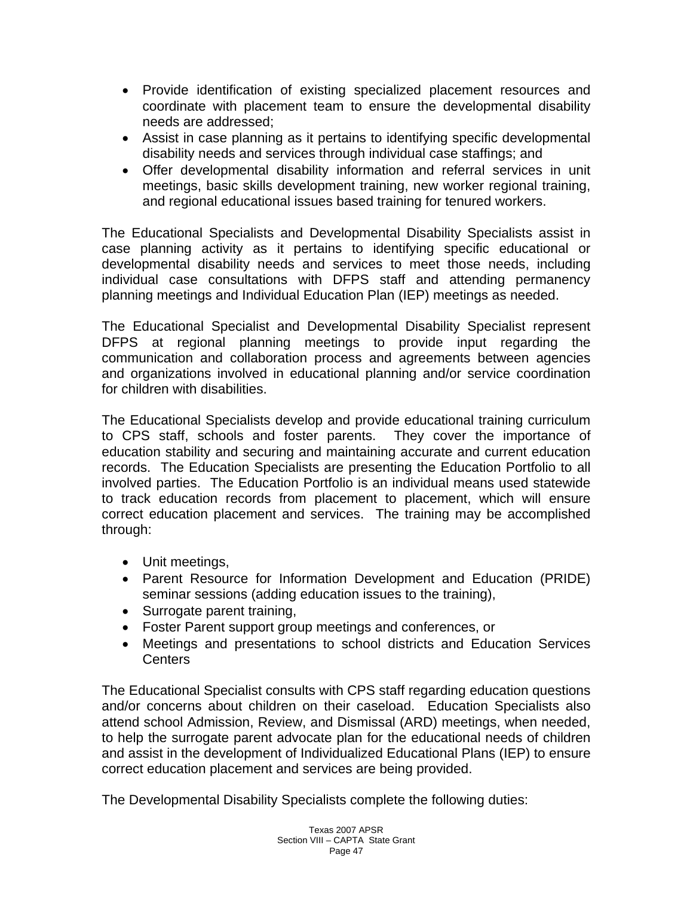- Provide identification of existing specialized placement resources and coordinate with placement team to ensure the developmental disability needs are addressed;
- Assist in case planning as it pertains to identifying specific developmental disability needs and services through individual case staffings; and
- Offer developmental disability information and referral services in unit meetings, basic skills development training, new worker regional training, and regional educational issues based training for tenured workers.

The Educational Specialists and Developmental Disability Specialists assist in case planning activity as it pertains to identifying specific educational or developmental disability needs and services to meet those needs, including individual case consultations with DFPS staff and attending permanency planning meetings and Individual Education Plan (IEP) meetings as needed.

The Educational Specialist and Developmental Disability Specialist represent DFPS at regional planning meetings to provide input regarding the communication and collaboration process and agreements between agencies and organizations involved in educational planning and/or service coordination for children with disabilities.

The Educational Specialists develop and provide educational training curriculum to CPS staff, schools and foster parents. They cover the importance of education stability and securing and maintaining accurate and current education records. The Education Specialists are presenting the Education Portfolio to all involved parties. The Education Portfolio is an individual means used statewide to track education records from placement to placement, which will ensure correct education placement and services. The training may be accomplished through:

- Unit meetings,
- Parent Resource for Information Development and Education (PRIDE) seminar sessions (adding education issues to the training),
- Surrogate parent training,
- Foster Parent support group meetings and conferences, or
- Meetings and presentations to school districts and Education Services Centers

The Educational Specialist consults with CPS staff regarding education questions and/or concerns about children on their caseload. Education Specialists also attend school Admission, Review, and Dismissal (ARD) meetings, when needed, to help the surrogate parent advocate plan for the educational needs of children and assist in the development of Individualized Educational Plans (IEP) to ensure correct education placement and services are being provided.

The Developmental Disability Specialists complete the following duties: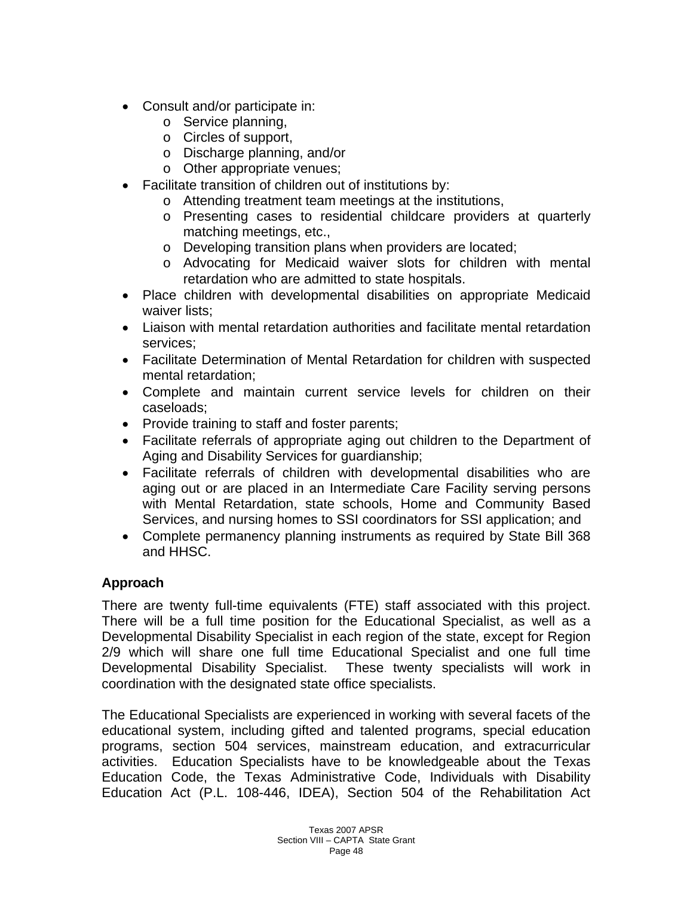- Consult and/or participate in:
	- o Service planning,
	- o Circles of support,
	- o Discharge planning, and/or
	- o Other appropriate venues;
- Facilitate transition of children out of institutions by:
	- o Attending treatment team meetings at the institutions,
	- o Presenting cases to residential childcare providers at quarterly matching meetings, etc.,
	- o Developing transition plans when providers are located;
	- o Advocating for Medicaid waiver slots for children with mental retardation who are admitted to state hospitals.
- Place children with developmental disabilities on appropriate Medicaid waiver lists;
- Liaison with mental retardation authorities and facilitate mental retardation services;
- Facilitate Determination of Mental Retardation for children with suspected mental retardation;
- Complete and maintain current service levels for children on their caseloads;
- Provide training to staff and foster parents;
- Facilitate referrals of appropriate aging out children to the Department of Aging and Disability Services for guardianship;
- Facilitate referrals of children with developmental disabilities who are aging out or are placed in an Intermediate Care Facility serving persons with Mental Retardation, state schools, Home and Community Based Services, and nursing homes to SSI coordinators for SSI application; and
- Complete permanency planning instruments as required by State Bill 368 and HHSC.

# **Approach**

There are twenty full-time equivalents (FTE) staff associated with this project. There will be a full time position for the Educational Specialist, as well as a Developmental Disability Specialist in each region of the state, except for Region 2/9 which will share one full time Educational Specialist and one full time Developmental Disability Specialist. These twenty specialists will work in coordination with the designated state office specialists.

The Educational Specialists are experienced in working with several facets of the educational system, including gifted and talented programs, special education programs, section 504 services, mainstream education, and extracurricular activities. Education Specialists have to be knowledgeable about the Texas Education Code, the Texas Administrative Code, Individuals with Disability Education Act (P.L. 108-446, IDEA), Section 504 of the Rehabilitation Act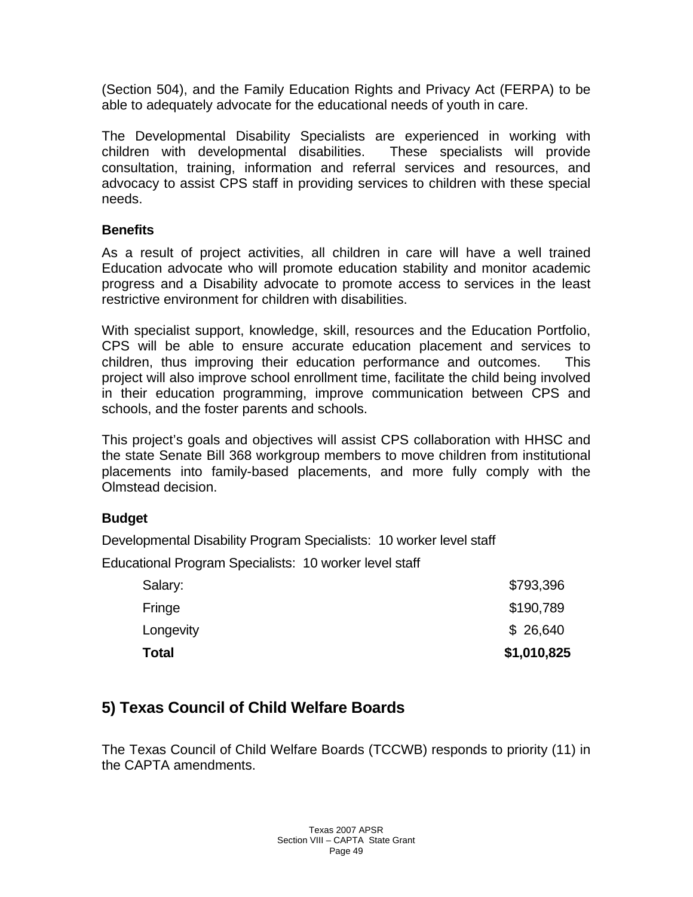(Section 504), and the Family Education Rights and Privacy Act (FERPA) to be able to adequately advocate for the educational needs of youth in care.

The Developmental Disability Specialists are experienced in working with children with developmental disabilities. These specialists will provide consultation, training, information and referral services and resources, and advocacy to assist CPS staff in providing services to children with these special needs.

#### **Benefits**

As a result of project activities, all children in care will have a well trained Education advocate who will promote education stability and monitor academic progress and a Disability advocate to promote access to services in the least restrictive environment for children with disabilities.

With specialist support, knowledge, skill, resources and the Education Portfolio, CPS will be able to ensure accurate education placement and services to children, thus improving their education performance and outcomes. This project will also improve school enrollment time, facilitate the child being involved in their education programming, improve communication between CPS and schools, and the foster parents and schools.

This project's goals and objectives will assist CPS collaboration with HHSC and the state Senate Bill 368 workgroup members to move children from institutional placements into family-based placements, and more fully comply with the Olmstead decision.

# **Budget**

Developmental Disability Program Specialists: 10 worker level staff

Educational Program Specialists: 10 worker level staff

| <b>Total</b> | \$1,010,825 |
|--------------|-------------|
| Longevity    | \$26,640    |
| Fringe       | \$190,789   |
| Salary:      | \$793,396   |

# **5) Texas Council of Child Welfare Boards**

The Texas Council of Child Welfare Boards (TCCWB) responds to priority (11) in the CAPTA amendments.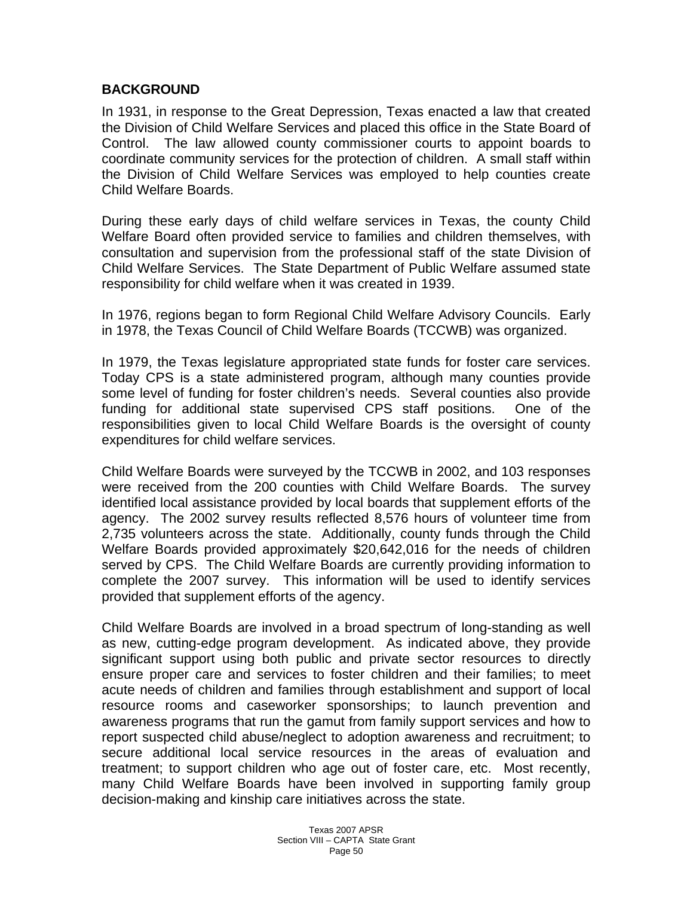#### **BACKGROUND**

In 1931, in response to the Great Depression, Texas enacted a law that created the Division of Child Welfare Services and placed this office in the State Board of Control. The law allowed county commissioner courts to appoint boards to coordinate community services for the protection of children. A small staff within the Division of Child Welfare Services was employed to help counties create Child Welfare Boards.

During these early days of child welfare services in Texas, the county Child Welfare Board often provided service to families and children themselves, with consultation and supervision from the professional staff of the state Division of Child Welfare Services. The State Department of Public Welfare assumed state responsibility for child welfare when it was created in 1939.

In 1976, regions began to form Regional Child Welfare Advisory Councils. Early in 1978, the Texas Council of Child Welfare Boards (TCCWB) was organized.

In 1979, the Texas legislature appropriated state funds for foster care services. Today CPS is a state administered program, although many counties provide some level of funding for foster children's needs. Several counties also provide funding for additional state supervised CPS staff positions. One of the responsibilities given to local Child Welfare Boards is the oversight of county expenditures for child welfare services.

Child Welfare Boards were surveyed by the TCCWB in 2002, and 103 responses were received from the 200 counties with Child Welfare Boards. The survey identified local assistance provided by local boards that supplement efforts of the agency. The 2002 survey results reflected 8,576 hours of volunteer time from 2,735 volunteers across the state. Additionally, county funds through the Child Welfare Boards provided approximately \$20,642,016 for the needs of children served by CPS. The Child Welfare Boards are currently providing information to complete the 2007 survey. This information will be used to identify services provided that supplement efforts of the agency.

Child Welfare Boards are involved in a broad spectrum of long-standing as well as new, cutting-edge program development. As indicated above, they provide significant support using both public and private sector resources to directly ensure proper care and services to foster children and their families; to meet acute needs of children and families through establishment and support of local resource rooms and caseworker sponsorships; to launch prevention and awareness programs that run the gamut from family support services and how to report suspected child abuse/neglect to adoption awareness and recruitment; to secure additional local service resources in the areas of evaluation and treatment; to support children who age out of foster care, etc. Most recently, many Child Welfare Boards have been involved in supporting family group decision-making and kinship care initiatives across the state.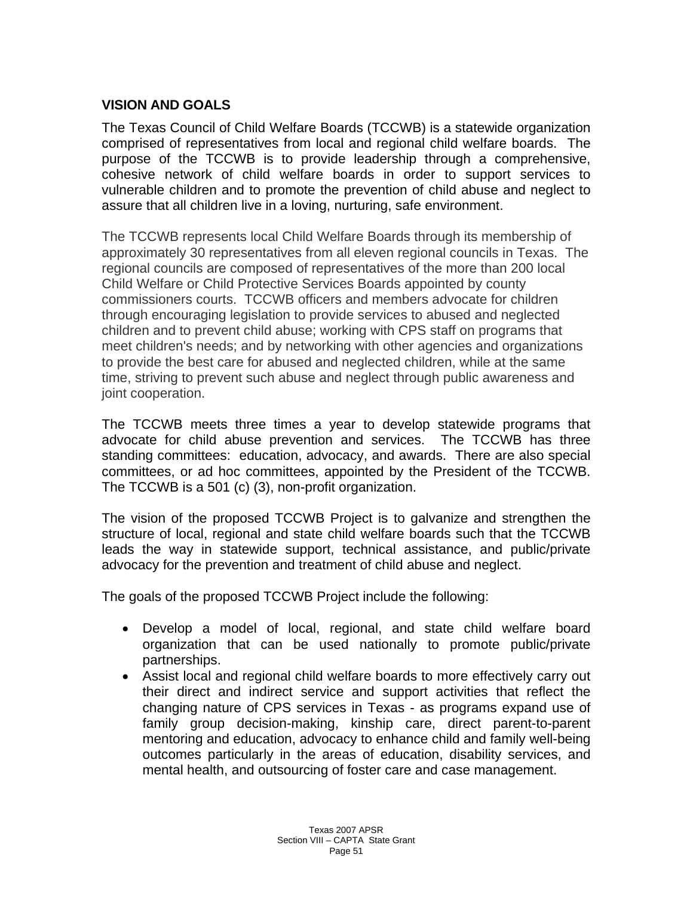# **VISION AND GOALS**

The Texas Council of Child Welfare Boards (TCCWB) is a statewide organization comprised of representatives from local and regional child welfare boards. The purpose of the TCCWB is to provide leadership through a comprehensive, cohesive network of child welfare boards in order to support services to vulnerable children and to promote the prevention of child abuse and neglect to assure that all children live in a loving, nurturing, safe environment.

The TCCWB represents local Child Welfare Boards through its membership of approximately 30 representatives from all eleven regional councils in Texas. The regional councils are composed of representatives of the more than 200 local Child Welfare or Child Protective Services Boards appointed by county commissioners courts. TCCWB officers and members advocate for children through encouraging legislation to provide services to abused and neglected children and to prevent child abuse; working with CPS staff on programs that meet children's needs; and by networking with other agencies and organizations to provide the best care for abused and neglected children, while at the same time, striving to prevent such abuse and neglect through public awareness and joint cooperation.

The TCCWB meets three times a year to develop statewide programs that advocate for child abuse prevention and services. The TCCWB has three standing committees: education, advocacy, and awards. There are also special committees, or ad hoc committees, appointed by the President of the TCCWB. The TCCWB is a 501 (c) (3), non-profit organization.

The vision of the proposed TCCWB Project is to galvanize and strengthen the structure of local, regional and state child welfare boards such that the TCCWB leads the way in statewide support, technical assistance, and public/private advocacy for the prevention and treatment of child abuse and neglect.

The goals of the proposed TCCWB Project include the following:

- Develop a model of local, regional, and state child welfare board organization that can be used nationally to promote public/private partnerships.
- Assist local and regional child welfare boards to more effectively carry out their direct and indirect service and support activities that reflect the changing nature of CPS services in Texas - as programs expand use of family group decision-making, kinship care, direct parent-to-parent mentoring and education, advocacy to enhance child and family well-being outcomes particularly in the areas of education, disability services, and mental health, and outsourcing of foster care and case management.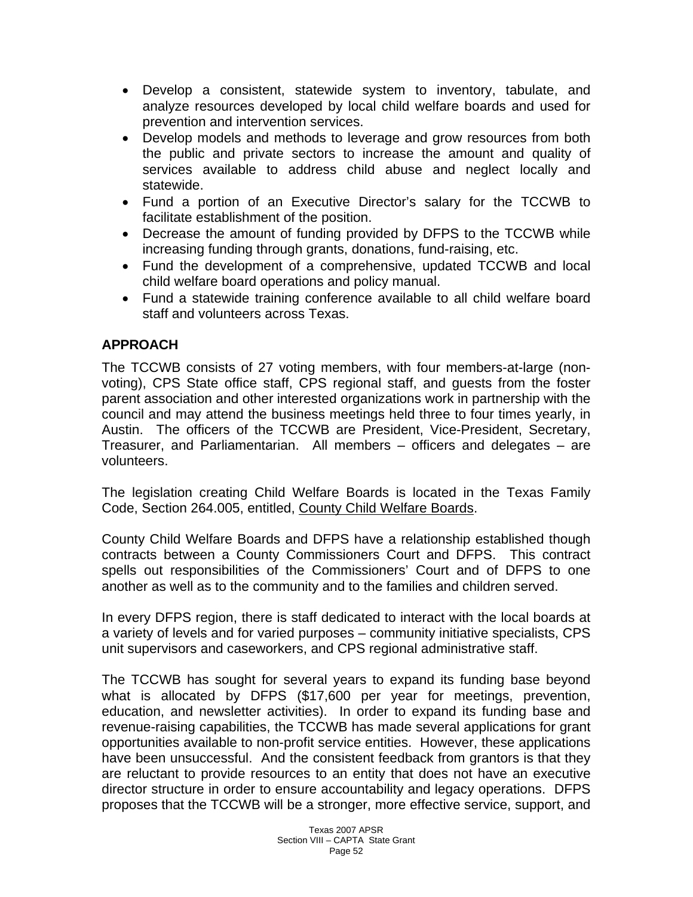- Develop a consistent, statewide system to inventory, tabulate, and analyze resources developed by local child welfare boards and used for prevention and intervention services.
- Develop models and methods to leverage and grow resources from both the public and private sectors to increase the amount and quality of services available to address child abuse and neglect locally and statewide.
- Fund a portion of an Executive Director's salary for the TCCWB to facilitate establishment of the position.
- Decrease the amount of funding provided by DFPS to the TCCWB while increasing funding through grants, donations, fund-raising, etc.
- Fund the development of a comprehensive, updated TCCWB and local child welfare board operations and policy manual.
- Fund a statewide training conference available to all child welfare board staff and volunteers across Texas.

# **APPROACH**

The TCCWB consists of 27 voting members, with four members-at-large (nonvoting), CPS State office staff, CPS regional staff, and guests from the foster parent association and other interested organizations work in partnership with the council and may attend the business meetings held three to four times yearly, in Austin. The officers of the TCCWB are President, Vice-President, Secretary, Treasurer, and Parliamentarian. All members – officers and delegates – are volunteers.

The legislation creating Child Welfare Boards is located in the Texas Family Code, Section 264.005, entitled, County Child Welfare Boards.

County Child Welfare Boards and DFPS have a relationship established though contracts between a County Commissioners Court and DFPS. This contract spells out responsibilities of the Commissioners' Court and of DFPS to one another as well as to the community and to the families and children served.

In every DFPS region, there is staff dedicated to interact with the local boards at a variety of levels and for varied purposes – community initiative specialists, CPS unit supervisors and caseworkers, and CPS regional administrative staff.

The TCCWB has sought for several years to expand its funding base beyond what is allocated by DFPS (\$17,600 per year for meetings, prevention, education, and newsletter activities). In order to expand its funding base and revenue-raising capabilities, the TCCWB has made several applications for grant opportunities available to non-profit service entities. However, these applications have been unsuccessful. And the consistent feedback from grantors is that they are reluctant to provide resources to an entity that does not have an executive director structure in order to ensure accountability and legacy operations. DFPS proposes that the TCCWB will be a stronger, more effective service, support, and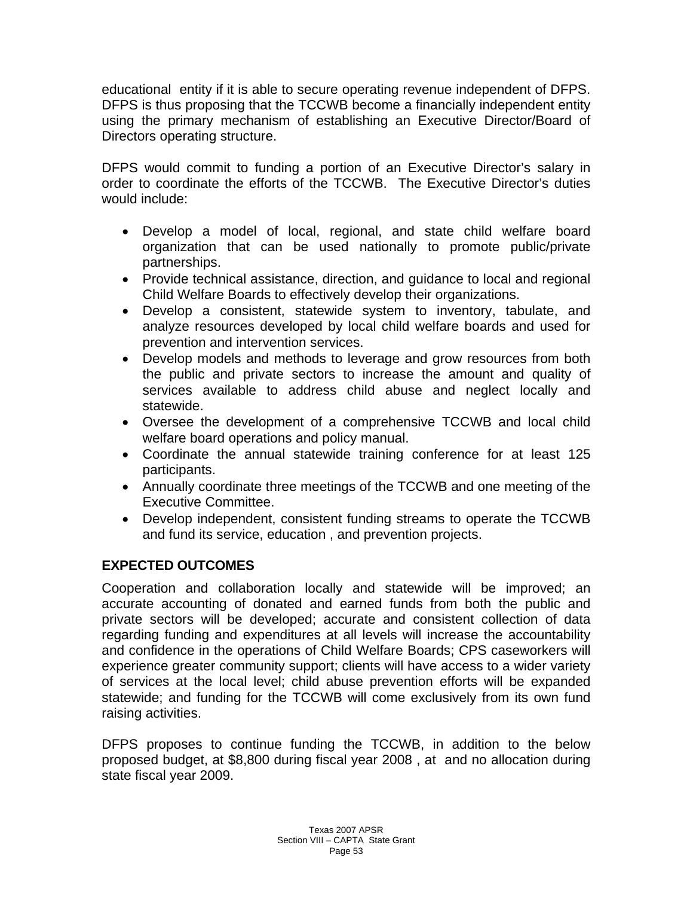educational entity if it is able to secure operating revenue independent of DFPS. DFPS is thus proposing that the TCCWB become a financially independent entity using the primary mechanism of establishing an Executive Director/Board of Directors operating structure.

DFPS would commit to funding a portion of an Executive Director's salary in order to coordinate the efforts of the TCCWB. The Executive Director's duties would include:

- Develop a model of local, regional, and state child welfare board organization that can be used nationally to promote public/private partnerships.
- Provide technical assistance, direction, and guidance to local and regional Child Welfare Boards to effectively develop their organizations.
- Develop a consistent, statewide system to inventory, tabulate, and analyze resources developed by local child welfare boards and used for prevention and intervention services.
- Develop models and methods to leverage and grow resources from both the public and private sectors to increase the amount and quality of services available to address child abuse and neglect locally and statewide.
- Oversee the development of a comprehensive TCCWB and local child welfare board operations and policy manual.
- Coordinate the annual statewide training conference for at least 125 participants.
- Annually coordinate three meetings of the TCCWB and one meeting of the Executive Committee.
- Develop independent, consistent funding streams to operate the TCCWB and fund its service, education , and prevention projects.

# **EXPECTED OUTCOMES**

Cooperation and collaboration locally and statewide will be improved; an accurate accounting of donated and earned funds from both the public and private sectors will be developed; accurate and consistent collection of data regarding funding and expenditures at all levels will increase the accountability and confidence in the operations of Child Welfare Boards; CPS caseworkers will experience greater community support; clients will have access to a wider variety of services at the local level; child abuse prevention efforts will be expanded statewide; and funding for the TCCWB will come exclusively from its own fund raising activities.

DFPS proposes to continue funding the TCCWB, in addition to the below proposed budget, at \$8,800 during fiscal year 2008 , at and no allocation during state fiscal year 2009.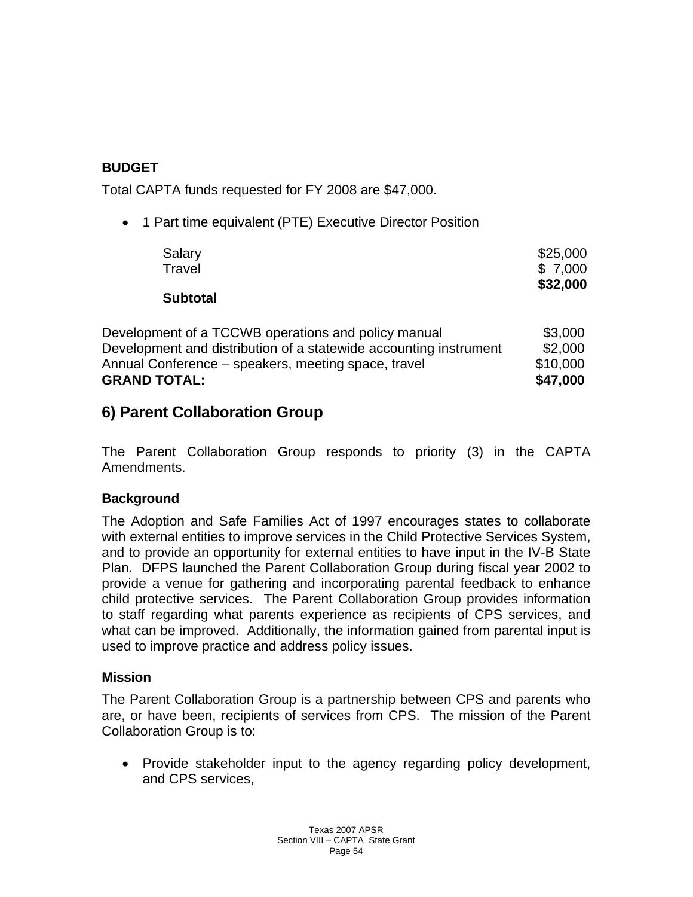# **BUDGET**

Total CAPTA funds requested for FY 2008 are \$47,000.

• 1 Part time equivalent (PTE) Executive Director Position

| Salary                                                            | \$25,000 |
|-------------------------------------------------------------------|----------|
| Travel                                                            | \$7,000  |
| <b>Subtotal</b>                                                   | \$32,000 |
| Development of a TCCWB operations and policy manual               | \$3,000  |
| Development and distribution of a statewide accounting instrument | \$2,000  |
| Annual Conference – speakers, meeting space, travel               | \$10,000 |
| <b>GRAND TOTAL:</b>                                               | \$47,000 |

# **6) Parent Collaboration Group**

The Parent Collaboration Group responds to priority (3) in the CAPTA Amendments.

# **Background**

The Adoption and Safe Families Act of 1997 encourages states to collaborate with external entities to improve services in the Child Protective Services System, and to provide an opportunity for external entities to have input in the IV-B State Plan. DFPS launched the Parent Collaboration Group during fiscal year 2002 to provide a venue for gathering and incorporating parental feedback to enhance child protective services. The Parent Collaboration Group provides information to staff regarding what parents experience as recipients of CPS services, and what can be improved. Additionally, the information gained from parental input is used to improve practice and address policy issues.

#### **Mission**

The Parent Collaboration Group is a partnership between CPS and parents who are, or have been, recipients of services from CPS. The mission of the Parent Collaboration Group is to:

• Provide stakeholder input to the agency regarding policy development, and CPS services,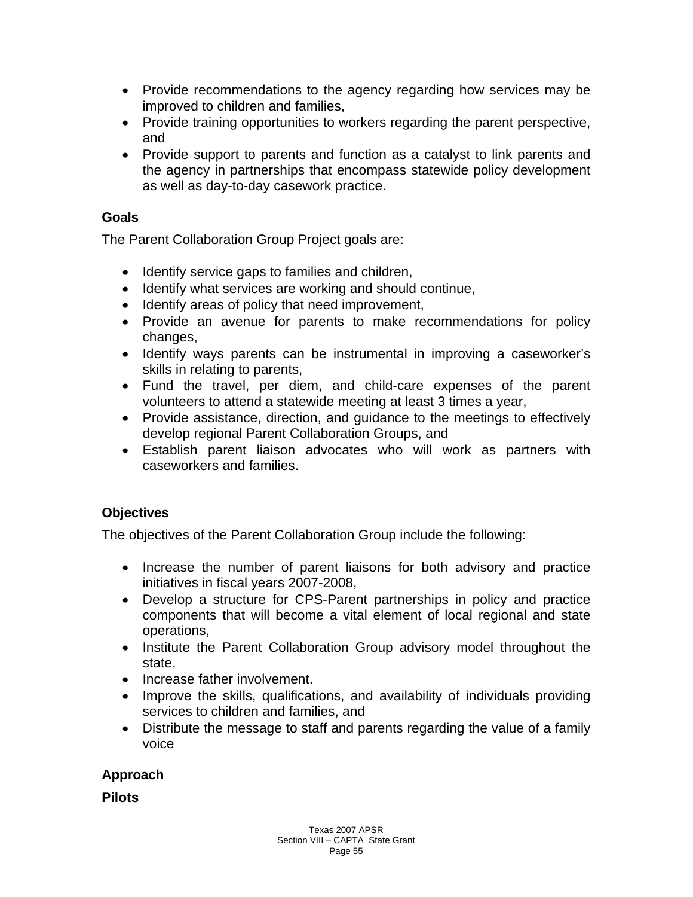- Provide recommendations to the agency regarding how services may be improved to children and families,
- Provide training opportunities to workers regarding the parent perspective, and
- Provide support to parents and function as a catalyst to link parents and the agency in partnerships that encompass statewide policy development as well as day-to-day casework practice.

#### **Goals**

The Parent Collaboration Group Project goals are:

- Identify service gaps to families and children,
- Identify what services are working and should continue,
- Identify areas of policy that need improvement,
- Provide an avenue for parents to make recommendations for policy changes,
- Identify ways parents can be instrumental in improving a caseworker's skills in relating to parents,
- Fund the travel, per diem, and child-care expenses of the parent volunteers to attend a statewide meeting at least 3 times a year,
- Provide assistance, direction, and guidance to the meetings to effectively develop regional Parent Collaboration Groups, and
- Establish parent liaison advocates who will work as partners with caseworkers and families.

# **Objectives**

The objectives of the Parent Collaboration Group include the following:

- Increase the number of parent liaisons for both advisory and practice initiatives in fiscal years 2007-2008,
- Develop a structure for CPS-Parent partnerships in policy and practice components that will become a vital element of local regional and state operations,
- Institute the Parent Collaboration Group advisory model throughout the state,
- Increase father involvement.
- Improve the skills, qualifications, and availability of individuals providing services to children and families, and
- Distribute the message to staff and parents regarding the value of a family voice

# **Approach**

**Pilots**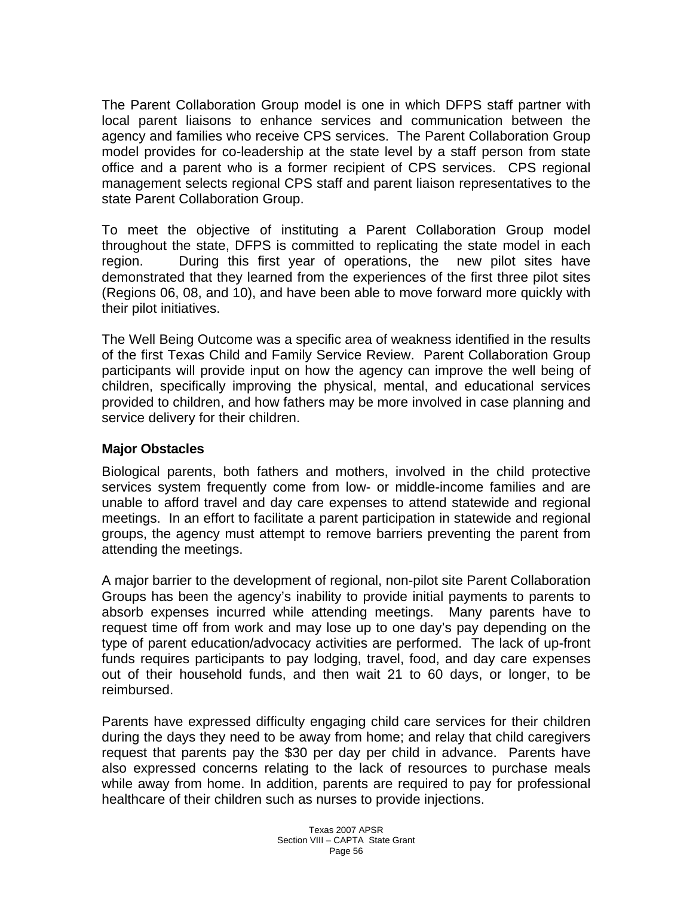The Parent Collaboration Group model is one in which DFPS staff partner with local parent liaisons to enhance services and communication between the agency and families who receive CPS services. The Parent Collaboration Group model provides for co-leadership at the state level by a staff person from state office and a parent who is a former recipient of CPS services. CPS regional management selects regional CPS staff and parent liaison representatives to the state Parent Collaboration Group.

To meet the objective of instituting a Parent Collaboration Group model throughout the state, DFPS is committed to replicating the state model in each region. During this first year of operations, the new pilot sites have demonstrated that they learned from the experiences of the first three pilot sites (Regions 06, 08, and 10), and have been able to move forward more quickly with their pilot initiatives.

The Well Being Outcome was a specific area of weakness identified in the results of the first Texas Child and Family Service Review. Parent Collaboration Group participants will provide input on how the agency can improve the well being of children, specifically improving the physical, mental, and educational services provided to children, and how fathers may be more involved in case planning and service delivery for their children.

#### **Major Obstacles**

Biological parents, both fathers and mothers, involved in the child protective services system frequently come from low- or middle-income families and are unable to afford travel and day care expenses to attend statewide and regional meetings. In an effort to facilitate a parent participation in statewide and regional groups, the agency must attempt to remove barriers preventing the parent from attending the meetings.

A major barrier to the development of regional, non-pilot site Parent Collaboration Groups has been the agency's inability to provide initial payments to parents to absorb expenses incurred while attending meetings. Many parents have to request time off from work and may lose up to one day's pay depending on the type of parent education/advocacy activities are performed. The lack of up-front funds requires participants to pay lodging, travel, food, and day care expenses out of their household funds, and then wait 21 to 60 days, or longer, to be reimbursed.

Parents have expressed difficulty engaging child care services for their children during the days they need to be away from home; and relay that child caregivers request that parents pay the \$30 per day per child in advance. Parents have also expressed concerns relating to the lack of resources to purchase meals while away from home. In addition, parents are required to pay for professional healthcare of their children such as nurses to provide injections.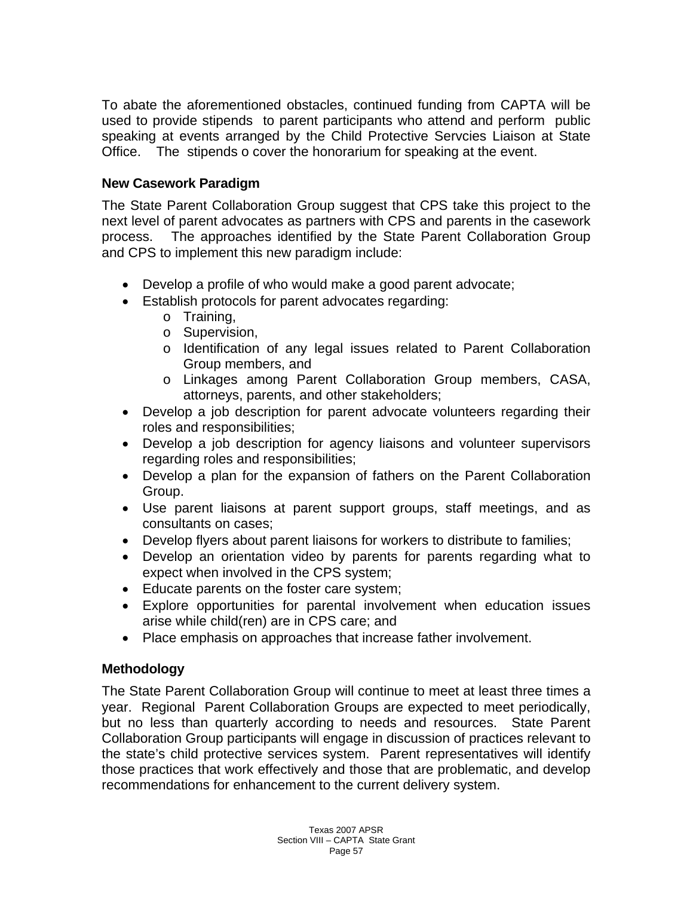To abate the aforementioned obstacles, continued funding from CAPTA will be used to provide stipends to parent participants who attend and perform public speaking at events arranged by the Child Protective Servcies Liaison at State Office. The stipends o cover the honorarium for speaking at the event.

#### **New Casework Paradigm**

The State Parent Collaboration Group suggest that CPS take this project to the next level of parent advocates as partners with CPS and parents in the casework process. The approaches identified by the State Parent Collaboration Group and CPS to implement this new paradigm include:

- Develop a profile of who would make a good parent advocate;
- Establish protocols for parent advocates regarding:
	- o Training,
	- o Supervision,
	- o Identification of any legal issues related to Parent Collaboration Group members, and
	- o Linkages among Parent Collaboration Group members, CASA, attorneys, parents, and other stakeholders;
- Develop a job description for parent advocate volunteers regarding their roles and responsibilities;
- Develop a job description for agency liaisons and volunteer supervisors regarding roles and responsibilities;
- Develop a plan for the expansion of fathers on the Parent Collaboration Group.
- Use parent liaisons at parent support groups, staff meetings, and as consultants on cases;
- Develop flyers about parent liaisons for workers to distribute to families;
- Develop an orientation video by parents for parents regarding what to expect when involved in the CPS system;
- Educate parents on the foster care system;
- Explore opportunities for parental involvement when education issues arise while child(ren) are in CPS care; and
- Place emphasis on approaches that increase father involvement.

#### **Methodology**

The State Parent Collaboration Group will continue to meet at least three times a year. Regional Parent Collaboration Groups are expected to meet periodically, but no less than quarterly according to needs and resources. State Parent Collaboration Group participants will engage in discussion of practices relevant to the state's child protective services system. Parent representatives will identify those practices that work effectively and those that are problematic, and develop recommendations for enhancement to the current delivery system.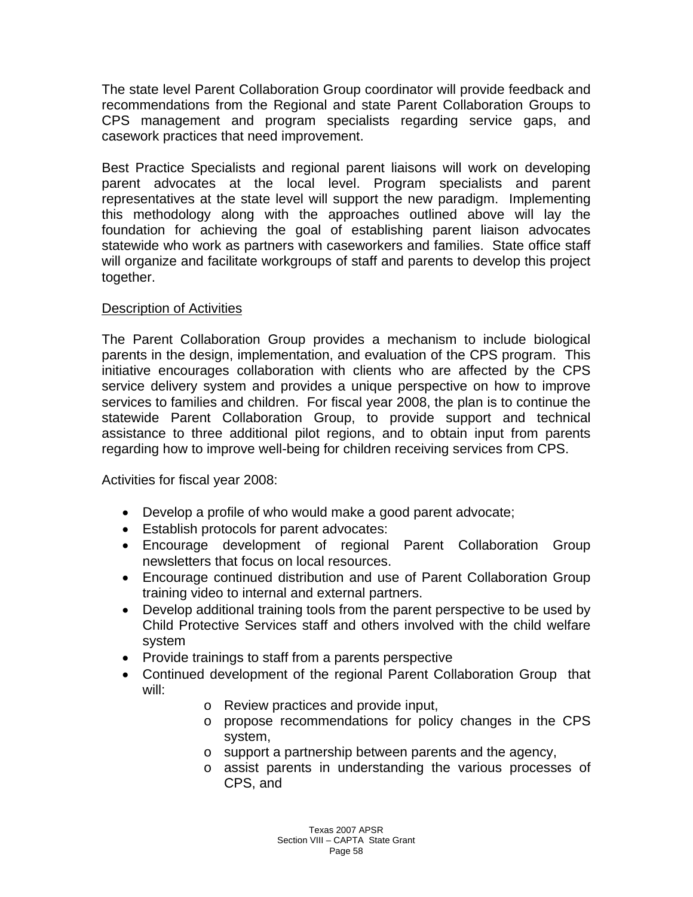The state level Parent Collaboration Group coordinator will provide feedback and recommendations from the Regional and state Parent Collaboration Groups to CPS management and program specialists regarding service gaps, and casework practices that need improvement.

Best Practice Specialists and regional parent liaisons will work on developing parent advocates at the local level. Program specialists and parent representatives at the state level will support the new paradigm. Implementing this methodology along with the approaches outlined above will lay the foundation for achieving the goal of establishing parent liaison advocates statewide who work as partners with caseworkers and families. State office staff will organize and facilitate workgroups of staff and parents to develop this project together.

#### Description of Activities

The Parent Collaboration Group provides a mechanism to include biological parents in the design, implementation, and evaluation of the CPS program. This initiative encourages collaboration with clients who are affected by the CPS service delivery system and provides a unique perspective on how to improve services to families and children. For fiscal year 2008, the plan is to continue the statewide Parent Collaboration Group, to provide support and technical assistance to three additional pilot regions, and to obtain input from parents regarding how to improve well-being for children receiving services from CPS.

Activities for fiscal year 2008:

- Develop a profile of who would make a good parent advocate;
- Establish protocols for parent advocates:
- Encourage development of regional Parent Collaboration Group newsletters that focus on local resources.
- Encourage continued distribution and use of Parent Collaboration Group training video to internal and external partners.
- Develop additional training tools from the parent perspective to be used by Child Protective Services staff and others involved with the child welfare system
- Provide trainings to staff from a parents perspective
- Continued development of the regional Parent Collaboration Group that will:
	- o Review practices and provide input,
	- o propose recommendations for policy changes in the CPS system,
	- o support a partnership between parents and the agency,
	- o assist parents in understanding the various processes of CPS, and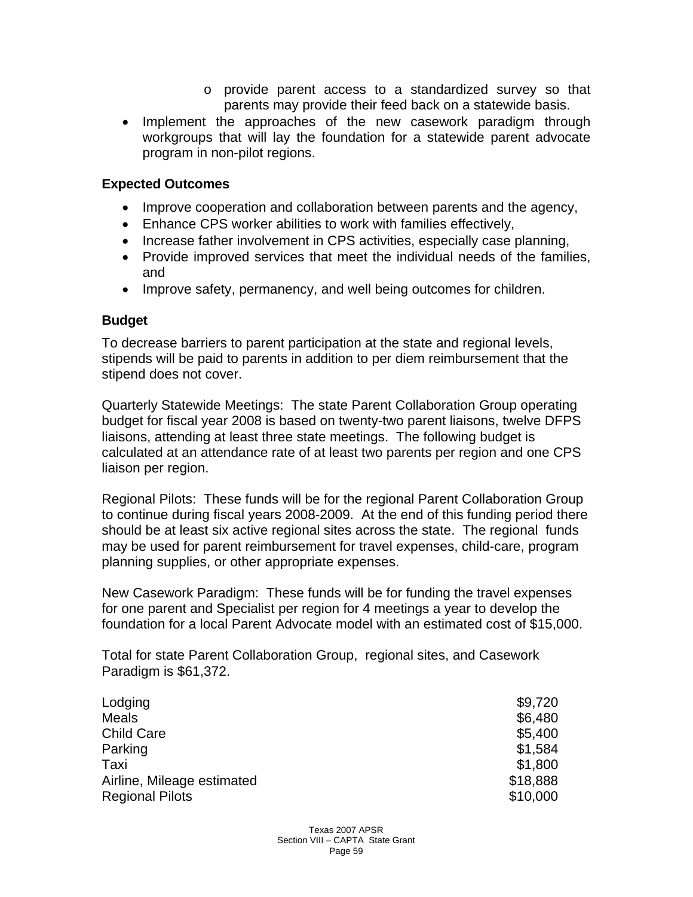- o provide parent access to a standardized survey so that parents may provide their feed back on a statewide basis.
- Implement the approaches of the new casework paradigm through workgroups that will lay the foundation for a statewide parent advocate program in non-pilot regions.

#### **Expected Outcomes**

- Improve cooperation and collaboration between parents and the agency,
- Enhance CPS worker abilities to work with families effectively,
- Increase father involvement in CPS activities, especially case planning,
- Provide improved services that meet the individual needs of the families, and
- Improve safety, permanency, and well being outcomes for children.

#### **Budget**

To decrease barriers to parent participation at the state and regional levels, stipends will be paid to parents in addition to per diem reimbursement that the stipend does not cover.

Quarterly Statewide Meetings: The state Parent Collaboration Group operating budget for fiscal year 2008 is based on twenty-two parent liaisons, twelve DFPS liaisons, attending at least three state meetings. The following budget is calculated at an attendance rate of at least two parents per region and one CPS liaison per region.

Regional Pilots: These funds will be for the regional Parent Collaboration Group to continue during fiscal years 2008-2009. At the end of this funding period there should be at least six active regional sites across the state. The regional funds may be used for parent reimbursement for travel expenses, child-care, program planning supplies, or other appropriate expenses.

New Casework Paradigm: These funds will be for funding the travel expenses for one parent and Specialist per region for 4 meetings a year to develop the foundation for a local Parent Advocate model with an estimated cost of \$15,000.

Total for state Parent Collaboration Group, regional sites, and Casework Paradigm is \$61,372.

| Lodging                    | \$9,720  |
|----------------------------|----------|
| <b>Meals</b>               | \$6,480  |
| <b>Child Care</b>          | \$5,400  |
| Parking                    | \$1,584  |
| Taxi                       | \$1,800  |
| Airline, Mileage estimated | \$18,888 |
| <b>Regional Pilots</b>     | \$10,000 |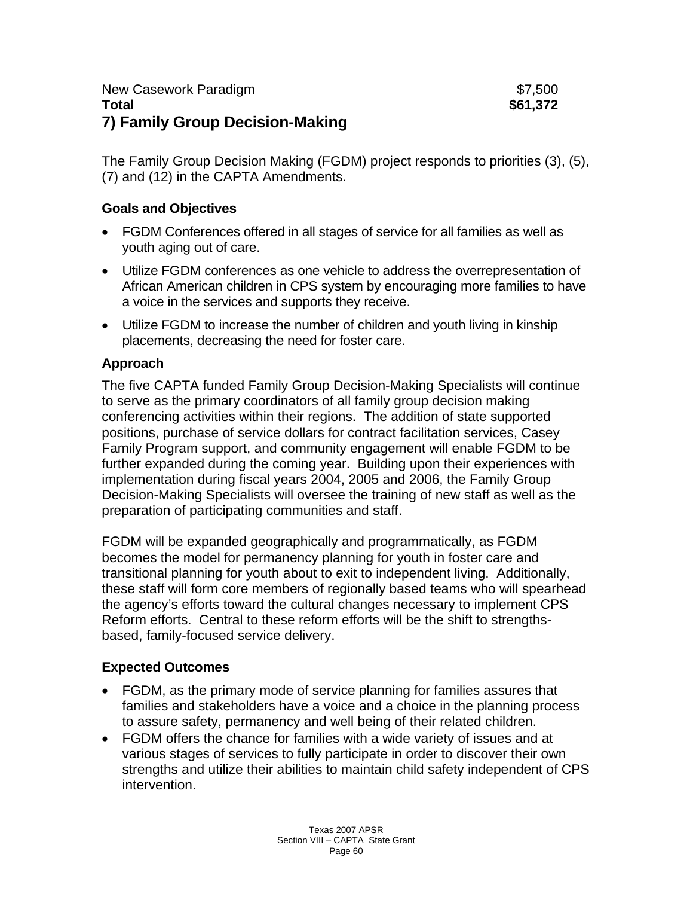The Family Group Decision Making (FGDM) project responds to priorities (3), (5), (7) and (12) in the CAPTA Amendments.

# **Goals and Objectives**

- FGDM Conferences offered in all stages of service for all families as well as youth aging out of care.
- Utilize FGDM conferences as one vehicle to address the overrepresentation of African American children in CPS system by encouraging more families to have a voice in the services and supports they receive.
- Utilize FGDM to increase the number of children and youth living in kinship placements, decreasing the need for foster care.

# **Approach**

The five CAPTA funded Family Group Decision-Making Specialists will continue to serve as the primary coordinators of all family group decision making conferencing activities within their regions. The addition of state supported positions, purchase of service dollars for contract facilitation services, Casey Family Program support, and community engagement will enable FGDM to be further expanded during the coming year. Building upon their experiences with implementation during fiscal years 2004, 2005 and 2006, the Family Group Decision-Making Specialists will oversee the training of new staff as well as the preparation of participating communities and staff.

FGDM will be expanded geographically and programmatically, as FGDM becomes the model for permanency planning for youth in foster care and transitional planning for youth about to exit to independent living. Additionally, these staff will form core members of regionally based teams who will spearhead the agency's efforts toward the cultural changes necessary to implement CPS Reform efforts. Central to these reform efforts will be the shift to strengthsbased, family-focused service delivery.

# **Expected Outcomes**

- FGDM, as the primary mode of service planning for families assures that families and stakeholders have a voice and a choice in the planning process to assure safety, permanency and well being of their related children.
- FGDM offers the chance for families with a wide variety of issues and at various stages of services to fully participate in order to discover their own strengths and utilize their abilities to maintain child safety independent of CPS intervention.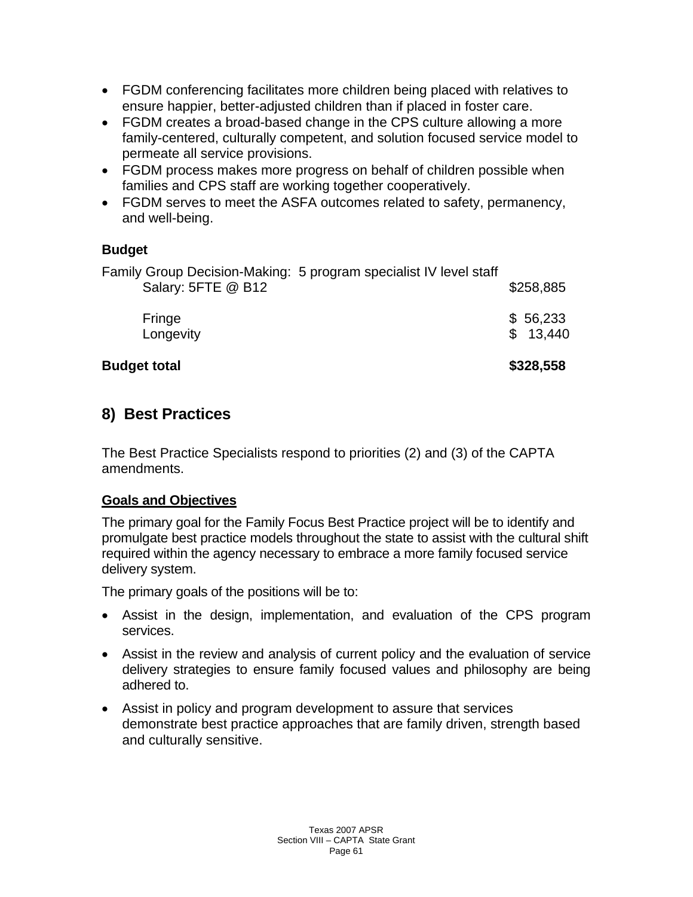- FGDM conferencing facilitates more children being placed with relatives to ensure happier, better-adjusted children than if placed in foster care.
- FGDM creates a broad-based change in the CPS culture allowing a more family-centered, culturally competent, and solution focused service model to permeate all service provisions.
- FGDM process makes more progress on behalf of children possible when families and CPS staff are working together cooperatively.
- FGDM serves to meet the ASFA outcomes related to safety, permanency, and well-being.

# **Budget**

| <b>Budget total</b> |                                                                   | \$328,558            |
|---------------------|-------------------------------------------------------------------|----------------------|
| Fringe<br>Longevity |                                                                   | \$56,233<br>\$13.440 |
| Salary: 5FTE @ B12  | Family Group Decision-Making: 5 program specialist IV level staff | \$258,885            |

# **8) Best Practices**

The Best Practice Specialists respond to priorities (2) and (3) of the CAPTA amendments.

# **Goals and Objectives**

The primary goal for the Family Focus Best Practice project will be to identify and promulgate best practice models throughout the state to assist with the cultural shift required within the agency necessary to embrace a more family focused service delivery system.

The primary goals of the positions will be to:

- Assist in the design, implementation, and evaluation of the CPS program services.
- Assist in the review and analysis of current policy and the evaluation of service delivery strategies to ensure family focused values and philosophy are being adhered to.
- Assist in policy and program development to assure that services demonstrate best practice approaches that are family driven, strength based and culturally sensitive.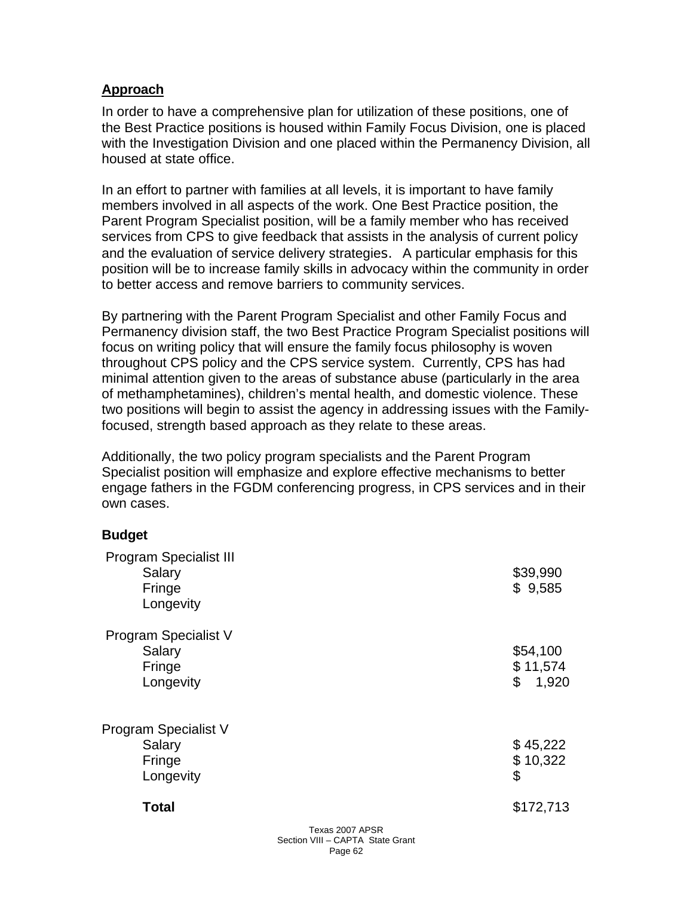#### **Approach**

In order to have a comprehensive plan for utilization of these positions, one of the Best Practice positions is housed within Family Focus Division, one is placed with the Investigation Division and one placed within the Permanency Division, all housed at state office.

In an effort to partner with families at all levels, it is important to have family members involved in all aspects of the work. One Best Practice position, the Parent Program Specialist position, will be a family member who has received services from CPS to give feedback that assists in the analysis of current policy and the evaluation of service delivery strategies. A particular emphasis for this position will be to increase family skills in advocacy within the community in order to better access and remove barriers to community services.

By partnering with the Parent Program Specialist and other Family Focus and Permanency division staff, the two Best Practice Program Specialist positions will focus on writing policy that will ensure the family focus philosophy is woven throughout CPS policy and the CPS service system. Currently, CPS has had minimal attention given to the areas of substance abuse (particularly in the area of methamphetamines), children's mental health, and domestic violence. These two positions will begin to assist the agency in addressing issues with the Familyfocused, strength based approach as they relate to these areas.

Additionally, the two policy program specialists and the Parent Program Specialist position will emphasize and explore effective mechanisms to better engage fathers in the FGDM conferencing progress, in CPS services and in their own cases.

#### **Budget**

| <b>Total</b>                                                   | \$172,713                           |
|----------------------------------------------------------------|-------------------------------------|
| Program Specialist V<br>Salary<br>Fringe<br>Longevity          | \$45,222<br>\$10,322<br>\$          |
|                                                                |                                     |
| Salary<br>Fringe<br>Longevity                                  | \$54,100<br>\$11,574<br>\$<br>1,920 |
| <b>Program Specialist V</b>                                    |                                     |
| <b>Program Specialist III</b><br>Salary<br>Fringe<br>Longevity | \$39,990<br>\$9,585                 |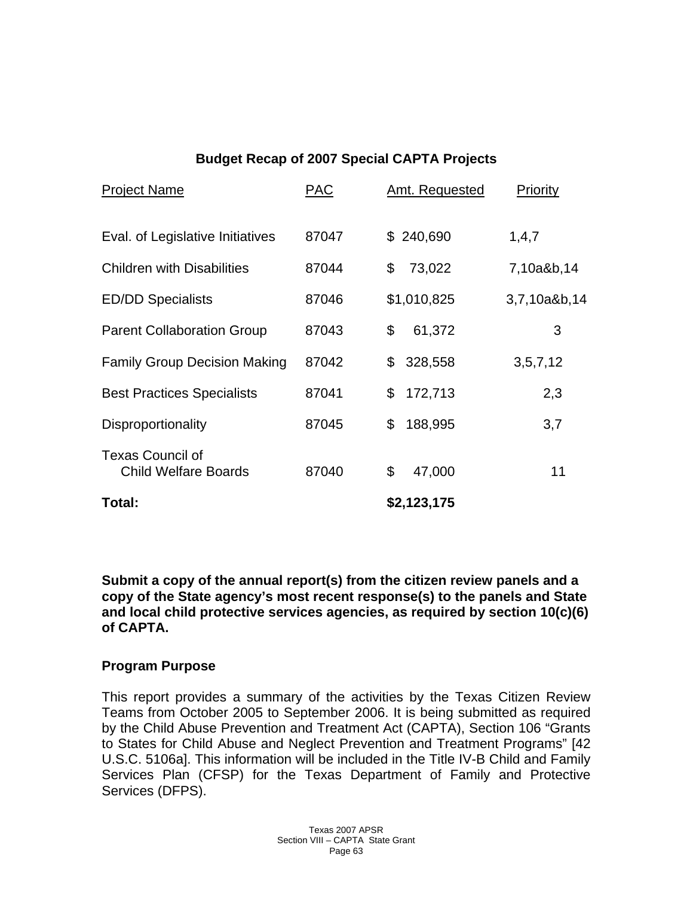# **Budget Recap of 2007 Special CAPTA Projects**

| <b>Project Name</b>                                    | <b>PAC</b> | <b>Amt. Requested</b> | <b>Priority</b> |
|--------------------------------------------------------|------------|-----------------------|-----------------|
| Eval. of Legislative Initiatives                       | 87047      | \$240,690             | 1,4,7           |
| <b>Children with Disabilities</b>                      | 87044      | \$<br>73,022          | 7,10a&b,14      |
| <b>ED/DD Specialists</b>                               | 87046      | \$1,010,825           | 3,7,10a&b,14    |
| <b>Parent Collaboration Group</b>                      | 87043      | 61,372<br>\$          | 3               |
| <b>Family Group Decision Making</b>                    | 87042      | 328,558<br>\$         | 3, 5, 7, 12     |
| <b>Best Practices Specialists</b>                      | 87041      | 172,713<br>\$         | 2,3             |
| Disproportionality                                     | 87045      | \$<br>188,995         | 3,7             |
| <b>Texas Council of</b><br><b>Child Welfare Boards</b> | 87040      | \$<br>47,000          | 11              |
| Total:                                                 |            | \$2,123,175           |                 |

**Submit a copy of the annual report(s) from the citizen review panels and a copy of the State agency's most recent response(s) to the panels and State and local child protective services agencies, as required by section 10(c)(6) of CAPTA.** 

# **Program Purpose**

This report provides a summary of the activities by the Texas Citizen Review Teams from October 2005 to September 2006. It is being submitted as required by the Child Abuse Prevention and Treatment Act (CAPTA), Section 106 "Grants to States for Child Abuse and Neglect Prevention and Treatment Programs" [42 U.S.C. 5106a]. This information will be included in the Title IV-B Child and Family Services Plan (CFSP) for the Texas Department of Family and Protective Services (DFPS).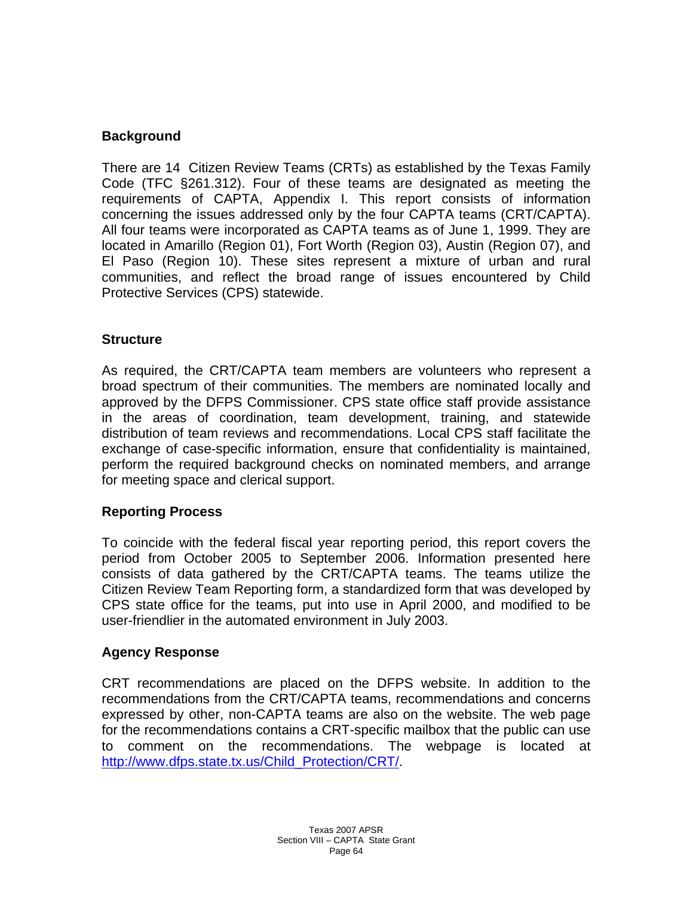#### **Background**

There are 14 Citizen Review Teams (CRTs) as established by the Texas Family Code (TFC §261.312). Four of these teams are designated as meeting the requirements of CAPTA, Appendix I. This report consists of information concerning the issues addressed only by the four CAPTA teams (CRT/CAPTA). All four teams were incorporated as CAPTA teams as of June 1, 1999. They are located in Amarillo (Region 01), Fort Worth (Region 03), Austin (Region 07), and El Paso (Region 10). These sites represent a mixture of urban and rural communities, and reflect the broad range of issues encountered by Child Protective Services (CPS) statewide.

#### **Structure**

As required, the CRT/CAPTA team members are volunteers who represent a broad spectrum of their communities. The members are nominated locally and approved by the DFPS Commissioner. CPS state office staff provide assistance in the areas of coordination, team development, training, and statewide distribution of team reviews and recommendations. Local CPS staff facilitate the exchange of case-specific information, ensure that confidentiality is maintained, perform the required background checks on nominated members, and arrange for meeting space and clerical support.

#### **Reporting Process**

To coincide with the federal fiscal year reporting period, this report covers the period from October 2005 to September 2006. Information presented here consists of data gathered by the CRT/CAPTA teams. The teams utilize the Citizen Review Team Reporting form, a standardized form that was developed by CPS state office for the teams, put into use in April 2000, and modified to be user-friendlier in the automated environment in July 2003.

#### **Agency Response**

CRT recommendations are placed on the DFPS website. In addition to the recommendations from the CRT/CAPTA teams, recommendations and concerns expressed by other, non-CAPTA teams are also on the website. The web page for the recommendations contains a CRT-specific mailbox that the public can use to comment on the recommendations. The webpage is located at [http://www.dfps.state.tx.us/Child\\_Protection/CRT/.](http://www.dfps.state.tx.us/Child_Protection/CRT/)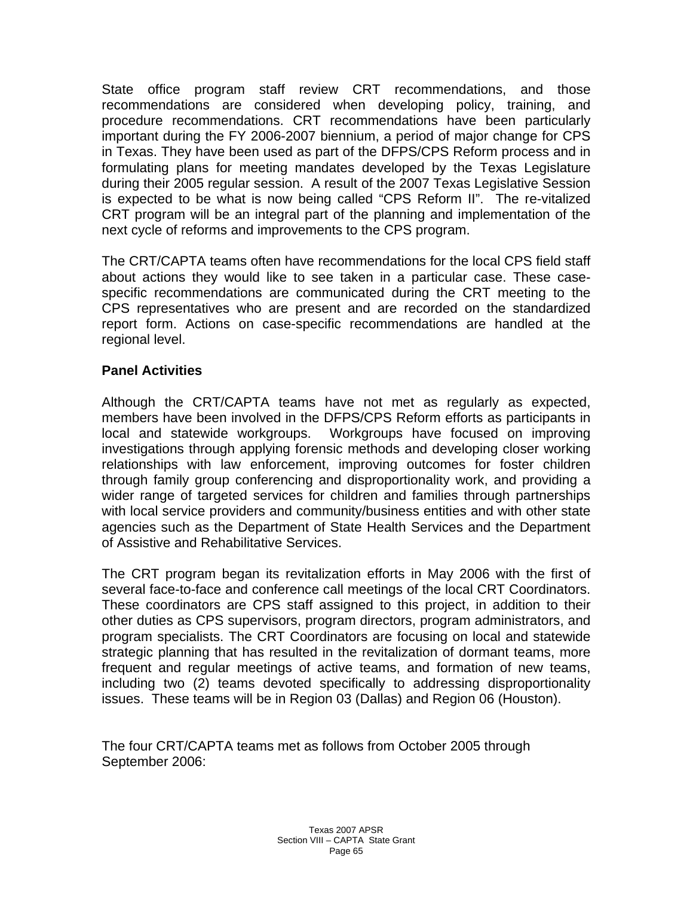State office program staff review CRT recommendations, and those recommendations are considered when developing policy, training, and procedure recommendations. CRT recommendations have been particularly important during the FY 2006-2007 biennium, a period of major change for CPS in Texas. They have been used as part of the DFPS/CPS Reform process and in formulating plans for meeting mandates developed by the Texas Legislature during their 2005 regular session. A result of the 2007 Texas Legislative Session is expected to be what is now being called "CPS Reform II". The re-vitalized CRT program will be an integral part of the planning and implementation of the next cycle of reforms and improvements to the CPS program.

The CRT/CAPTA teams often have recommendations for the local CPS field staff about actions they would like to see taken in a particular case. These casespecific recommendations are communicated during the CRT meeting to the CPS representatives who are present and are recorded on the standardized report form. Actions on case-specific recommendations are handled at the regional level.

#### **Panel Activities**

Although the CRT/CAPTA teams have not met as regularly as expected, members have been involved in the DFPS/CPS Reform efforts as participants in local and statewide workgroups. Workgroups have focused on improving investigations through applying forensic methods and developing closer working relationships with law enforcement, improving outcomes for foster children through family group conferencing and disproportionality work, and providing a wider range of targeted services for children and families through partnerships with local service providers and community/business entities and with other state agencies such as the Department of State Health Services and the Department of Assistive and Rehabilitative Services.

The CRT program began its revitalization efforts in May 2006 with the first of several face-to-face and conference call meetings of the local CRT Coordinators. These coordinators are CPS staff assigned to this project, in addition to their other duties as CPS supervisors, program directors, program administrators, and program specialists. The CRT Coordinators are focusing on local and statewide strategic planning that has resulted in the revitalization of dormant teams, more frequent and regular meetings of active teams, and formation of new teams, including two (2) teams devoted specifically to addressing disproportionality issues. These teams will be in Region 03 (Dallas) and Region 06 (Houston).

The four CRT/CAPTA teams met as follows from October 2005 through September 2006: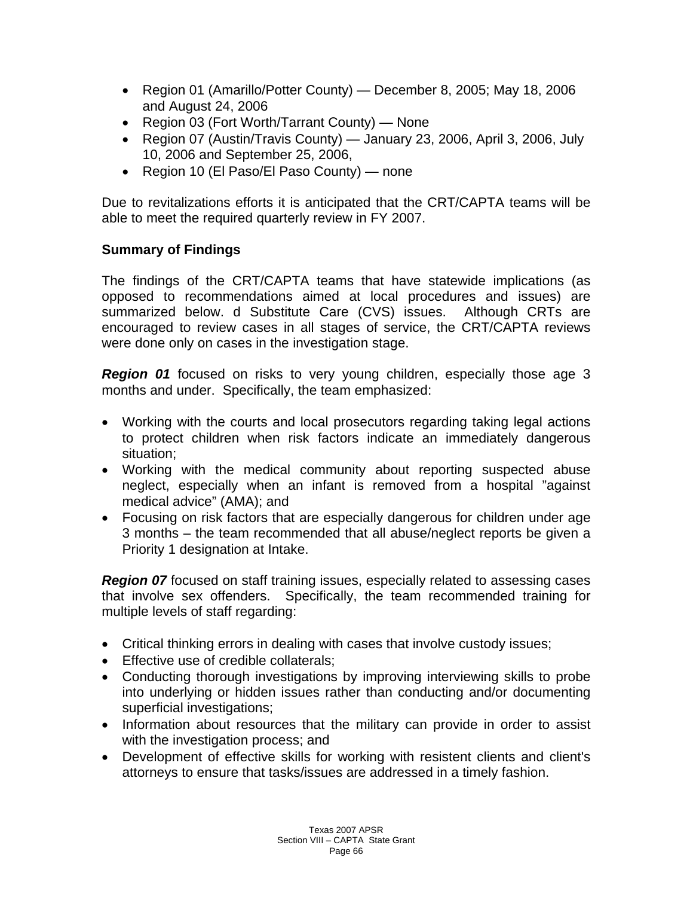- Region 01 (Amarillo/Potter County) December 8, 2005; May 18, 2006 and August 24, 2006
- Region 03 (Fort Worth/Tarrant County) None
- Region 07 (Austin/Travis County) January 23, 2006, April 3, 2006, July 10, 2006 and September 25, 2006,
- Region 10 (El Paso/El Paso County) none

Due to revitalizations efforts it is anticipated that the CRT/CAPTA teams will be able to meet the required quarterly review in FY 2007.

# **Summary of Findings**

The findings of the CRT/CAPTA teams that have statewide implications (as opposed to recommendations aimed at local procedures and issues) are summarized below. d Substitute Care (CVS) issues. Although CRTs are encouraged to review cases in all stages of service, the CRT/CAPTA reviews were done only on cases in the investigation stage.

*Region 01* focused on risks to very young children, especially those age 3 months and under. Specifically, the team emphasized:

- Working with the courts and local prosecutors regarding taking legal actions to protect children when risk factors indicate an immediately dangerous situation;
- Working with the medical community about reporting suspected abuse neglect, especially when an infant is removed from a hospital "against medical advice" (AMA); and
- Focusing on risk factors that are especially dangerous for children under age 3 months – the team recommended that all abuse/neglect reports be given a Priority 1 designation at Intake.

**Region 07** focused on staff training issues, especially related to assessing cases that involve sex offenders. Specifically, the team recommended training for multiple levels of staff regarding:

- Critical thinking errors in dealing with cases that involve custody issues;
- Effective use of credible collaterals;
- Conducting thorough investigations by improving interviewing skills to probe into underlying or hidden issues rather than conducting and/or documenting superficial investigations;
- Information about resources that the military can provide in order to assist with the investigation process; and
- Development of effective skills for working with resistent clients and client's attorneys to ensure that tasks/issues are addressed in a timely fashion.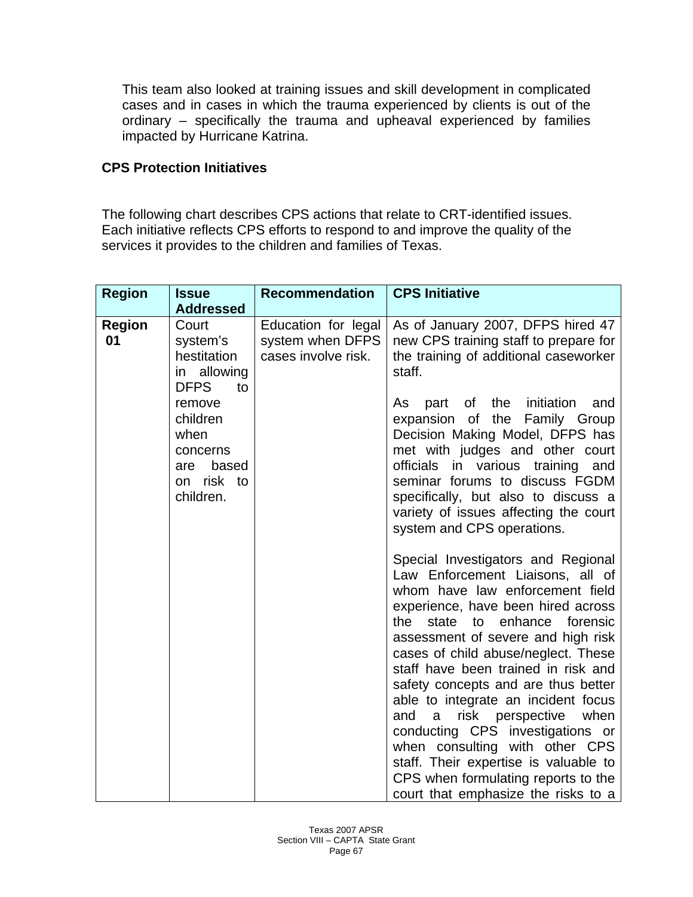This team also looked at training issues and skill development in complicated cases and in cases in which the trauma experienced by clients is out of the ordinary – specifically the trauma and upheaval experienced by families impacted by Hurricane Katrina.

#### **CPS Protection Initiatives**

The following chart describes CPS actions that relate to CRT-identified issues. Each initiative reflects CPS efforts to respond to and improve the quality of the services it provides to the children and families of Texas.

| <b>Region</b>       | <b>Issue</b>                                                                      | <b>Recommendation</b>                                          | <b>CPS Initiative</b>                                                                                                                                                                                                                                                                                                                                                                                                                                                                                                                                                                                                        |
|---------------------|-----------------------------------------------------------------------------------|----------------------------------------------------------------|------------------------------------------------------------------------------------------------------------------------------------------------------------------------------------------------------------------------------------------------------------------------------------------------------------------------------------------------------------------------------------------------------------------------------------------------------------------------------------------------------------------------------------------------------------------------------------------------------------------------------|
|                     | <b>Addressed</b>                                                                  |                                                                |                                                                                                                                                                                                                                                                                                                                                                                                                                                                                                                                                                                                                              |
| <b>Region</b><br>01 | Court<br>system's<br>hestitation<br>in allowing<br><b>DFPS</b><br>to              | Education for legal<br>system when DFPS<br>cases involve risk. | As of January 2007, DFPS hired 47<br>new CPS training staff to prepare for<br>the training of additional caseworker<br>staff.                                                                                                                                                                                                                                                                                                                                                                                                                                                                                                |
|                     | remove<br>children<br>when<br>concerns<br>based<br>are<br>on risk to<br>children. |                                                                | the<br>initiation<br>of<br>and<br>As<br>part<br>the Family Group<br>expansion of<br>Decision Making Model, DFPS has<br>met with judges and other court<br>officials<br>in various training<br>and<br>seminar forums to discuss FGDM<br>specifically, but also to discuss a<br>variety of issues affecting the court<br>system and CPS operations.                                                                                                                                                                                                                                                                            |
|                     |                                                                                   |                                                                | Special Investigators and Regional<br>Law Enforcement Liaisons, all of<br>whom have law enforcement field<br>experience, have been hired across<br>state to enhance forensic<br>the<br>assessment of severe and high risk<br>cases of child abuse/neglect. These<br>staff have been trained in risk and<br>safety concepts and are thus better<br>able to integrate an incident focus<br>when<br>risk perspective<br>and<br>a -<br>conducting CPS investigations or<br>when consulting with other CPS<br>staff. Their expertise is valuable to<br>CPS when formulating reports to the<br>court that emphasize the risks to a |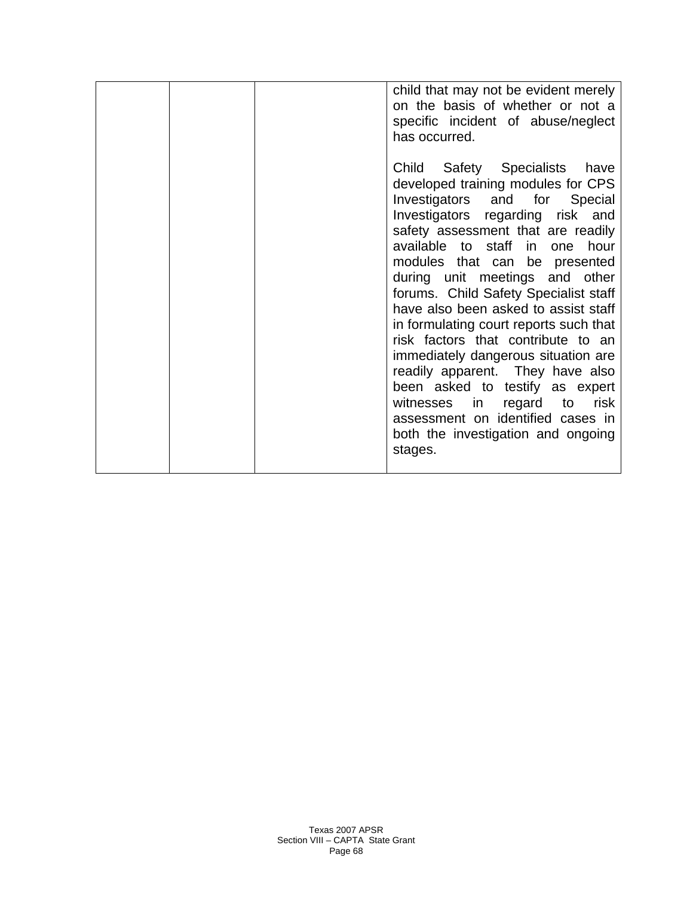|  | child that may not be evident merely<br>on the basis of whether or not a<br>specific incident of abuse/neglect<br>has occurred.                                                                                                                                                                                                                                                                                                                                                                                                                                                                                                                                                                  |
|--|--------------------------------------------------------------------------------------------------------------------------------------------------------------------------------------------------------------------------------------------------------------------------------------------------------------------------------------------------------------------------------------------------------------------------------------------------------------------------------------------------------------------------------------------------------------------------------------------------------------------------------------------------------------------------------------------------|
|  | Child Safety Specialists<br>have<br>developed training modules for CPS<br>Investigators and for Special<br>Investigators regarding risk and<br>safety assessment that are readily<br>available to staff in one hour<br>modules that can be presented<br>during unit meetings and other<br>forums. Child Safety Specialist staff<br>have also been asked to assist staff<br>in formulating court reports such that<br>risk factors that contribute to an<br>immediately dangerous situation are<br>readily apparent. They have also<br>been asked to testify as expert<br>witnesses in<br>regard to<br>risk<br>assessment on identified cases in<br>both the investigation and ongoing<br>stages. |
|  |                                                                                                                                                                                                                                                                                                                                                                                                                                                                                                                                                                                                                                                                                                  |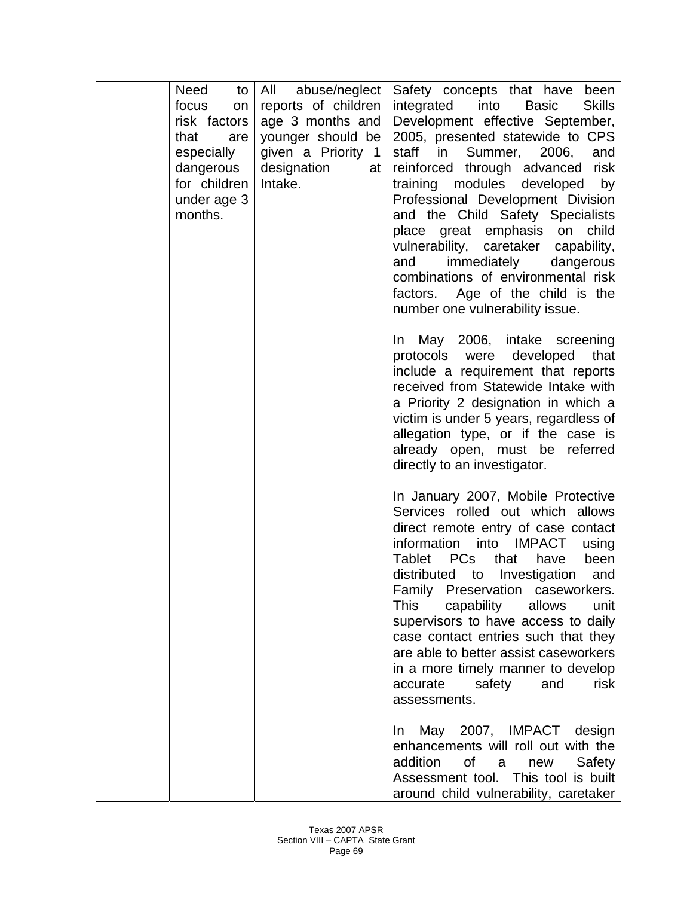|      | Need<br>to                | All abuse/neglect            | Safety concepts that have<br>been                                     |
|------|---------------------------|------------------------------|-----------------------------------------------------------------------|
|      | focus<br>on               | reports of children          | <b>Skills</b><br>integrated<br>into<br><b>Basic</b>                   |
|      | risk factors              | age 3 months and             | Development effective September,                                      |
| that | are                       | younger should be            | 2005, presented statewide to CPS<br>staff in                          |
|      | especially                | given a Priority 1           | Summer,<br>2006,<br>and                                               |
|      | dangerous<br>for children | designation<br>at<br>Intake. | reinforced through advanced risk                                      |
|      | under age 3               |                              | training modules developed<br>by<br>Professional Development Division |
|      | months.                   |                              | and the Child Safety Specialists                                      |
|      |                           |                              | place great emphasis on<br>child                                      |
|      |                           |                              | vulnerability, caretaker capability,                                  |
|      |                           |                              | immediately<br>dangerous<br>and                                       |
|      |                           |                              | combinations of environmental risk                                    |
|      |                           |                              | factors. Age of the child is the                                      |
|      |                           |                              | number one vulnerability issue.                                       |
|      |                           |                              |                                                                       |
|      |                           |                              | May 2006, intake screening<br>$\ln$                                   |
|      |                           |                              | developed<br>protocols were<br>that                                   |
|      |                           |                              | include a requirement that reports                                    |
|      |                           |                              | received from Statewide Intake with                                   |
|      |                           |                              | a Priority 2 designation in which a                                   |
|      |                           |                              | victim is under 5 years, regardless of                                |
|      |                           |                              | allegation type, or if the case is                                    |
|      |                           |                              | already open, must be referred                                        |
|      |                           |                              | directly to an investigator.                                          |
|      |                           |                              | In January 2007, Mobile Protective                                    |
|      |                           |                              | Services rolled out which allows                                      |
|      |                           |                              | direct remote entry of case contact                                   |
|      |                           |                              | information into IMPACT<br>using                                      |
|      |                           |                              | <b>PCs</b><br><b>Tablet</b><br>that<br>have<br>been                   |
|      |                           |                              | distributed to Investigation and                                      |
|      |                           |                              | Family Preservation caseworkers.                                      |
|      |                           |                              | <b>This</b><br>capability<br>allows<br>unit                           |
|      |                           |                              | supervisors to have access to daily                                   |
|      |                           |                              | case contact entries such that they                                   |
|      |                           |                              | are able to better assist caseworkers                                 |
|      |                           |                              | in a more timely manner to develop                                    |
|      |                           |                              | safety<br>risk<br>accurate<br>and                                     |
|      |                           |                              | assessments.                                                          |
|      |                           |                              | May 2007, IMPACT design<br>In In                                      |
|      |                           |                              | enhancements will roll out with the                                   |
|      |                           |                              | addition<br>of<br>Safety<br>a<br>new                                  |
|      |                           |                              | Assessment tool. This tool is built                                   |
|      |                           |                              | around child vulnerability, caretaker                                 |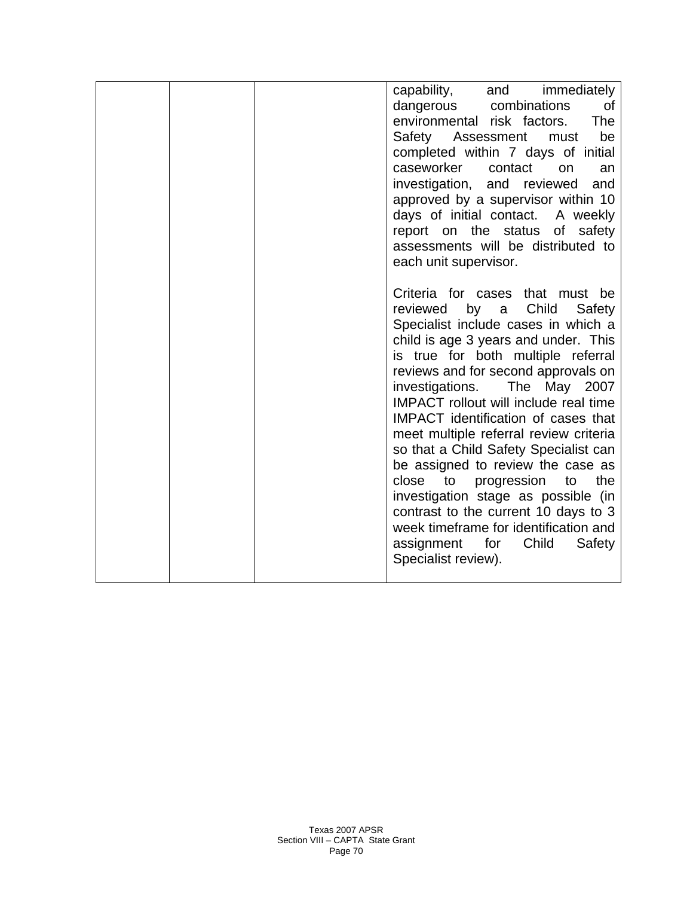|  | capability, and immediately<br>dangerous combinations<br>0f<br>environmental risk factors.<br>The<br>be<br>Safety Assessment<br>must<br>completed within 7 days of initial<br>caseworker<br>contact<br>on<br>an<br>investigation, and reviewed<br>and<br>approved by a supervisor within 10<br>days of initial contact. A weekly<br>report on the status of safety<br>assessments will be distributed to                                                                                                                                                                                                                                                                                                                                        |
|--|-------------------------------------------------------------------------------------------------------------------------------------------------------------------------------------------------------------------------------------------------------------------------------------------------------------------------------------------------------------------------------------------------------------------------------------------------------------------------------------------------------------------------------------------------------------------------------------------------------------------------------------------------------------------------------------------------------------------------------------------------|
|  | each unit supervisor.<br>Criteria for cases that must be<br>Child<br>reviewed<br>by<br>Safety<br>a<br>Specialist include cases in which a<br>child is age 3 years and under. This<br>is true for both multiple referral<br>reviews and for second approvals on<br>investigations.<br>The May 2007<br><b>IMPACT</b> rollout will include real time<br>IMPACT identification of cases that<br>meet multiple referral review criteria<br>so that a Child Safety Specialist can<br>be assigned to review the case as<br>to<br>the<br>close<br>progression<br>to<br>investigation stage as possible (in<br>contrast to the current 10 days to 3<br>week timeframe for identification and<br>assignment for<br>Child<br>Safety<br>Specialist review). |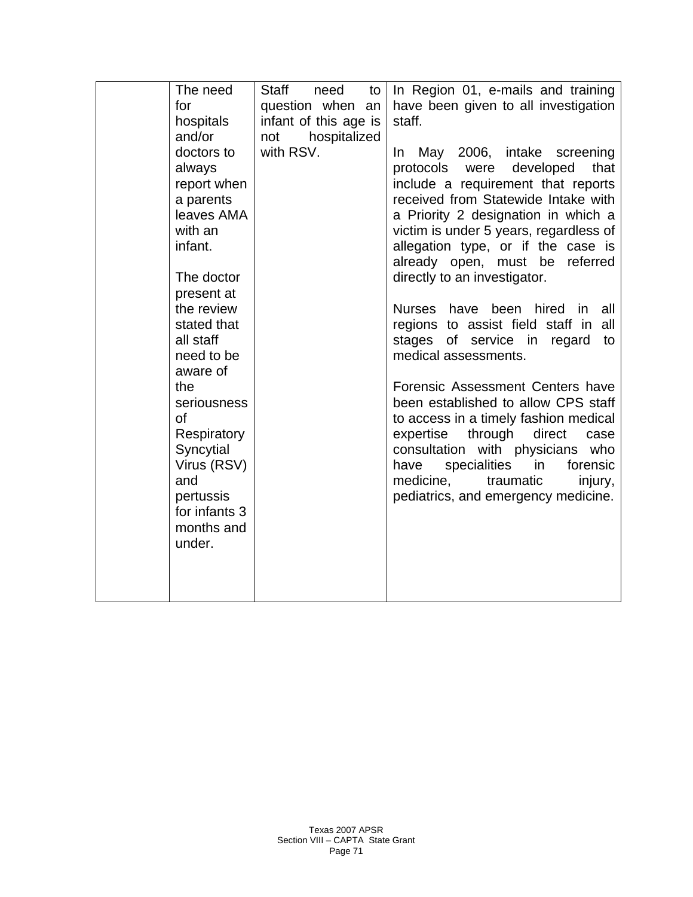| The need                   | Staff<br>need<br>to   | In Region 01, e-mails and training      |
|----------------------------|-----------------------|-----------------------------------------|
| for                        | question when an      | have been given to all investigation    |
| hospitals                  | infant of this age is | staff.                                  |
| and/or                     | hospitalized<br>not   |                                         |
| doctors to                 | with RSV.             | May 2006, intake screening<br>In.       |
| always                     |                       | protocols were developed<br>that        |
| report when                |                       | include a requirement that reports      |
| a parents                  |                       | received from Statewide Intake with     |
| leaves AMA                 |                       | a Priority 2 designation in which a     |
| with an                    |                       | victim is under 5 years, regardless of  |
| infant.                    |                       | allegation type, or if the case is      |
|                            |                       | already open, must be<br>referred       |
| The doctor                 |                       | directly to an investigator.            |
| present at                 |                       |                                         |
| the review                 |                       | Nurses have been hired in<br>all        |
| stated that                |                       | regions to assist field staff in<br>all |
| all staff                  |                       | stages of service in<br>regard<br>to    |
| need to be                 |                       | medical assessments.                    |
| aware of                   |                       |                                         |
| the                        |                       | Forensic Assessment Centers have        |
| seriousness                |                       | been established to allow CPS staff     |
| 0f                         |                       | to access in a timely fashion medical   |
| Respiratory                |                       | expertise through direct<br>case        |
| Syncytial                  |                       | consultation with physicians who        |
| Virus (RSV)                |                       | specialities<br>in<br>forensic<br>have  |
| and                        |                       | medicine,<br>traumatic<br>injury,       |
| pertussis<br>for infants 3 |                       | pediatrics, and emergency medicine.     |
| months and                 |                       |                                         |
| under.                     |                       |                                         |
|                            |                       |                                         |
|                            |                       |                                         |
|                            |                       |                                         |
|                            |                       |                                         |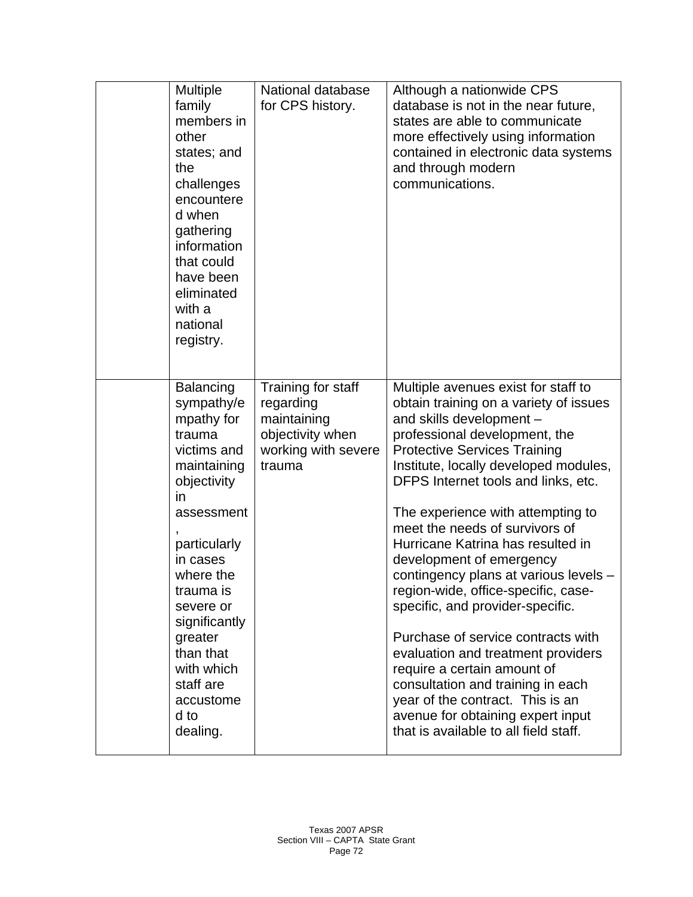| Multiple<br>family<br>members in<br>other<br>states; and<br>the<br>challenges<br>encountere<br>d when<br>gathering<br>information<br>that could<br>have been<br>eliminated<br>with a<br>national<br>registry.                                                                                          | National database<br>for CPS history.                                                               | Although a nationwide CPS<br>database is not in the near future,<br>states are able to communicate<br>more effectively using information<br>contained in electronic data systems<br>and through modern<br>communications.                                                                                                                                                                                                                                                                                                                                                                                                                                                                                                                                                                       |
|--------------------------------------------------------------------------------------------------------------------------------------------------------------------------------------------------------------------------------------------------------------------------------------------------------|-----------------------------------------------------------------------------------------------------|-------------------------------------------------------------------------------------------------------------------------------------------------------------------------------------------------------------------------------------------------------------------------------------------------------------------------------------------------------------------------------------------------------------------------------------------------------------------------------------------------------------------------------------------------------------------------------------------------------------------------------------------------------------------------------------------------------------------------------------------------------------------------------------------------|
| <b>Balancing</b><br>sympathy/e<br>mpathy for<br>trauma<br>victims and<br>maintaining<br>objectivity<br><i>in</i><br>assessment<br>particularly<br>in cases<br>where the<br>trauma is<br>severe or<br>significantly<br>greater<br>than that<br>with which<br>staff are<br>accustome<br>d to<br>dealing. | Training for staff<br>regarding<br>maintaining<br>objectivity when<br>working with severe<br>trauma | Multiple avenues exist for staff to<br>obtain training on a variety of issues<br>and skills development -<br>professional development, the<br><b>Protective Services Training</b><br>Institute, locally developed modules,<br>DFPS Internet tools and links, etc.<br>The experience with attempting to<br>meet the needs of survivors of<br>Hurricane Katrina has resulted in<br>development of emergency<br>contingency plans at various levels -<br>region-wide, office-specific, case-<br>specific, and provider-specific.<br>Purchase of service contracts with<br>evaluation and treatment providers<br>require a certain amount of<br>consultation and training in each<br>year of the contract. This is an<br>avenue for obtaining expert input<br>that is available to all field staff. |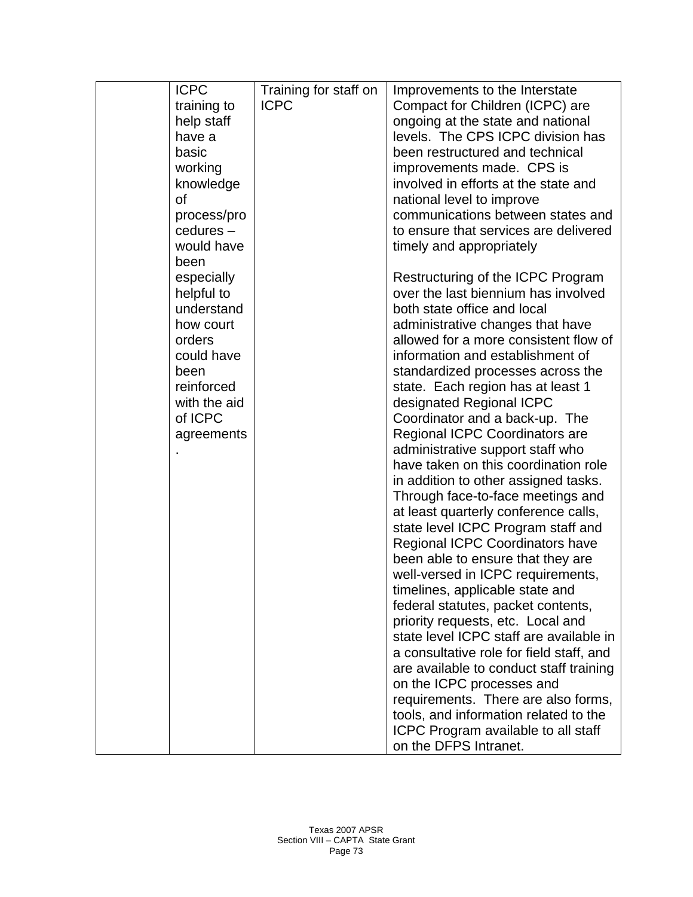| <b>ICPC</b>              | Training for staff on | Improvements to the Interstate           |
|--------------------------|-----------------------|------------------------------------------|
| training to              | <b>ICPC</b>           | Compact for Children (ICPC) are          |
| help staff               |                       | ongoing at the state and national        |
| have a                   |                       | levels. The CPS ICPC division has        |
| basic                    |                       | been restructured and technical          |
| working                  |                       | improvements made. CPS is                |
| knowledge                |                       | involved in efforts at the state and     |
| Οf                       |                       | national level to improve                |
| process/pro              |                       | communications between states and        |
| cedures-                 |                       | to ensure that services are delivered    |
| would have               |                       | timely and appropriately                 |
| been                     |                       |                                          |
| especially               |                       | Restructuring of the ICPC Program        |
|                          |                       | over the last biennium has involved      |
| helpful to<br>understand |                       | both state office and local              |
| how court                |                       |                                          |
|                          |                       | administrative changes that have         |
| orders                   |                       | allowed for a more consistent flow of    |
| could have               |                       | information and establishment of         |
| been                     |                       | standardized processes across the        |
| reinforced               |                       | state. Each region has at least 1        |
| with the aid             |                       | designated Regional ICPC                 |
| of ICPC                  |                       | Coordinator and a back-up. The           |
| agreements               |                       | Regional ICPC Coordinators are           |
|                          |                       | administrative support staff who         |
|                          |                       | have taken on this coordination role     |
|                          |                       | in addition to other assigned tasks.     |
|                          |                       | Through face-to-face meetings and        |
|                          |                       | at least quarterly conference calls,     |
|                          |                       | state level ICPC Program staff and       |
|                          |                       | Regional ICPC Coordinators have          |
|                          |                       | been able to ensure that they are        |
|                          |                       | well-versed in ICPC requirements,        |
|                          |                       | timelines, applicable state and          |
|                          |                       | federal statutes, packet contents,       |
|                          |                       | priority requests, etc. Local and        |
|                          |                       | state level ICPC staff are available in  |
|                          |                       | a consultative role for field staff, and |
|                          |                       | are available to conduct staff training  |
|                          |                       | on the ICPC processes and                |
|                          |                       | requirements. There are also forms,      |
|                          |                       | tools, and information related to the    |
|                          |                       | ICPC Program available to all staff      |
|                          |                       | on the DFPS Intranet.                    |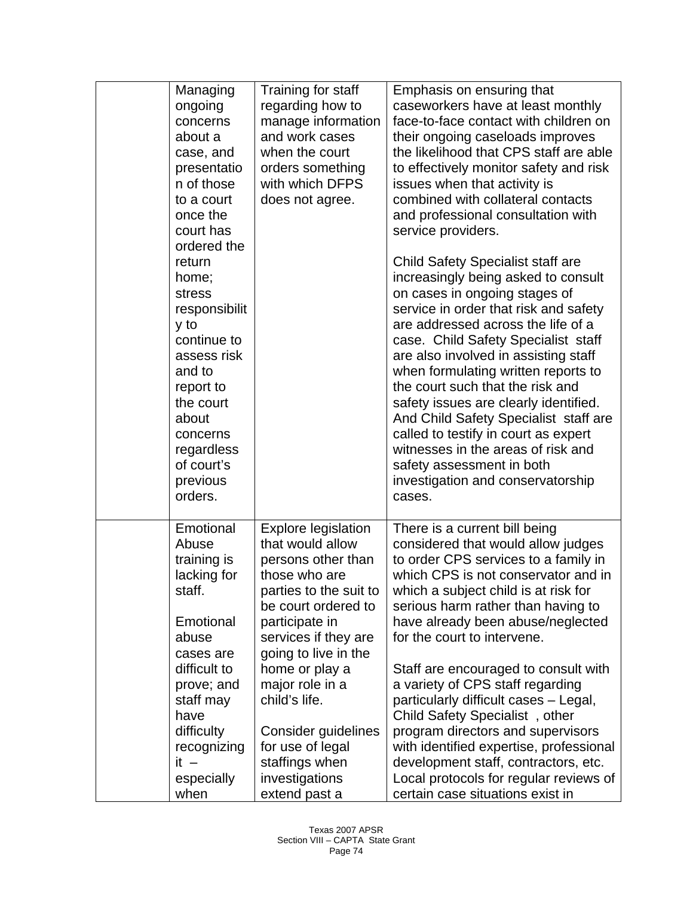| Managing<br>ongoing<br>concerns<br>about a<br>case, and<br>presentatio<br>n of those<br>to a court<br>once the<br>court has<br>ordered the<br>return<br>home;<br>stress<br>responsibilit<br>y to<br>continue to<br>assess risk<br>and to<br>report to<br>the court<br>about<br>concerns<br>regardless<br>of court's<br>previous<br>orders. | Training for staff<br>regarding how to<br>manage information<br>and work cases<br>when the court<br>orders something<br>with which DFPS<br>does not agree. | Emphasis on ensuring that<br>caseworkers have at least monthly<br>face-to-face contact with children on<br>their ongoing caseloads improves<br>the likelihood that CPS staff are able<br>to effectively monitor safety and risk<br>issues when that activity is<br>combined with collateral contacts<br>and professional consultation with<br>service providers.<br>Child Safety Specialist staff are<br>increasingly being asked to consult<br>on cases in ongoing stages of<br>service in order that risk and safety<br>are addressed across the life of a<br>case. Child Safety Specialist staff<br>are also involved in assisting staff<br>when formulating written reports to<br>the court such that the risk and<br>safety issues are clearly identified.<br>And Child Safety Specialist staff are<br>called to testify in court as expert<br>witnesses in the areas of risk and<br>safety assessment in both<br>investigation and conservatorship<br>cases. |
|--------------------------------------------------------------------------------------------------------------------------------------------------------------------------------------------------------------------------------------------------------------------------------------------------------------------------------------------|------------------------------------------------------------------------------------------------------------------------------------------------------------|--------------------------------------------------------------------------------------------------------------------------------------------------------------------------------------------------------------------------------------------------------------------------------------------------------------------------------------------------------------------------------------------------------------------------------------------------------------------------------------------------------------------------------------------------------------------------------------------------------------------------------------------------------------------------------------------------------------------------------------------------------------------------------------------------------------------------------------------------------------------------------------------------------------------------------------------------------------------|
| Emotional                                                                                                                                                                                                                                                                                                                                  | <b>Explore legislation</b>                                                                                                                                 | There is a current bill being                                                                                                                                                                                                                                                                                                                                                                                                                                                                                                                                                                                                                                                                                                                                                                                                                                                                                                                                      |
| Abuse                                                                                                                                                                                                                                                                                                                                      | that would allow                                                                                                                                           | considered that would allow judges                                                                                                                                                                                                                                                                                                                                                                                                                                                                                                                                                                                                                                                                                                                                                                                                                                                                                                                                 |
| training is                                                                                                                                                                                                                                                                                                                                | persons other than                                                                                                                                         | to order CPS services to a family in                                                                                                                                                                                                                                                                                                                                                                                                                                                                                                                                                                                                                                                                                                                                                                                                                                                                                                                               |
| lacking for                                                                                                                                                                                                                                                                                                                                | those who are                                                                                                                                              | which CPS is not conservator and in                                                                                                                                                                                                                                                                                                                                                                                                                                                                                                                                                                                                                                                                                                                                                                                                                                                                                                                                |
| staff.                                                                                                                                                                                                                                                                                                                                     | parties to the suit to                                                                                                                                     | which a subject child is at risk for                                                                                                                                                                                                                                                                                                                                                                                                                                                                                                                                                                                                                                                                                                                                                                                                                                                                                                                               |
| Emotional                                                                                                                                                                                                                                                                                                                                  | be court ordered to                                                                                                                                        | serious harm rather than having to                                                                                                                                                                                                                                                                                                                                                                                                                                                                                                                                                                                                                                                                                                                                                                                                                                                                                                                                 |
| abuse                                                                                                                                                                                                                                                                                                                                      | participate in                                                                                                                                             | have already been abuse/neglected                                                                                                                                                                                                                                                                                                                                                                                                                                                                                                                                                                                                                                                                                                                                                                                                                                                                                                                                  |
| cases are                                                                                                                                                                                                                                                                                                                                  | services if they are                                                                                                                                       | for the court to intervene.                                                                                                                                                                                                                                                                                                                                                                                                                                                                                                                                                                                                                                                                                                                                                                                                                                                                                                                                        |
| difficult to                                                                                                                                                                                                                                                                                                                               | going to live in the                                                                                                                                       | Staff are encouraged to consult with                                                                                                                                                                                                                                                                                                                                                                                                                                                                                                                                                                                                                                                                                                                                                                                                                                                                                                                               |
| prove; and                                                                                                                                                                                                                                                                                                                                 | home or play a                                                                                                                                             | a variety of CPS staff regarding                                                                                                                                                                                                                                                                                                                                                                                                                                                                                                                                                                                                                                                                                                                                                                                                                                                                                                                                   |
| staff may                                                                                                                                                                                                                                                                                                                                  | major role in a                                                                                                                                            | particularly difficult cases - Legal,                                                                                                                                                                                                                                                                                                                                                                                                                                                                                                                                                                                                                                                                                                                                                                                                                                                                                                                              |
| have                                                                                                                                                                                                                                                                                                                                       | child's life.                                                                                                                                              | Child Safety Specialist, other                                                                                                                                                                                                                                                                                                                                                                                                                                                                                                                                                                                                                                                                                                                                                                                                                                                                                                                                     |
| difficulty                                                                                                                                                                                                                                                                                                                                 | Consider guidelines                                                                                                                                        | program directors and supervisors                                                                                                                                                                                                                                                                                                                                                                                                                                                                                                                                                                                                                                                                                                                                                                                                                                                                                                                                  |
| recognizing                                                                                                                                                                                                                                                                                                                                | for use of legal                                                                                                                                           | with identified expertise, professional                                                                                                                                                                                                                                                                                                                                                                                                                                                                                                                                                                                                                                                                                                                                                                                                                                                                                                                            |
| $it -$                                                                                                                                                                                                                                                                                                                                     | staffings when                                                                                                                                             | development staff, contractors, etc.                                                                                                                                                                                                                                                                                                                                                                                                                                                                                                                                                                                                                                                                                                                                                                                                                                                                                                                               |
| especially                                                                                                                                                                                                                                                                                                                                 | investigations                                                                                                                                             | Local protocols for regular reviews of                                                                                                                                                                                                                                                                                                                                                                                                                                                                                                                                                                                                                                                                                                                                                                                                                                                                                                                             |
| when                                                                                                                                                                                                                                                                                                                                       | extend past a                                                                                                                                              | certain case situations exist in                                                                                                                                                                                                                                                                                                                                                                                                                                                                                                                                                                                                                                                                                                                                                                                                                                                                                                                                   |